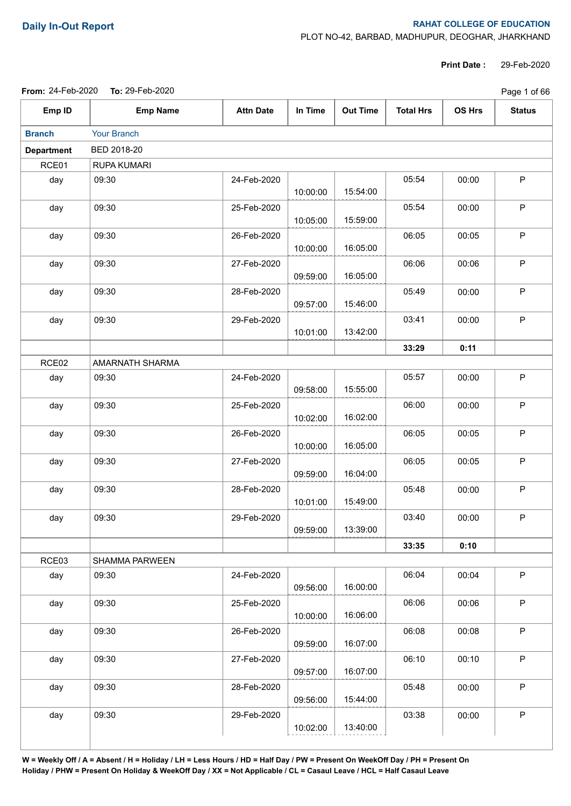## **Daily In-Out Report RAHAT COLLEGE OF EDUCATION**

PLOT NO-42, BARBAD, MADHUPUR, DEOGHAR, JHARKHAND

**Print Date :** 29-Feb-2020

|                   | From: 24-Feb-2020 To: 29-Feb-2020 |                  |          |                 |                  |        | Page 1 of 66  |
|-------------------|-----------------------------------|------------------|----------|-----------------|------------------|--------|---------------|
| Emp ID            | <b>Emp Name</b>                   | <b>Attn Date</b> | In Time  | <b>Out Time</b> | <b>Total Hrs</b> | OS Hrs | <b>Status</b> |
| <b>Branch</b>     | Your Branch                       |                  |          |                 |                  |        |               |
| <b>Department</b> | BED 2018-20                       |                  |          |                 |                  |        |               |
| RCE01             | <b>RUPA KUMARI</b>                |                  |          |                 |                  |        |               |
| day               | 09:30                             | 24-Feb-2020      | 10:00:00 | 15:54:00        | 05:54            | 00:00  | $\mathsf P$   |
| day               | 09:30                             | 25-Feb-2020      | 10:05:00 | 15:59:00        | 05:54            | 00:00  | P             |
| day               | 09:30                             | 26-Feb-2020      | 10:00:00 | 16:05:00        | 06:05            | 00:05  | $\mathsf P$   |
| day               | 09:30                             | 27-Feb-2020      | 09:59:00 | 16:05:00        | 06:06            | 00:06  | $\mathsf P$   |
| day               | 09:30                             | 28-Feb-2020      | 09:57:00 | 15:46:00        | 05:49            | 00:00  | $\mathsf P$   |
| day               | 09:30                             | 29-Feb-2020      | 10:01:00 | 13:42:00        | 03:41            | 00:00  | $\mathsf P$   |
|                   |                                   |                  |          |                 | 33:29            | 0:11   |               |
| RCE02             | AMARNATH SHARMA                   |                  |          |                 |                  |        |               |
| day               | 09:30                             | 24-Feb-2020      | 09:58:00 | 15:55:00        | 05:57            | 00:00  | $\mathsf P$   |
| day               | 09:30                             | 25-Feb-2020      | 10:02:00 | 16:02:00        | 06:00            | 00:00  | $\mathsf P$   |
| day               | 09:30                             | 26-Feb-2020      | 10:00:00 | 16:05:00        | 06:05            | 00:05  | $\mathsf P$   |
| day               | 09:30                             | 27-Feb-2020      | 09:59:00 | 16:04:00        | 06:05            | 00:05  | $\mathsf P$   |
| day               | 09:30                             | 28-Feb-2020      | 10:01:00 | 15:49:00        | 05:48            | 00:00  | $\mathsf P$   |
| day               | 09:30                             | 29-Feb-2020      | 09:59:00 | 13:39:00        | 03:40            | 00:00  | P.            |
|                   |                                   |                  |          |                 | 33:35            | 0:10   |               |
| RCE03             | SHAMMA PARWEEN                    |                  |          |                 |                  |        |               |
| day               | 09:30                             | 24-Feb-2020      | 09:56:00 | 16:00:00        | 06:04            | 00:04  | P             |
| day               | 09:30                             | 25-Feb-2020      | 10:00:00 | 16:06:00        | 06:06            | 00:06  | P             |
| day               | 09:30                             | 26-Feb-2020      | 09:59:00 | 16:07:00        | 06:08            | 00:08  | $\mathsf P$   |
| day               | 09:30                             | 27-Feb-2020      | 09:57:00 | 16:07:00        | 06:10            | 00:10  | $\mathsf P$   |
| day               | 09:30                             | 28-Feb-2020      | 09:56:00 | 15:44:00        | 05:48            | 00:00  | P             |
| day               | 09:30                             | 29-Feb-2020      | 10:02:00 | 13:40:00        | 03:38            | 00:00  | $\mathsf P$   |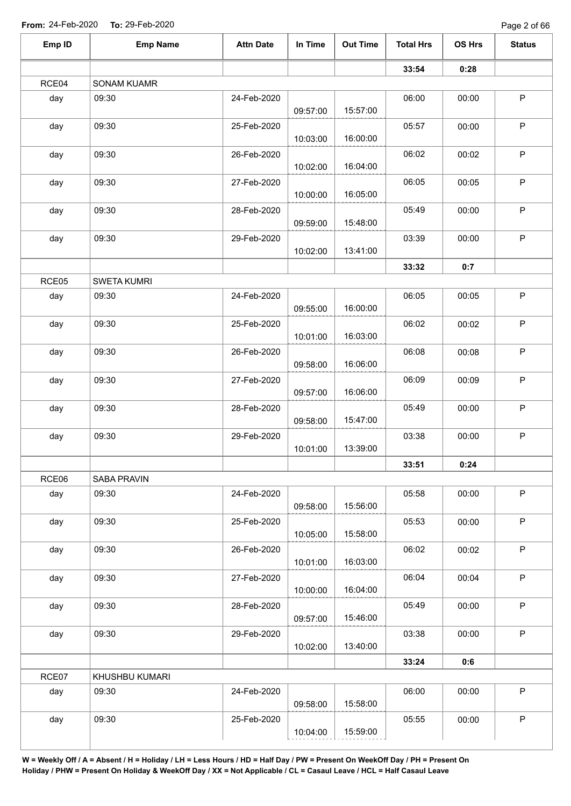Page 2 of 66

| Emp ID | <b>Emp Name</b>    | <b>Attn Date</b> | In Time  | <b>Out Time</b> | <b>Total Hrs</b> | OS Hrs | <b>Status</b> |
|--------|--------------------|------------------|----------|-----------------|------------------|--------|---------------|
|        |                    |                  |          |                 | 33:54            | 0:28   |               |
| RCE04  | SONAM KUAMR        |                  |          |                 |                  |        |               |
| day    | 09:30              | 24-Feb-2020      |          |                 | 06:00            | 00:00  | $\sf P$       |
|        |                    |                  | 09:57:00 | 15:57:00        |                  |        |               |
| day    | 09:30              | 25-Feb-2020      |          |                 | 05:57            | 00:00  | $\sf P$       |
|        |                    |                  | 10:03:00 | 16:00:00        |                  |        |               |
| day    | 09:30              | 26-Feb-2020      | 10:02:00 | 16:04:00        | 06:02            | 00:02  | $\mathsf P$   |
| day    | 09:30              | 27-Feb-2020      |          |                 | 06:05            | 00:05  | $\sf P$       |
|        |                    |                  | 10:00:00 | 16:05:00        |                  |        |               |
| day    | 09:30              | 28-Feb-2020      |          |                 | 05:49            | 00:00  | $\mathsf P$   |
|        |                    |                  | 09:59:00 | 15:48:00        |                  |        |               |
| day    | 09:30              | 29-Feb-2020      |          |                 | 03:39            | 00:00  | $\mathsf P$   |
|        |                    |                  | 10:02:00 | 13:41:00        |                  |        |               |
|        |                    |                  |          |                 | 33:32            | 0:7    |               |
| RCE05  | <b>SWETA KUMRI</b> |                  |          |                 |                  |        |               |
| day    | 09:30              | 24-Feb-2020      |          |                 | 06:05            | 00:05  | $\mathsf P$   |
|        |                    |                  | 09:55:00 | 16:00:00        |                  |        |               |
| day    | 09:30              | 25-Feb-2020      |          |                 | 06:02            | 00:02  | $\sf P$       |
|        |                    |                  | 10:01:00 | 16:03:00        |                  |        |               |
| day    | 09:30              | 26-Feb-2020      |          |                 | 06:08            | 00:08  | $\mathsf P$   |
|        |                    |                  | 09:58:00 | 16:06:00        |                  |        |               |
| day    | 09:30              | 27-Feb-2020      |          |                 | 06:09            | 00:09  | $\mathsf P$   |
|        |                    |                  | 09:57:00 | 16:06:00        |                  |        |               |
| day    | 09:30              | 28-Feb-2020      |          |                 | 05:49            | 00:00  | $\sf P$       |
|        |                    |                  | 09:58:00 | 15:47:00        |                  |        |               |
| day    | 09:30              | 29-Feb-2020      |          |                 | 03:38            | 00:00  | $\mathsf P$   |
|        |                    |                  | 10:01:00 | 13:39:00        |                  |        |               |
|        |                    |                  |          |                 | 33:51            | 0:24   |               |
| RCE06  | SABA PRAVIN        |                  |          |                 |                  |        |               |
| day    | 09:30              | 24-Feb-2020      | 09:58:00 | 15:56:00        | 05:58            | 00:00  | $\mathsf P$   |
|        |                    |                  |          |                 |                  |        |               |
| day    | 09:30              | 25-Feb-2020      | 10:05:00 | 15:58:00        | 05:53            | 00:00  | $\mathsf P$   |
|        |                    |                  |          |                 | 06:02            |        | $\mathsf P$   |
| day    | 09:30              | 26-Feb-2020      | 10:01:00 | 16:03:00        |                  | 00:02  |               |
| day    | 09:30              | 27-Feb-2020      |          |                 | 06:04            | 00:04  | $\sf P$       |
|        |                    |                  | 10:00:00 | 16:04:00        |                  |        |               |
| day    | 09:30              | 28-Feb-2020      |          |                 | 05:49            | 00:00  | $\sf P$       |
|        |                    |                  | 09:57:00 | 15:46:00        |                  |        |               |
| day    | 09:30              | 29-Feb-2020      |          |                 | 03:38            | 00:00  | $\mathsf P$   |
|        |                    |                  | 10:02:00 | 13:40:00        |                  |        |               |
|        |                    |                  |          |                 | 33:24            | 0:6    |               |
| RCE07  | KHUSHBU KUMARI     |                  |          |                 |                  |        |               |
| day    | 09:30              | 24-Feb-2020      |          |                 | 06:00            | 00:00  | $\mathsf P$   |
|        |                    |                  | 09:58:00 | 15:58:00        |                  |        |               |
|        | 09:30              | 25-Feb-2020      |          |                 | 05:55            | 00:00  | $\mathsf P$   |
| day    |                    |                  |          |                 |                  |        |               |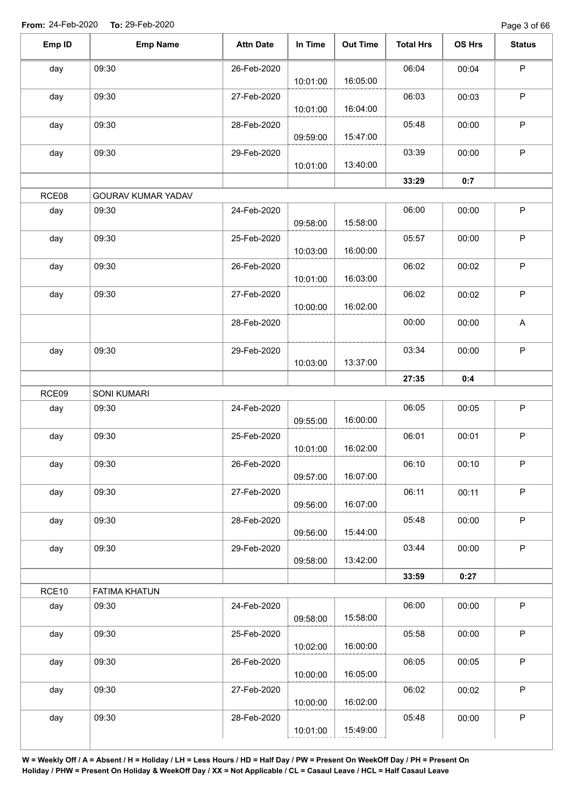| Emp ID | <b>Emp Name</b>      | <b>Attn Date</b> | In Time  | <b>Out Time</b> | <b>Total Hrs</b> | OS Hrs | <b>Status</b>             |
|--------|----------------------|------------------|----------|-----------------|------------------|--------|---------------------------|
| day    | 09:30                | 26-Feb-2020      | 10:01:00 | 16:05:00        | 06:04            | 00:04  | $\mathsf P$               |
| day    | 09:30                | 27-Feb-2020      | 10:01:00 | 16:04:00        | 06:03            | 00:03  | $\sf P$                   |
| day    | 09:30                | 28-Feb-2020      | 09:59:00 | 15:47:00        | 05:48            | 00:00  | $\mathsf P$               |
| day    | 09:30                | 29-Feb-2020      | 10:01:00 | 13:40:00        | 03:39            | 00:00  | $\mathsf P$               |
|        |                      |                  |          |                 | 33:29            | 0:7    |                           |
| RCE08  | GOURAV KUMAR YADAV   |                  |          |                 |                  |        |                           |
| day    | 09:30                | 24-Feb-2020      | 09:58:00 | 15:58:00        | 06:00            | 00:00  | $\mathsf P$               |
| day    | 09:30                | 25-Feb-2020      | 10:03:00 | 16:00:00        | 05:57            | 00:00  | P                         |
| day    | 09:30                | 26-Feb-2020      | 10:01:00 | 16:03:00        | 06:02            | 00:02  | $\sf P$                   |
| day    | 09:30                | 27-Feb-2020      | 10:00:00 | 16:02:00        | 06:02            | 00:02  | $\sf P$                   |
|        |                      | 28-Feb-2020      |          |                 | 00:00            | 00:00  | $\boldsymbol{\mathsf{A}}$ |
| day    | 09:30                | 29-Feb-2020      | 10:03:00 | 13:37:00        | 03:34            | 00:00  | $\mathsf P$               |
|        |                      |                  |          |                 | 27:35            | 0:4    |                           |
| RCE09  | <b>SONI KUMARI</b>   |                  |          |                 |                  |        |                           |
| day    | 09:30                | 24-Feb-2020      | 09:55:00 | 16:00:00        | 06:05            | 00:05  | $\sf P$                   |
| day    | 09:30                | 25-Feb-2020      | 10:01:00 | 16:02:00        | 06:01            | 00:01  | $\mathsf P$               |
| day    | 09:30                | 26-Feb-2020      | 09:57:00 | 16:07:00        | 06:10            | 00:10  | $\mathsf{P}$              |
| day    | 09:30                | 27-Feb-2020      | 09:56:00 | 16:07:00        | 06:11            | 00:11  | $\mathsf P$               |
| day    | 09:30                | 28-Feb-2020      | 09:56:00 | 15:44:00        | 05:48            | 00:00  | $\mathsf P$               |
| day    | 09:30                | 29-Feb-2020      | 09:58:00 | 13:42:00        | 03:44            | 00:00  | $\sf P$                   |
|        |                      |                  |          |                 | 33:59            | 0:27   |                           |
| RCE10  | <b>FATIMA KHATUN</b> |                  |          |                 |                  |        |                           |
| day    | 09:30                | 24-Feb-2020      | 09:58:00 | 15:58:00        | 06:00            | 00:00  | $\sf P$                   |
| day    | 09:30                | 25-Feb-2020      | 10:02:00 | 16:00:00        | 05:58            | 00:00  | $\sf P$                   |
| day    | 09:30                | 26-Feb-2020      | 10:00:00 | 16:05:00        | 06:05            | 00:05  | $\sf P$                   |
| day    | 09:30                | 27-Feb-2020      | 10:00:00 | 16:02:00        | 06:02            | 00:02  | $\mathsf P$               |
| day    | 09:30                | 28-Feb-2020      | 10:01:00 | 15:49:00        | 05:48            | 00:00  | P                         |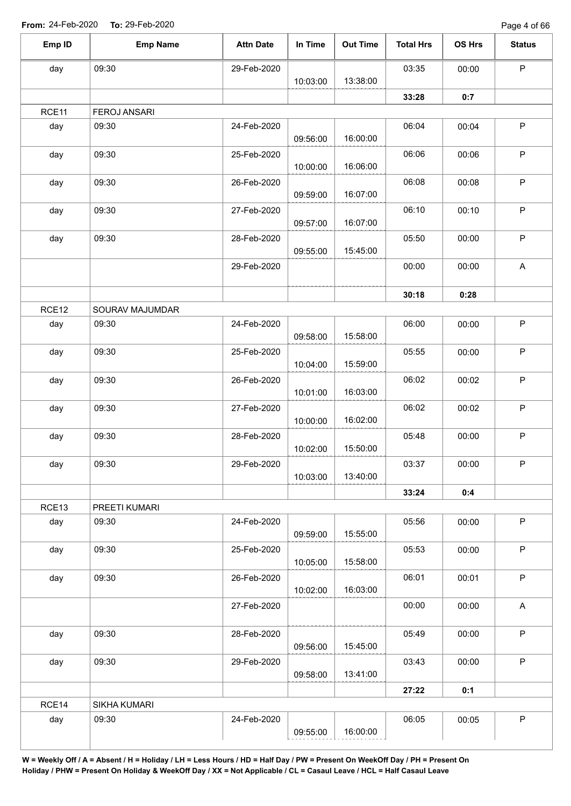| Emp ID | <b>Emp Name</b>     | <b>Attn Date</b> | In Time  | <b>Out Time</b> | <b>Total Hrs</b> | OS Hrs | <b>Status</b>             |
|--------|---------------------|------------------|----------|-----------------|------------------|--------|---------------------------|
| day    | 09:30               | 29-Feb-2020      |          |                 | 03:35            | 00:00  | $\mathsf P$               |
|        |                     |                  | 10:03:00 | 13:38:00        |                  |        |                           |
|        |                     |                  |          |                 | 33:28            | 0:7    |                           |
| RCE11  | <b>FEROJ ANSARI</b> |                  |          |                 |                  |        |                           |
| day    | 09:30               | 24-Feb-2020      | 09:56:00 | 16:00:00        | 06:04            | 00:04  | $\sf P$                   |
| day    | 09:30               | 25-Feb-2020      | 10:00:00 | 16:06:00        | 06:06            | 00:06  | $\mathsf P$               |
| day    | 09:30               | 26-Feb-2020      | 09:59:00 | 16:07:00        | 06:08            | 00:08  | $\mathsf P$               |
| day    | 09:30               | 27-Feb-2020      | 09:57:00 | 16:07:00        | 06:10            | 00:10  | $\mathsf P$               |
| day    | 09:30               | 28-Feb-2020      | 09:55:00 | 15:45:00        | 05:50            | 00:00  | $\mathsf P$               |
|        |                     | 29-Feb-2020      |          |                 | 00:00            | 00:00  | $\boldsymbol{\mathsf{A}}$ |
|        |                     |                  |          |                 | 30:18            | 0:28   |                           |
| RCE12  | SOURAV MAJUMDAR     |                  |          |                 |                  |        |                           |
| day    | 09:30               | 24-Feb-2020      | 09:58:00 | 15:58:00        | 06:00            | 00:00  | $\sf P$                   |
| day    | 09:30               | 25-Feb-2020      | 10:04:00 | 15:59:00        | 05:55            | 00:00  | $\mathsf P$               |
| day    | 09:30               | 26-Feb-2020      | 10:01:00 | 16:03:00        | 06:02            | 00:02  | $\mathsf P$               |
| day    | 09:30               | 27-Feb-2020      | 10:00:00 | 16:02:00        | 06:02            | 00:02  | $\sf P$                   |
| day    | 09:30               | 28-Feb-2020      | 10:02:00 | 15:50:00        | 05:48            | 00:00  | $\mathsf P$               |
| day    | 09:30               | 29-Feb-2020      | 10:03:00 | 13:40:00        | 03:37            | 00:00  | P                         |
|        |                     |                  |          |                 | 33:24            | 0:4    |                           |
| RCE13  | PREETI KUMARI       |                  |          |                 |                  |        |                           |
| day    | 09:30               | 24-Feb-2020      | 09:59:00 | 15:55:00        | 05:56            | 00:00  | $\mathsf P$               |
| day    | 09:30               | 25-Feb-2020      | 10:05:00 | 15:58:00        | 05:53            | 00:00  | $\sf P$                   |
| day    | 09:30               | 26-Feb-2020      | 10:02:00 | 16:03:00        | 06:01            | 00:01  | $\mathsf P$               |
|        |                     | 27-Feb-2020      |          |                 | 00:00            | 00:00  | $\boldsymbol{\mathsf{A}}$ |
| day    | 09:30               | 28-Feb-2020      | 09:56:00 | 15:45:00        | 05:49            | 00:00  | $\mathsf P$               |
| day    | 09:30               | 29-Feb-2020      | 09:58:00 | 13:41:00        | 03:43            | 00:00  | $\sf P$                   |
|        |                     |                  |          |                 | 27:22            | 0:1    |                           |
| RCE14  | SIKHA KUMARI        |                  |          |                 |                  |        |                           |
| day    | 09:30               | 24-Feb-2020      |          |                 | 06:05            | 00:05  | $\sf P$                   |
|        |                     |                  | 09:55:00 | 16:00:00        |                  |        |                           |
|        |                     |                  |          |                 |                  |        |                           |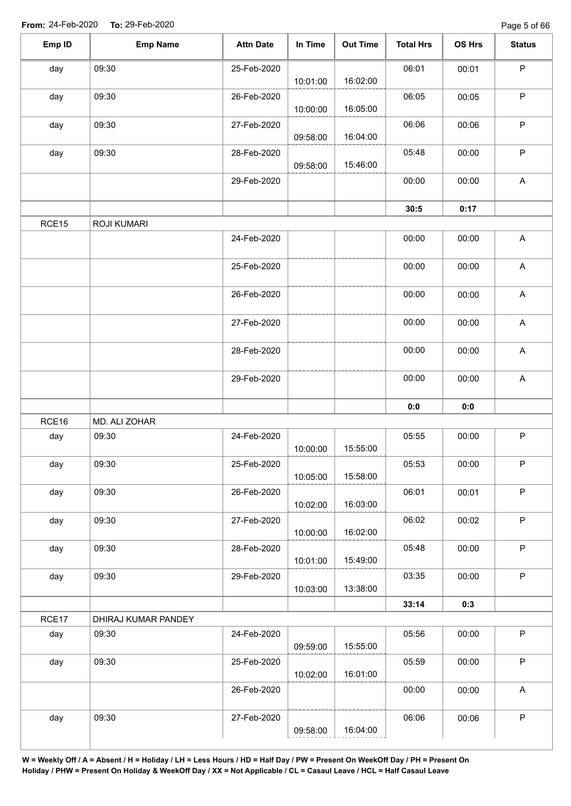| day   | 09:30               |             |          |          |       |       |                           |
|-------|---------------------|-------------|----------|----------|-------|-------|---------------------------|
|       |                     | 25-Feb-2020 | 10:01:00 | 16:02:00 | 06:01 | 00:01 | $\mathsf P$               |
| day   | 09:30               | 26-Feb-2020 | 10:00:00 | 16:05:00 | 06:05 | 00:05 | $\sf P$                   |
| day   | 09:30               | 27-Feb-2020 | 09:58:00 | 16:04:00 | 06:06 | 00:06 | $\mathsf P$               |
| day   | 09:30               | 28-Feb-2020 | 09:58:00 | 15:46:00 | 05:48 | 00:00 | $\mathsf P$               |
|       |                     | 29-Feb-2020 |          |          | 00:00 | 00:00 | $\mathsf A$               |
|       |                     |             |          |          | 30:5  | 0:17  |                           |
| RCE15 | <b>ROJI KUMARI</b>  |             |          |          |       |       |                           |
|       |                     | 24-Feb-2020 |          |          | 00:00 | 00:00 | $\mathsf A$               |
|       |                     | 25-Feb-2020 |          |          | 00:00 | 00:00 | $\mathsf A$               |
|       |                     | 26-Feb-2020 |          |          | 00:00 | 00:00 | $\boldsymbol{\mathsf{A}}$ |
|       |                     | 27-Feb-2020 |          |          | 00:00 | 00:00 | $\mathsf A$               |
|       |                     | 28-Feb-2020 |          |          | 00:00 | 00:00 | $\boldsymbol{\mathsf{A}}$ |
|       |                     | 29-Feb-2020 |          |          | 00:00 | 00:00 | $\mathsf A$               |
|       |                     |             |          |          | 0:0   | 0:0   |                           |
| RCE16 | MD. ALI ZOHAR       |             |          |          |       |       |                           |
| day   | 09:30               | 24-Feb-2020 | 10:00:00 | 15:55:00 | 05:55 | 00:00 | $\mathsf P$               |
| day   | 09:30               | 25-Feb-2020 | 10:05:00 | 15:58:00 | 05:53 | 00:00 | $\mathsf P$               |
| day   | 09:30               | 26-Feb-2020 | 10:02:00 | 16:03:00 | 06:01 | 00:01 | $\mathsf P$               |
| day   | 09:30               | 27-Feb-2020 | 10:00:00 | 16:02:00 | 06:02 | 00:02 | $\mathsf P$               |
| day   | 09:30               | 28-Feb-2020 | 10:01:00 | 15:49:00 | 05:48 | 00:00 | $\mathsf P$               |
| day   | 09:30               | 29-Feb-2020 | 10:03:00 | 13:38:00 | 03:35 | 00:00 | $\mathsf P$               |
|       |                     |             |          |          | 33:14 | 0:3   |                           |
| RCE17 | DHIRAJ KUMAR PANDEY |             |          |          |       |       |                           |
| day   | 09:30               | 24-Feb-2020 | 09:59:00 | 15:55:00 | 05:56 | 00:00 | P                         |
| day   | 09:30               | 25-Feb-2020 | 10:02:00 | 16:01:00 | 05:59 | 00:00 | $\mathsf{P}$              |
|       |                     |             |          |          | 00:00 | 00:00 | $\mathsf A$               |
|       |                     | 26-Feb-2020 |          |          |       |       |                           |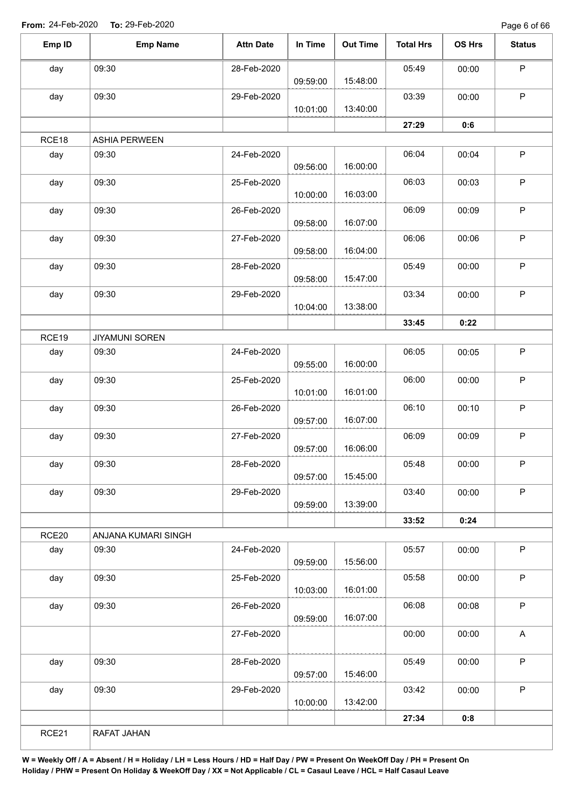Page 6 of 66

| Emp ID | <b>Emp Name</b>       | <b>Attn Date</b> | In Time  | <b>Out Time</b> | <b>Total Hrs</b> | OS Hrs | <b>Status</b> |
|--------|-----------------------|------------------|----------|-----------------|------------------|--------|---------------|
| day    | 09:30                 | 28-Feb-2020      |          |                 | 05:49            | 00:00  | P             |
|        |                       |                  | 09:59:00 | 15:48:00        |                  |        |               |
| day    | 09:30                 | 29-Feb-2020      |          |                 | 03:39            | 00:00  | $\mathsf P$   |
|        |                       |                  | 10:01:00 | 13:40:00        |                  |        |               |
|        |                       |                  |          |                 | 27:29            | 0:6    |               |
| RCE18  | <b>ASHIA PERWEEN</b>  |                  |          |                 |                  |        |               |
| day    | 09:30                 | 24-Feb-2020      | 09:56:00 | 16:00:00        | 06:04            | 00:04  | $\mathsf P$   |
| day    | 09:30                 | 25-Feb-2020      | 10:00:00 | 16:03:00        | 06:03            | 00:03  | $\mathsf P$   |
| day    | 09:30                 | 26-Feb-2020      |          |                 | 06:09            | 00:09  | $\mathsf P$   |
|        |                       |                  | 09:58:00 | 16:07:00        |                  |        |               |
| day    | 09:30                 | 27-Feb-2020      | 09:58:00 | 16:04:00        | 06:06            | 00:06  | $\sf P$       |
| day    | 09:30                 | 28-Feb-2020      |          |                 | 05:49            | 00:00  | $\mathsf P$   |
|        |                       |                  | 09:58:00 | 15:47:00        |                  |        |               |
| day    | 09:30                 | 29-Feb-2020      | 10:04:00 | 13:38:00        | 03:34            | 00:00  | $\mathsf P$   |
|        |                       |                  |          |                 | 33:45            | 0:22   |               |
| RCE19  | <b>JIYAMUNI SOREN</b> |                  |          |                 |                  |        |               |
| day    | 09:30                 | 24-Feb-2020      |          |                 | 06:05            | 00:05  | $\sf P$       |
|        |                       |                  | 09:55:00 | 16:00:00        |                  |        |               |
| day    | 09:30                 | 25-Feb-2020      |          |                 | 06:00            | 00:00  | $\mathsf P$   |
|        |                       |                  | 10:01:00 | 16:01:00        |                  |        |               |
| day    | 09:30                 | 26-Feb-2020      |          |                 | 06:10            | 00:10  | $\mathsf P$   |
|        |                       |                  | 09:57:00 | 16:07:00        |                  |        |               |
| day    | 09:30                 | 27-Feb-2020      | 09:57:00 | 16:06:00        | 06:09            | 00:09  | $\mathsf P$   |
| day    | 09:30                 | 28-Feb-2020      |          |                 | 05:48            | 00:00  | P             |
|        |                       |                  | 09:57:00 | 15:45:00        |                  |        |               |
| day    | 09:30                 | 29-Feb-2020      | 09:59:00 | 13:39:00        | 03:40            | 00:00  | $\sf P$       |
|        |                       |                  |          |                 | 33:52            | 0:24   |               |
| RCE20  | ANJANA KUMARI SINGH   |                  |          |                 |                  |        |               |
| day    | 09:30                 | 24-Feb-2020      |          |                 | 05:57            | 00:00  | $\sf P$       |
|        |                       |                  | 09:59:00 | 15:56:00        |                  |        |               |
| day    | 09:30                 | 25-Feb-2020      |          |                 | 05:58            | 00:00  | $\mathsf P$   |
|        |                       |                  | 10:03:00 | 16:01:00        |                  |        |               |
| day    | 09:30                 | 26-Feb-2020      | 09:59:00 | 16:07:00        | 06:08            | 00:08  | $\mathsf P$   |
|        |                       | 27-Feb-2020      |          |                 | 00:00            | 00:00  | A             |
|        |                       |                  |          |                 |                  |        |               |
| day    | 09:30                 | 28-Feb-2020      |          |                 | 05:49            | 00:00  | $\sf P$       |
|        |                       |                  | 09:57:00 | 15:46:00        |                  |        |               |
| day    | 09:30                 | 29-Feb-2020      |          |                 | 03:42            | 00:00  | $\mathsf P$   |
|        |                       |                  | 10:00:00 | 13:42:00        |                  |        |               |
|        |                       |                  |          |                 | 27:34            | 0:8    |               |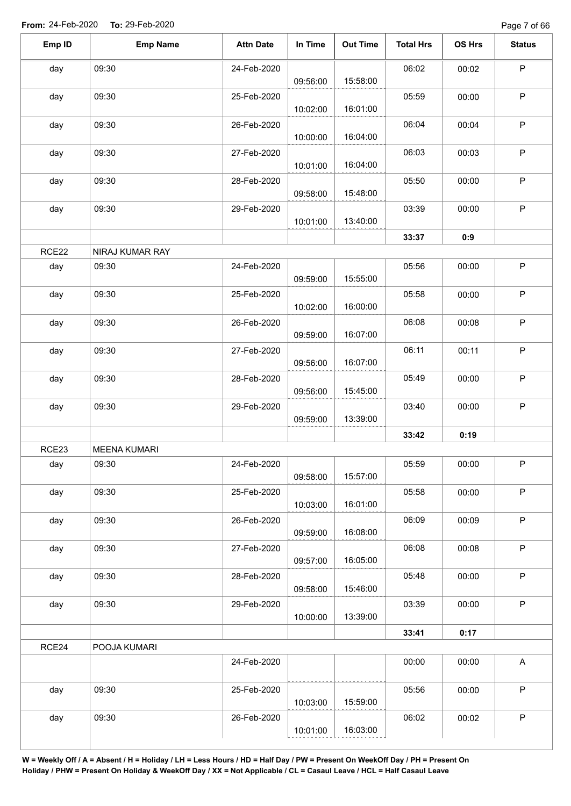| Emp ID | <b>Emp Name</b>     | <b>Attn Date</b> | In Time  | <b>Out Time</b> | <b>Total Hrs</b> | OS Hrs | <b>Status</b> |
|--------|---------------------|------------------|----------|-----------------|------------------|--------|---------------|
| day    | 09:30               | 24-Feb-2020      | 09:56:00 | 15:58:00        | 06:02            | 00:02  | $\mathsf P$   |
| day    | 09:30               | 25-Feb-2020      | 10:02:00 | 16:01:00        | 05:59            | 00:00  | $\mathsf P$   |
| day    | 09:30               | 26-Feb-2020      | 10:00:00 | 16:04:00        | 06:04            | 00:04  | $\mathsf P$   |
| day    | 09:30               | 27-Feb-2020      | 10:01:00 | 16:04:00        | 06:03            | 00:03  | $\sf P$       |
| day    | 09:30               | 28-Feb-2020      | 09:58:00 | 15:48:00        | 05:50            | 00:00  | $\sf P$       |
| day    | 09:30               | 29-Feb-2020      | 10:01:00 | 13:40:00        | 03:39            | 00:00  | $\mathsf P$   |
|        |                     |                  |          |                 | 33:37            | 0:9    |               |
| RCE22  | NIRAJ KUMAR RAY     |                  |          |                 |                  |        |               |
| day    | 09:30               | 24-Feb-2020      | 09:59:00 | 15:55:00        | 05:56            | 00:00  | $\mathsf P$   |
| day    | 09:30               | 25-Feb-2020      | 10:02:00 | 16:00:00        | 05:58            | 00:00  | $\sf P$       |
| day    | 09:30               | 26-Feb-2020      | 09:59:00 | 16:07:00        | 06:08            | 00:08  | $\mathsf P$   |
| day    | 09:30               | 27-Feb-2020      | 09:56:00 | 16:07:00        | 06:11            | 00:11  | P             |
| day    | 09:30               | 28-Feb-2020      | 09:56:00 | 15:45:00        | 05:49            | 00:00  | $\mathsf P$   |
| day    | 09:30               | 29-Feb-2020      | 09:59:00 | 13:39:00        | 03:40            | 00:00  | $\mathsf P$   |
|        |                     |                  |          |                 | 33:42            | 0:19   |               |
| RCE23  | <b>MEENA KUMARI</b> |                  |          |                 |                  |        |               |
| day    | 09:30               | 24-Feb-2020      | 09:58:00 | 15:57:00        | 05:59            | 00:00  | P             |
| day    | 09:30               | 25-Feb-2020      | 10:03:00 | 16:01:00        | 05:58            | 00:00  | $\sf P$       |
| day    | 09:30               | 26-Feb-2020      | 09:59:00 | 16:08:00        | 06:09            | 00:09  | $\mathsf P$   |
| day    | 09:30               | 27-Feb-2020      | 09:57:00 | 16:05:00        | 06:08            | 00:08  | $\mathsf P$   |
| day    | 09:30               | 28-Feb-2020      | 09:58:00 | 15:46:00        | 05:48            | 00:00  | $\sf P$       |
| day    | 09:30               | 29-Feb-2020      | 10:00:00 | 13:39:00        | 03:39            | 00:00  | $\mathsf P$   |
|        |                     |                  |          |                 | 33:41            | 0:17   |               |
| RCE24  | POOJA KUMARI        |                  |          |                 |                  |        |               |
|        |                     | 24-Feb-2020      |          |                 | 00:00            | 00:00  | $\mathsf{A}$  |
| day    | 09:30               | 25-Feb-2020      | 10:03:00 | 15:59:00        | 05:56            | 00:00  | $\mathsf P$   |
| day    | 09:30               | 26-Feb-2020      |          |                 | 06:02            | 00:02  | $\mathsf P$   |
|        |                     |                  | 10:01:00 | 16:03:00        |                  |        |               |
|        |                     |                  |          |                 |                  |        |               |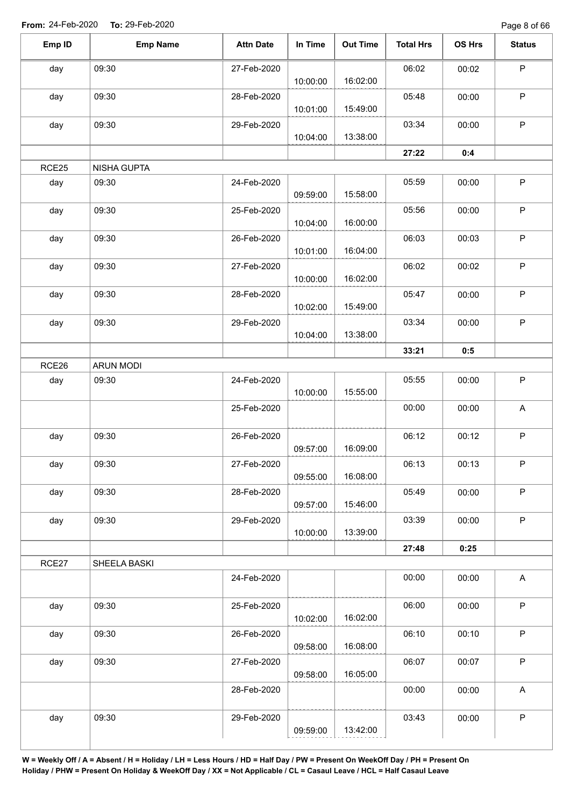Page 8 of 66

| Emp ID | <b>Emp Name</b>  | <b>Attn Date</b> | In Time  | <b>Out Time</b> | <b>Total Hrs</b> | OS Hrs | <b>Status</b>             |
|--------|------------------|------------------|----------|-----------------|------------------|--------|---------------------------|
| day    | 09:30            | 27-Feb-2020      | 10:00:00 | 16:02:00        | 06:02            | 00:02  | $\mathsf P$               |
| day    | 09:30            | 28-Feb-2020      | 10:01:00 | 15:49:00        | 05:48            | 00:00  | $\sf P$                   |
| day    | 09:30            | 29-Feb-2020      | 10:04:00 | 13:38:00        | 03:34            | 00:00  | $\mathsf P$               |
|        |                  |                  |          |                 | 27:22            | 0:4    |                           |
| RCE25  | NISHA GUPTA      |                  |          |                 |                  |        |                           |
| day    | 09:30            | 24-Feb-2020      | 09:59:00 | 15:58:00        | 05:59            | 00:00  | $\sf P$                   |
| day    | 09:30            | 25-Feb-2020      | 10:04:00 | 16:00:00        | 05:56            | 00:00  | $\sf P$                   |
| day    | 09:30            | 26-Feb-2020      | 10:01:00 | 16:04:00        | 06:03            | 00:03  | $\sf P$                   |
| day    | 09:30            | 27-Feb-2020      | 10:00:00 | 16:02:00        | 06:02            | 00:02  | $\mathsf P$               |
| day    | 09:30            | 28-Feb-2020      | 10:02:00 | 15:49:00        | 05:47            | 00:00  | $\mathsf P$               |
| day    | 09:30            | 29-Feb-2020      | 10:04:00 | 13:38:00        | 03:34            | 00:00  | $\sf P$                   |
|        |                  |                  |          |                 | 33:21            | 0:5    |                           |
| RCE26  | <b>ARUN MODI</b> |                  |          |                 |                  |        |                           |
| day    | 09:30            | 24-Feb-2020      | 10:00:00 | 15:55:00        | 05:55            | 00:00  | $\sf P$                   |
|        |                  | 25-Feb-2020      |          |                 | 00:00            | 00:00  | A                         |
| day    | 09:30            | 26-Feb-2020      | 09:57:00 | 16:09:00        | 06:12            | 00:12  | $\mathsf P$               |
| day    | 09:30            | 27-Feb-2020      | 09:55:00 | 16:08:00        | 06:13            | 00:13  | $\mathsf P$               |
| day    | 09:30            | 28-Feb-2020      | 09:57:00 | 15:46:00        | 05:49            | 00:00  | $\sf P$                   |
| day    | 09:30            | 29-Feb-2020      | 10:00:00 | 13:39:00        | 03:39            | 00:00  | $\mathsf P$               |
|        |                  |                  |          |                 | 27:48            | 0:25   |                           |
| RCE27  | SHEELA BASKI     |                  |          |                 |                  |        |                           |
|        |                  | 24-Feb-2020      |          |                 | 00:00            | 00:00  | A                         |
| day    | 09:30            | 25-Feb-2020      | 10:02:00 | 16:02:00        | 06:00            | 00:00  | $\mathsf P$               |
| day    | 09:30            | 26-Feb-2020      | 09:58:00 | 16:08:00        | 06:10            | 00:10  | $\mathsf P$               |
| day    | 09:30            | 27-Feb-2020      | 09:58:00 | 16:05:00        | 06:07            | 00:07  | $\sf P$                   |
|        |                  | 28-Feb-2020      |          |                 | 00:00            | 00:00  | $\boldsymbol{\mathsf{A}}$ |
| day    | 09:30            | 29-Feb-2020      | 09:59:00 | 13:42:00        | 03:43            | 00:00  | $\sf P$                   |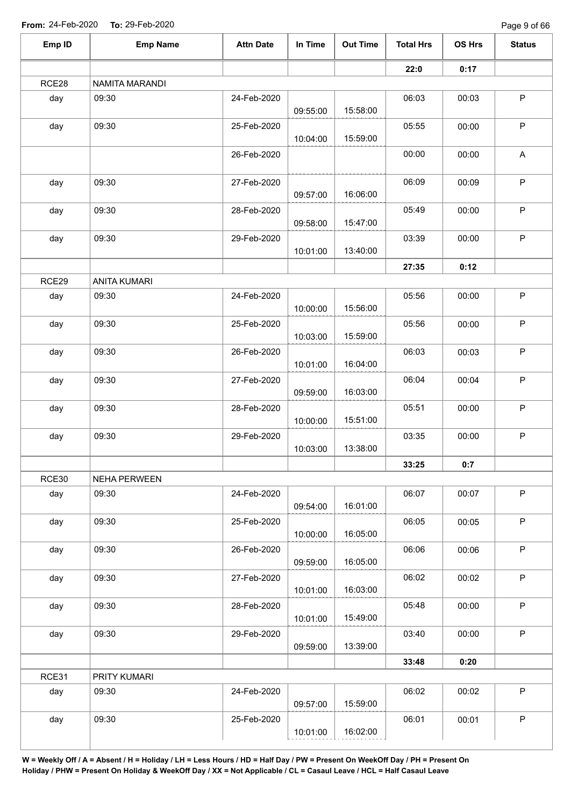| Emp ID | <b>Emp Name</b>     | <b>Attn Date</b> | In Time  | <b>Out Time</b> | <b>Total Hrs</b> | OS Hrs | <b>Status</b> |
|--------|---------------------|------------------|----------|-----------------|------------------|--------|---------------|
|        |                     |                  |          |                 | 22:0             | 0:17   |               |
| RCE28  | NAMITA MARANDI      |                  |          |                 |                  |        |               |
| day    | 09:30               | 24-Feb-2020      | 09:55:00 | 15:58:00        | 06:03            | 00:03  | $\mathsf P$   |
| day    | 09:30               | 25-Feb-2020      | 10:04:00 | 15:59:00        | 05:55            | 00:00  | $\sf P$       |
|        |                     | 26-Feb-2020      |          |                 | 00:00            | 00:00  | A             |
| day    | 09:30               | 27-Feb-2020      | 09:57:00 | 16:06:00        | 06:09            | 00:09  | $\mathsf P$   |
| day    | 09:30               | 28-Feb-2020      | 09:58:00 | 15:47:00        | 05:49            | 00:00  | $\mathsf P$   |
| day    | 09:30               | 29-Feb-2020      | 10:01:00 | 13:40:00        | 03:39            | 00:00  | $\mathsf P$   |
|        |                     |                  |          |                 | 27:35            | 0:12   |               |
| RCE29  | <b>ANITA KUMARI</b> |                  |          |                 |                  |        |               |
| day    | 09:30               | 24-Feb-2020      | 10:00:00 | 15:56:00        | 05:56            | 00:00  | $\mathsf P$   |
| day    | 09:30               | 25-Feb-2020      | 10:03:00 | 15:59:00        | 05:56            | 00:00  | $\mathsf P$   |
| day    | 09:30               | 26-Feb-2020      | 10:01:00 | 16:04:00        | 06:03            | 00:03  | $\mathsf P$   |
| day    | 09:30               | 27-Feb-2020      | 09:59:00 | 16:03:00        | 06:04            | 00:04  | $\sf P$       |
| day    | 09:30               | 28-Feb-2020      | 10:00:00 | 15:51:00        | 05:51            | 00:00  | $\sf P$       |
| day    | 09:30               | 29-Feb-2020      | 10:03:00 | 13:38:00        | 03:35            | 00:00  | $\mathsf P$   |
|        |                     |                  |          |                 | 33:25            | 0:7    |               |
| RCE30  | <b>NEHA PERWEEN</b> |                  |          |                 |                  |        |               |
| day    | 09:30               | 24-Feb-2020      | 09:54:00 | 16:01:00        | 06:07            | 00:07  | $\mathsf P$   |
| day    | 09:30               | 25-Feb-2020      | 10:00:00 | 16:05:00        | 06:05            | 00:05  | $\mathsf P$   |
| day    | 09:30               | 26-Feb-2020      | 09:59:00 | 16:05:00        | 06:06            | 00:06  | $\mathsf P$   |
| day    | 09:30               | 27-Feb-2020      | 10:01:00 | 16:03:00        | 06:02            | 00:02  | $\mathsf P$   |
| day    | 09:30               | 28-Feb-2020      | 10:01:00 | 15:49:00        | 05:48            | 00:00  | $\mathsf P$   |
| day    | 09:30               | 29-Feb-2020      | 09:59:00 | 13:39:00        | 03:40            | 00:00  | P             |
|        |                     |                  |          |                 | 33:48            | 0:20   |               |
| RCE31  | PRITY KUMARI        |                  |          |                 |                  |        |               |
| day    | 09:30               | 24-Feb-2020      | 09:57:00 | 15:59:00        | 06:02            | 00:02  | P             |
| day    | 09:30               | 25-Feb-2020      | 10:01:00 | 16:02:00        | 06:01            | 00:01  | $\mathsf P$   |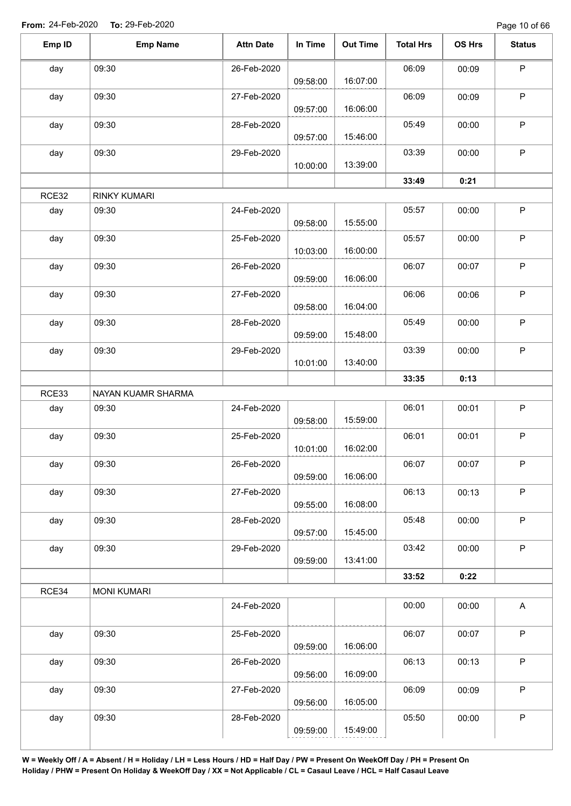Page 10 of 66

| Emp ID | <b>Emp Name</b>     | <b>Attn Date</b> | In Time  | <b>Out Time</b> | <b>Total Hrs</b> | OS Hrs | <b>Status</b> |
|--------|---------------------|------------------|----------|-----------------|------------------|--------|---------------|
| day    | 09:30               | 26-Feb-2020      |          |                 | 06:09            | 00:09  | $\mathsf P$   |
|        |                     |                  | 09:58:00 | 16:07:00        |                  |        |               |
| day    | 09:30               | 27-Feb-2020      | 09:57:00 | 16:06:00        | 06:09            | 00:09  | $\mathsf P$   |
| day    | 09:30               | 28-Feb-2020      |          |                 | 05:49            | 00:00  | $\mathsf P$   |
|        |                     |                  | 09:57:00 | 15:46:00        |                  |        |               |
| day    | 09:30               | 29-Feb-2020      | 10:00:00 | 13:39:00        | 03:39            | 00:00  | $\sf P$       |
|        |                     |                  |          |                 | 33:49            | 0:21   |               |
| RCE32  | <b>RINKY KUMARI</b> |                  |          |                 |                  |        |               |
| day    | 09:30               | 24-Feb-2020      | 09:58:00 | 15:55:00        | 05:57            | 00:00  | $\sf P$       |
| day    | 09:30               | 25-Feb-2020      | 10:03:00 | 16:00:00        | 05:57            | 00:00  | $\mathsf P$   |
| day    | 09:30               | 26-Feb-2020      |          |                 | 06:07            | 00:07  | $\sf P$       |
|        |                     |                  | 09:59:00 | 16:06:00        |                  |        |               |
| day    | 09:30               | 27-Feb-2020      | 09:58:00 | 16:04:00        | 06:06            | 00:06  | $\mathsf P$   |
| day    | 09:30               | 28-Feb-2020      | 09:59:00 | 15:48:00        | 05:49            | 00:00  | $\sf P$       |
| day    | 09:30               | 29-Feb-2020      |          |                 | 03:39            | 00:00  | $\mathsf P$   |
|        |                     |                  | 10:01:00 | 13:40:00        |                  |        |               |
|        |                     |                  |          |                 | 33:35            | 0:13   |               |
| RCE33  | NAYAN KUAMR SHARMA  |                  |          |                 |                  |        |               |
| day    | 09:30               | 24-Feb-2020      | 09:58:00 | 15:59:00        | 06:01            | 00:01  | $\mathsf P$   |
| day    | 09:30               | 25-Feb-2020      | 10:01:00 | 16:02:00        | 06:01            | 00:01  | $\sf P$       |
| day    | 09:30               | 26-Feb-2020      | 09:59:00 | 16:06:00        | 06:07            | 00:07  | $\mathsf P$   |
| day    | 09:30               | 27-Feb-2020      | 09:55:00 | 16:08:00        | 06:13            | 00:13  | $\mathsf P$   |
| day    | 09:30               | 28-Feb-2020      |          |                 | 05:48            | 00:00  | $\mathsf P$   |
| day    | 09:30               | 29-Feb-2020      | 09:57:00 | 15:45:00        | 03:42            | 00:00  | $\sf P$       |
|        |                     |                  | 09:59:00 | 13:41:00        |                  |        |               |
|        |                     |                  |          |                 | 33:52            | 0:22   |               |
| RCE34  | <b>MONI KUMARI</b>  |                  |          |                 |                  |        |               |
|        |                     | 24-Feb-2020      |          |                 | 00:00            | 00:00  | A             |
| day    | 09:30               | 25-Feb-2020      | 09:59:00 | 16:06:00        | 06:07            | 00:07  | $\mathsf P$   |
| day    | 09:30               | 26-Feb-2020      | 09:56:00 | 16:09:00        | 06:13            | 00:13  | $\sf P$       |
| day    | 09:30               | 27-Feb-2020      |          |                 | 06:09            | 00:09  | $\sf P$       |
|        |                     |                  | 09:56:00 | 16:05:00        |                  |        |               |
| day    | 09:30               | 28-Feb-2020      | 09:59:00 | 15:49:00        | 05:50            | 00:00  | P             |
|        |                     |                  |          |                 |                  |        |               |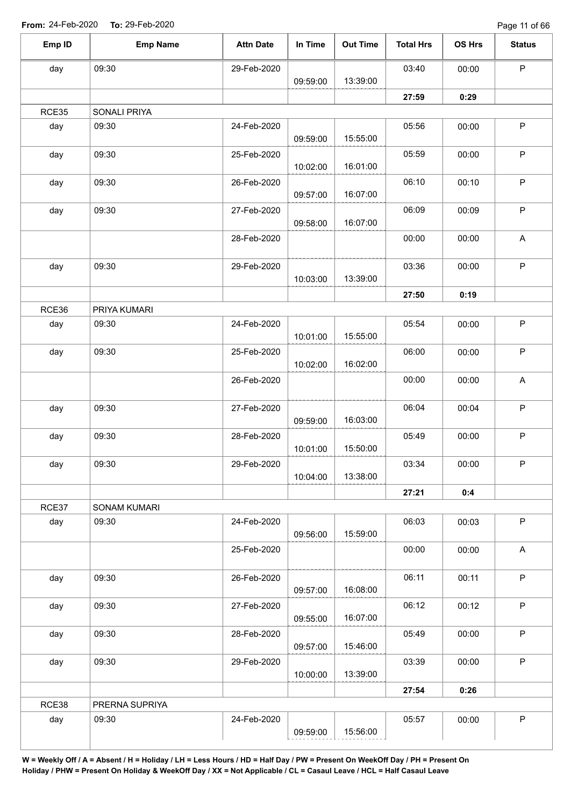Page 11 of 66

| Emp ID       | <b>Emp Name</b>              | <b>Attn Date</b> | In Time  | <b>Out Time</b> | <b>Total Hrs</b> | OS Hrs | <b>Status</b>             |
|--------------|------------------------------|------------------|----------|-----------------|------------------|--------|---------------------------|
| day          | 09:30                        | 29-Feb-2020      |          |                 | 03:40            | 00:00  | $\sf P$                   |
|              |                              |                  | 09:59:00 | 13:39:00        |                  |        |                           |
|              |                              |                  |          |                 | 27:59            | 0:29   |                           |
| RCE35        | SONALI PRIYA                 |                  |          |                 |                  |        |                           |
| day          | 09:30                        | 24-Feb-2020      | 09:59:00 | 15:55:00        | 05:56            | 00:00  | $\mathsf P$               |
| day          | 09:30                        | 25-Feb-2020      | 10:02:00 | 16:01:00        | 05:59            | 00:00  | $\sf P$                   |
| day          | 09:30                        | 26-Feb-2020      | 09:57:00 | 16:07:00        | 06:10            | 00:10  | $\sf P$                   |
| day          | 09:30                        | 27-Feb-2020      | 09:58:00 | 16:07:00        | 06:09            | 00:09  | P                         |
|              |                              | 28-Feb-2020      |          |                 | 00:00            | 00:00  | A                         |
| day          | 09:30                        | 29-Feb-2020      | 10:03:00 | 13:39:00        | 03:36            | 00:00  | $\sf P$                   |
|              |                              |                  |          |                 | 27:50            | 0:19   |                           |
| RCE36        | PRIYA KUMARI                 |                  |          |                 |                  |        |                           |
| day          | 09:30                        | 24-Feb-2020      | 10:01:00 | 15:55:00        | 05:54            | 00:00  | $\sf P$                   |
| day          | 09:30                        | 25-Feb-2020      | 10:02:00 | 16:02:00        | 06:00            | 00:00  | $\mathsf P$               |
|              |                              | 26-Feb-2020      |          |                 | 00:00            | 00:00  | $\boldsymbol{\mathsf{A}}$ |
| day          | 09:30                        | 27-Feb-2020      |          | 16:03:00        | 06:04            | 00:04  | $\sf P$                   |
| day          | 09:30                        | 28-Feb-2020      | 09:59:00 |                 | 05:49            | 00:00  | $\sf P$                   |
| day          | 09:30                        | 29-Feb-2020      | 10:01:00 | 15:50:00        | 03:34            | 00:00  | P                         |
|              |                              |                  | 10:04:00 | 13:38:00        |                  |        |                           |
|              |                              |                  |          |                 | 27:21            | 0:4    |                           |
| RCE37<br>day | <b>SONAM KUMARI</b><br>09:30 | 24-Feb-2020      | 09:56:00 | 15:59:00        | 06:03            | 00:03  | $\sf P$                   |
|              |                              | 25-Feb-2020      |          |                 | 00:00            | 00:00  | A                         |
| day          | 09:30                        | 26-Feb-2020      | 09:57:00 | 16:08:00        | 06:11            | 00:11  | $\mathsf P$               |
| day          | 09:30                        | 27-Feb-2020      | 09:55:00 | 16:07:00        | 06:12            | 00:12  | $\mathsf P$               |
| day          | 09:30                        | 28-Feb-2020      | 09:57:00 | 15:46:00        | 05:49            | 00:00  | $\mathsf P$               |
| day          | 09:30                        | 29-Feb-2020      | 10:00:00 | 13:39:00        | 03:39            | 00:00  | $\mathsf P$               |
|              |                              |                  |          |                 | 27:54            | 0:26   |                           |
| RCE38        | PRERNA SUPRIYA               |                  |          |                 |                  |        |                           |
| day          | 09:30                        | 24-Feb-2020      | 09:59:00 | 15:56:00        | 05:57            | 00:00  | $\sf P$                   |
|              |                              |                  |          |                 |                  |        |                           |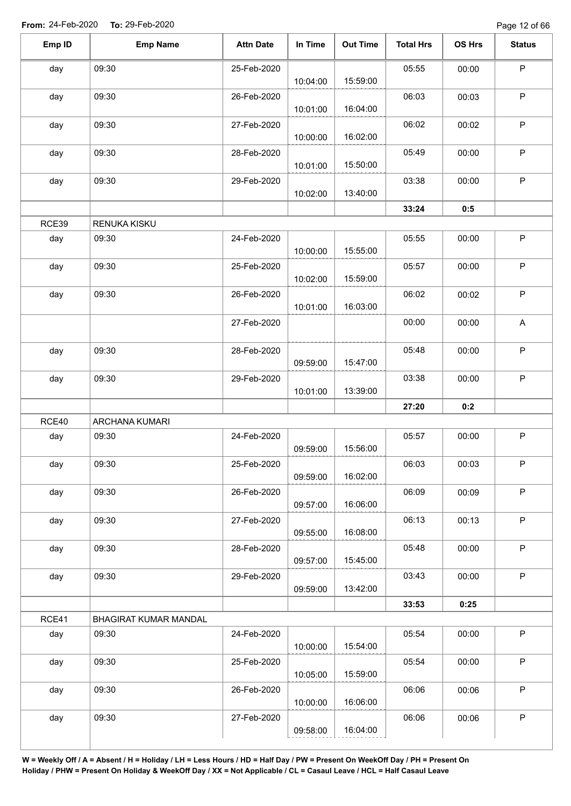| Emp ID | <b>Emp Name</b>       | <b>Attn Date</b> | In Time  | <b>Out Time</b> | <b>Total Hrs</b> | OS Hrs | <b>Status</b> |
|--------|-----------------------|------------------|----------|-----------------|------------------|--------|---------------|
| day    | 09:30                 | 25-Feb-2020      | 10:04:00 | 15:59:00        | 05:55            | 00:00  | $\sf P$       |
| day    | 09:30                 | 26-Feb-2020      | 10:01:00 | 16:04:00        | 06:03            | 00:03  | $\mathsf P$   |
| day    | 09:30                 | 27-Feb-2020      | 10:00:00 | 16:02:00        | 06:02            | 00:02  | $\mathsf{P}$  |
| day    | 09:30                 | 28-Feb-2020      | 10:01:00 | 15:50:00        | 05:49            | 00:00  | $\mathsf{P}$  |
| day    | 09:30                 | 29-Feb-2020      | 10:02:00 | 13:40:00        | 03:38            | 00:00  | P             |
|        |                       |                  |          |                 | 33:24            | 0:5    |               |
| RCE39  | RENUKA KISKU          |                  |          |                 |                  |        |               |
| day    | 09:30                 | 24-Feb-2020      | 10:00:00 | 15:55:00        | 05:55            | 00:00  | $\mathsf P$   |
| day    | 09:30                 | 25-Feb-2020      | 10:02:00 | 15:59:00        | 05:57            | 00:00  | $\mathsf{P}$  |
| day    | 09:30                 | 26-Feb-2020      | 10:01:00 | 16:03:00        | 06:02            | 00:02  | $\mathsf P$   |
|        |                       | 27-Feb-2020      |          |                 | 00:00            | 00:00  | $\mathsf A$   |
| day    | 09:30                 | 28-Feb-2020      | 09:59:00 | 15:47:00        | 05:48            | 00:00  | $\mathsf P$   |
| day    | 09:30                 | 29-Feb-2020      | 10:01:00 | 13:39:00        | 03:38            | 00:00  | $\mathsf{P}$  |
|        |                       |                  |          |                 | 27:20            | 0:2    |               |
| RCE40  | ARCHANA KUMARI        |                  |          |                 |                  |        |               |
| day    | 09:30                 | 24-Feb-2020      | 09:59:00 | 15:56:00        | 05:57            | 00:00  | P             |
| day    | 09:30                 | 25-Feb-2020      | 09:59:00 | 16:02:00        | 06:03            | 00:03  | P             |
| day    | 09:30                 | 26-Feb-2020      | 09:57:00 | 16:06:00        | 06:09            | 00:09  | $\mathsf P$   |
| day    | 09:30                 | 27-Feb-2020      | 09:55:00 | 16:08:00        | 06:13            | 00:13  | P             |
| day    | 09:30                 | 28-Feb-2020      | 09:57:00 | 15:45:00        | 05:48            | 00:00  | $\mathsf P$   |
| day    | 09:30                 | 29-Feb-2020      | 09:59:00 | 13:42:00        | 03:43            | 00:00  | P             |
|        |                       |                  |          |                 | 33:53            | 0:25   |               |
| RCE41  | BHAGIRAT KUMAR MANDAL |                  |          |                 |                  |        |               |
| day    | 09:30                 | 24-Feb-2020      | 10:00:00 | 15:54:00        | 05:54            | 00:00  | P             |
| day    | 09:30                 | 25-Feb-2020      | 10:05:00 | 15:59:00        | 05:54            | 00:00  | P             |
| day    | 09:30                 | 26-Feb-2020      | 10:00:00 | 16:06:00        | 06:06            | 00:06  | P             |
| day    | 09:30                 | 27-Feb-2020      | 09:58:00 | 16:04:00        | 06:06            | 00:06  | $\mathsf P$   |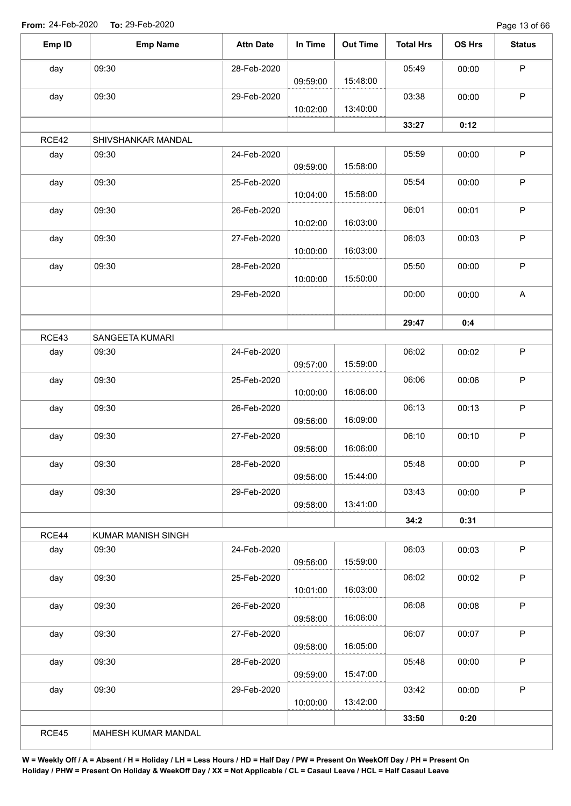Page 13 of 66

| Emp ID | <b>Emp Name</b>    | <b>Attn Date</b> | In Time  | <b>Out Time</b> | <b>Total Hrs</b> | OS Hrs | <b>Status</b> |
|--------|--------------------|------------------|----------|-----------------|------------------|--------|---------------|
| day    | 09:30              | 28-Feb-2020      |          |                 | 05:49            | 00:00  | $\sf P$       |
|        |                    |                  | 09:59:00 | 15:48:00        |                  |        |               |
| day    | 09:30              | 29-Feb-2020      |          |                 | 03:38            | 00:00  | $\sf P$       |
|        |                    |                  | 10:02:00 | 13:40:00        |                  |        |               |
|        |                    |                  |          |                 | 33:27            | 0:12   |               |
| RCE42  | SHIVSHANKAR MANDAL |                  |          |                 |                  |        |               |
| day    | 09:30              | 24-Feb-2020      | 09:59:00 | 15:58:00        | 05:59            | 00:00  | $\sf P$       |
| day    | 09:30              | 25-Feb-2020      | 10:04:00 | 15:58:00        | 05:54            | 00:00  | $\mathsf P$   |
| day    | 09:30              | 26-Feb-2020      | 10:02:00 | 16:03:00        | 06:01            | 00:01  | $\mathsf P$   |
| day    | 09:30              | 27-Feb-2020      |          | 16:03:00        | 06:03            | 00:03  | $\mathsf P$   |
|        |                    |                  | 10:00:00 |                 |                  |        | $\mathsf P$   |
| day    | 09:30              | 28-Feb-2020      | 10:00:00 | 15:50:00        | 05:50            | 00:00  |               |
|        |                    | 29-Feb-2020      |          |                 | 00:00            | 00:00  | A             |
|        |                    |                  |          |                 | 29:47            | 0:4    |               |
| RCE43  | SANGEETA KUMARI    |                  |          |                 |                  |        |               |
| day    | 09:30              | 24-Feb-2020      | 09:57:00 | 15:59:00        | 06:02            | 00:02  | $\sf P$       |
| day    | 09:30              | 25-Feb-2020      |          |                 | 06:06            | 00:06  | $\mathsf P$   |
|        |                    |                  | 10:00:00 | 16:06:00        |                  |        |               |
| day    | 09:30              | 26-Feb-2020      | 09:56:00 | 16:09:00        | 06:13            | 00:13  | $\mathsf P$   |
| day    | 09:30              | 27-Feb-2020      |          |                 | 06:10            | 00:10  | $\mathsf P$   |
|        |                    |                  | 09:56:00 | 16:06:00        |                  |        |               |
| day    | 09:30              | 28-Feb-2020      | 09:56:00 | 15:44:00        | 05:48            | 00:00  | P             |
| day    | 09:30              | 29-Feb-2020      |          |                 | 03:43            | 00:00  | $\sf P$       |
|        |                    |                  | 09:58:00 | 13:41:00        |                  |        |               |
|        |                    |                  |          |                 | 34:2             | 0:31   |               |
| RCE44  | KUMAR MANISH SINGH |                  |          |                 |                  |        | $\mathsf P$   |
| day    | 09:30              | 24-Feb-2020      | 09:56:00 | 15:59:00        | 06:03            | 00:03  |               |
| day    | 09:30              | 25-Feb-2020      | 10:01:00 | 16:03:00        | 06:02            | 00:02  | $\mathsf P$   |
| day    | 09:30              | 26-Feb-2020      | 09:58:00 | 16:06:00        | 06:08            | 00:08  | $\sf P$       |
| day    | 09:30              | 27-Feb-2020      |          |                 | 06:07            | 00:07  | $\mathsf{P}$  |
|        |                    |                  | 09:58:00 | 16:05:00        |                  |        |               |
| day    | 09:30              | 28-Feb-2020      |          |                 | 05:48            | 00:00  | $\sf P$       |
|        |                    |                  | 09:59:00 | 15:47:00        |                  |        |               |
| day    | 09:30              | 29-Feb-2020      |          |                 | 03:42            | 00:00  | P             |
|        |                    |                  | 10:00:00 | 13:42:00        |                  |        |               |
|        |                    |                  |          |                 | 33:50            | 0:20   |               |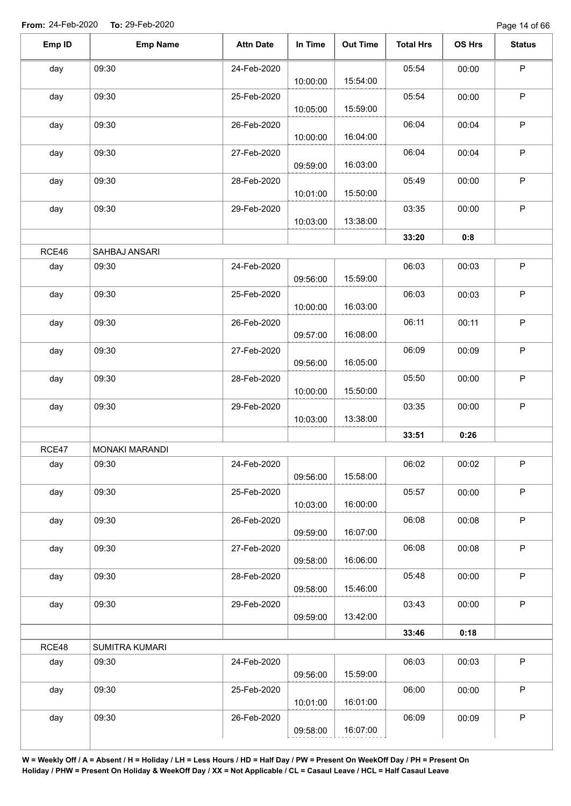| Emp ID | <b>Emp Name</b> | <b>Attn Date</b> | In Time  | <b>Out Time</b> | <b>Total Hrs</b> | OS Hrs | <b>Status</b> |
|--------|-----------------|------------------|----------|-----------------|------------------|--------|---------------|
| day    | 09:30           | 24-Feb-2020      | 10:00:00 | 15:54:00        | 05:54            | 00:00  | $\mathsf P$   |
| day    | 09:30           | 25-Feb-2020      | 10:05:00 | 15:59:00        | 05:54            | 00:00  | $\sf P$       |
| day    | 09:30           | 26-Feb-2020      | 10:00:00 | 16:04:00        | 06:04            | 00:04  | $\mathsf P$   |
| day    | 09:30           | 27-Feb-2020      | 09:59:00 | 16:03:00        | 06:04            | 00:04  | $\sf P$       |
| day    | 09:30           | 28-Feb-2020      | 10:01:00 | 15:50:00        | 05:49            | 00:00  | P             |
| day    | 09:30           | 29-Feb-2020      | 10:03:00 | 13:38:00        | 03:35            | 00:00  | $\sf P$       |
|        |                 |                  |          |                 | 33:20            | 0:8    |               |
| RCE46  | SAHBAJ ANSARI   |                  |          |                 |                  |        |               |
| day    | 09:30           | 24-Feb-2020      | 09:56:00 | 15:59:00        | 06:03            | 00:03  | $\sf P$       |
| day    | 09:30           | 25-Feb-2020      | 10:00:00 | 16:03:00        | 06:03            | 00:03  | $\mathsf P$   |
| day    | 09:30           | 26-Feb-2020      | 09:57:00 | 16:08:00        | 06:11            | 00:11  | $\sf P$       |
| day    | 09:30           | 27-Feb-2020      | 09:56:00 | 16:05:00        | 06:09            | 00:09  | $\sf P$       |
| day    | 09:30           | 28-Feb-2020      | 10:00:00 | 15:50:00        | 05:50            | 00:00  | $\mathsf P$   |
| day    | 09:30           | 29-Feb-2020      | 10:03:00 | 13:38:00        | 03:35            | 00:00  | $\sf P$       |
|        |                 |                  |          |                 | 33:51            | 0:26   |               |
| RCE47  | MONAKI MARANDI  |                  |          |                 |                  |        |               |
| day    | 09:30           | 24-Feb-2020      | 09:56:00 | 15:58:00        | 06:02            | 00:02  | $\mathsf{P}$  |
| day    | 09:30           | 25-Feb-2020      | 10:03:00 | 16:00:00        | 05:57            | 00:00  | $\mathsf P$   |
| day    | 09:30           | 26-Feb-2020      | 09:59:00 | 16:07:00        | 06:08            | 00:08  | $\sf P$       |
| day    | 09:30           | 27-Feb-2020      | 09:58:00 | 16:06:00        | 06:08            | 00:08  | $\sf P$       |
| day    | 09:30           | 28-Feb-2020      | 09:58:00 | 15:46:00        | 05:48            | 00:00  | $\sf P$       |
| day    | 09:30           | 29-Feb-2020      | 09:59:00 | 13:42:00        | 03:43            | 00:00  | $\sf P$       |
|        |                 |                  |          |                 | 33:46            | 0:18   |               |
| RCE48  | SUMITRA KUMARI  |                  |          |                 |                  |        |               |
| day    | 09:30           | 24-Feb-2020      | 09:56:00 | 15:59:00        | 06:03            | 00:03  | $\sf P$       |
| day    | 09:30           | 25-Feb-2020      | 10:01:00 | 16:01:00        | 06:00            | 00:00  | $\mathsf P$   |
| day    | 09:30           | 26-Feb-2020      |          |                 | 06:09            | 00:09  | P             |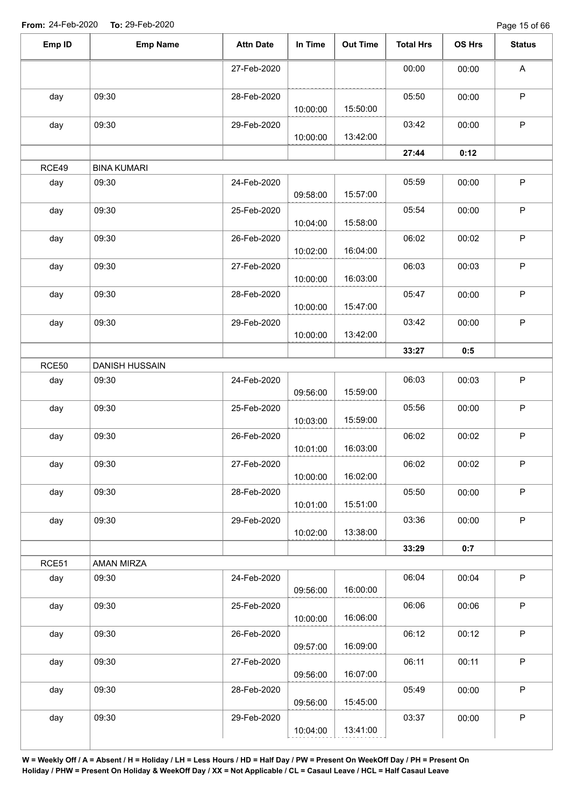Page 15 of 66

| Emp ID | <b>Emp Name</b>       | <b>Attn Date</b> | In Time  | <b>Out Time</b> | <b>Total Hrs</b> | OS Hrs | <b>Status</b> |
|--------|-----------------------|------------------|----------|-----------------|------------------|--------|---------------|
|        |                       | 27-Feb-2020      |          |                 | 00:00            | 00:00  | A             |
| day    | 09:30                 | 28-Feb-2020      | 10:00:00 | 15:50:00        | 05:50            | 00:00  | $\mathsf P$   |
| day    | 09:30                 | 29-Feb-2020      | 10:00:00 | 13:42:00        | 03:42            | 00:00  | $\mathsf P$   |
|        |                       |                  |          |                 | 27:44            | 0:12   |               |
| RCE49  | <b>BINA KUMARI</b>    |                  |          |                 |                  |        |               |
| day    | 09:30                 | 24-Feb-2020      | 09:58:00 | 15:57:00        | 05:59            | 00:00  | $\sf P$       |
| day    | 09:30                 | 25-Feb-2020      | 10:04:00 | 15:58:00        | 05:54            | 00:00  | $\mathsf P$   |
| day    | 09:30                 | 26-Feb-2020      | 10:02:00 | 16:04:00        | 06:02            | 00:02  | $\mathsf P$   |
| day    | 09:30                 | 27-Feb-2020      | 10:00:00 | 16:03:00        | 06:03            | 00:03  | $\mathsf P$   |
| day    | 09:30                 | 28-Feb-2020      | 10:00:00 | 15:47:00        | 05:47            | 00:00  | $\sf P$       |
| day    | 09:30                 | 29-Feb-2020      | 10:00:00 | 13:42:00        | 03:42            | 00:00  | $\sf P$       |
|        |                       |                  |          |                 | 33:27            | 0:5    |               |
| RCE50  | <b>DANISH HUSSAIN</b> |                  |          |                 |                  |        |               |
| day    | 09:30                 | 24-Feb-2020      | 09:56:00 | 15:59:00        | 06:03            | 00:03  | $\mathsf P$   |
| day    | 09:30                 | 25-Feb-2020      | 10:03:00 | 15:59:00        | 05:56            | 00:00  | $\sf P$       |
| day    | 09:30                 | 26-Feb-2020      | 10:01:00 | 16:03:00        | 06:02            | 00:02  | $\mathsf P$   |
| day    | 09:30                 | 27-Feb-2020      | 10:00:00 | 16:02:00        | 06:02            | 00:02  | $\mathsf P$   |
| day    | 09:30                 | 28-Feb-2020      | 10:01:00 | 15:51:00        | 05:50            | 00:00  | $\mathsf P$   |
| day    | 09:30                 | 29-Feb-2020      | 10:02:00 | 13:38:00        | 03:36            | 00:00  | $\mathsf P$   |
|        |                       |                  |          |                 | 33:29            | 0:7    |               |
| RCE51  | AMAN MIRZA            |                  |          |                 |                  |        |               |
| day    | 09:30                 | 24-Feb-2020      | 09:56:00 | 16:00:00        | 06:04            | 00:04  | $\sf P$       |
| day    | 09:30                 | 25-Feb-2020      | 10:00:00 | 16:06:00        | 06:06            | 00:06  | $\mathsf P$   |
| day    | 09:30                 | 26-Feb-2020      | 09:57:00 | 16:09:00        | 06:12            | 00:12  | $\mathsf P$   |
| day    | 09:30                 | 27-Feb-2020      | 09:56:00 | 16:07:00        | 06:11            | 00:11  | $\mathsf P$   |
| day    | 09:30                 | 28-Feb-2020      | 09:56:00 | 15:45:00        | 05:49            | 00:00  | $\sf P$       |
| day    | 09:30                 | 29-Feb-2020      | 10:04:00 | 13:41:00        | 03:37            | 00:00  | $\mathsf P$   |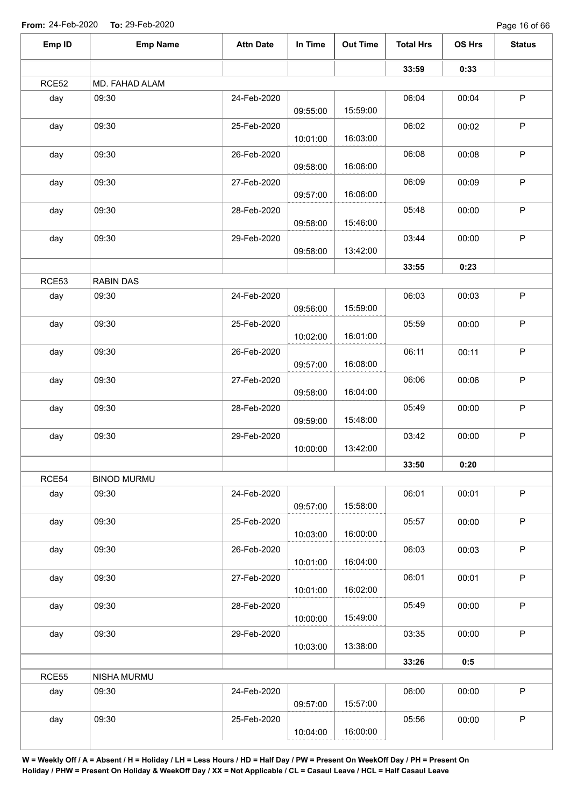Page 16 of 66

| Emp ID       | <b>Emp Name</b>    | <b>Attn Date</b> | In Time  | <b>Out Time</b> | <b>Total Hrs</b> | OS Hrs | <b>Status</b> |
|--------------|--------------------|------------------|----------|-----------------|------------------|--------|---------------|
|              |                    |                  |          |                 | 33:59            | 0:33   |               |
| <b>RCE52</b> | MD. FAHAD ALAM     |                  |          |                 |                  |        |               |
| day          | 09:30              | 24-Feb-2020      | 09:55:00 | 15:59:00        | 06:04            | 00:04  | $\sf P$       |
| day          | 09:30              | 25-Feb-2020      | 10:01:00 | 16:03:00        | 06:02            | 00:02  | $\mathsf P$   |
| day          | 09:30              | 26-Feb-2020      |          |                 | 06:08            | 00:08  | $\sf P$       |
| day          | 09:30              | 27-Feb-2020      | 09:58:00 | 16:06:00        | 06:09            | 00:09  | $\sf P$       |
| day          | 09:30              | 28-Feb-2020      | 09:57:00 | 16:06:00        | 05:48            | 00:00  | $\mathsf P$   |
| day          | 09:30              | 29-Feb-2020      | 09:58:00 | 15:46:00        | 03:44            | 00:00  | $\mathsf P$   |
|              |                    |                  | 09:58:00 | 13:42:00        |                  |        |               |
| RCE53        | <b>RABIN DAS</b>   |                  |          |                 | 33:55            | 0:23   |               |
| day          | 09:30              | 24-Feb-2020      | 09:56:00 | 15:59:00        | 06:03            | 00:03  | $\mathsf P$   |
| day          | 09:30              | 25-Feb-2020      | 10:02:00 | 16:01:00        | 05:59            | 00:00  | P             |
| day          | 09:30              | 26-Feb-2020      | 09:57:00 | 16:08:00        | 06:11            | 00:11  | P             |
| day          | 09:30              | 27-Feb-2020      | 09:58:00 | 16:04:00        | 06:06            | 00:06  | $\sf P$       |
| day          | 09:30              | 28-Feb-2020      | 09:59:00 | 15:48:00        | 05:49            | 00:00  | $\mathsf P$   |
| day          | 09:30              | 29-Feb-2020      | 10:00:00 | 13:42:00        | 03:42            | 00:00  | $\mathsf P$   |
|              |                    |                  |          |                 | 33:50            | 0:20   |               |
| RCE54        | <b>BINOD MURMU</b> |                  |          |                 |                  |        |               |
| day          | 09:30              | 24-Feb-2020      | 09:57:00 | 15:58:00        | 06:01            | 00:01  | $\sf P$       |
| day          | 09:30              | 25-Feb-2020      |          | 16:00:00        | 05:57            | 00:00  | $\sf P$       |
| day          | 09:30              | 26-Feb-2020      | 10:03:00 |                 | 06:03            | 00:03  | P             |
| day          | 09:30              | 27-Feb-2020      | 10:01:00 | 16:04:00        | 06:01            | 00:01  | $\mathsf P$   |
| day          | 09:30              | 28-Feb-2020      | 10:01:00 | 16:02:00        | 05:49            | 00:00  | P             |
| day          | 09:30              | 29-Feb-2020      | 10:00:00 | 15:49:00        | 03:35            | 00:00  | $\mathsf P$   |
|              |                    |                  | 10:03:00 | 13:38:00        | 33:26            | 0:5    |               |
| <b>RCE55</b> | NISHA MURMU        |                  |          |                 |                  |        |               |
| day          | 09:30              | 24-Feb-2020      | 09:57:00 | 15:57:00        | 06:00            | 00:00  | $\mathsf P$   |
| day          | 09:30              | 25-Feb-2020      | 10:04:00 | 16:00:00        | 05:56            | 00:00  | P             |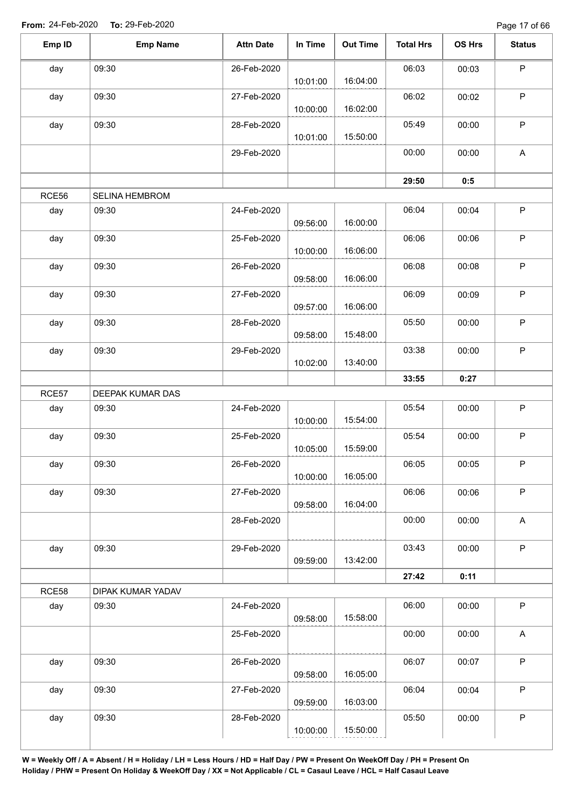Page 17 of 66

| Emp ID | <b>Emp Name</b>       | <b>Attn Date</b> | In Time  | <b>Out Time</b> | <b>Total Hrs</b> | OS Hrs | <b>Status</b>             |
|--------|-----------------------|------------------|----------|-----------------|------------------|--------|---------------------------|
| day    | 09:30                 | 26-Feb-2020      |          |                 | 06:03            | 00:03  | $\mathsf P$               |
|        |                       |                  | 10:01:00 | 16:04:00        |                  |        |                           |
| day    | 09:30                 | 27-Feb-2020      | 10:00:00 | 16:02:00        | 06:02            | 00:02  | P                         |
| day    | 09:30                 | 28-Feb-2020      |          | 15:50:00        | 05:49            | 00:00  | P                         |
|        |                       | 29-Feb-2020      | 10:01:00 |                 | 00:00            | 00:00  | A                         |
|        |                       |                  |          |                 | 29:50            | 0:5    |                           |
| RCE56  | <b>SELINA HEMBROM</b> |                  |          |                 |                  |        |                           |
|        |                       |                  |          |                 |                  |        | $\mathsf P$               |
| day    | 09:30                 | 24-Feb-2020      | 09:56:00 | 16:00:00        | 06:04            | 00:04  |                           |
| day    | 09:30                 | 25-Feb-2020      | 10:00:00 | 16:06:00        | 06:06            | 00:06  | $\mathsf P$               |
| day    | 09:30                 | 26-Feb-2020      | 09:58:00 | 16:06:00        | 06:08            | 00:08  | $\sf P$                   |
| day    | 09:30                 | 27-Feb-2020      |          |                 | 06:09            | 00:09  | $\mathsf P$               |
|        |                       |                  | 09:57:00 | 16:06:00        |                  |        |                           |
| day    | 09:30                 | 28-Feb-2020      | 09:58:00 | 15:48:00        | 05:50            | 00:00  | $\mathsf P$               |
| day    | 09:30                 | 29-Feb-2020      | 10:02:00 | 13:40:00        | 03:38            | 00:00  | $\mathsf P$               |
|        |                       |                  |          |                 | 33:55            | 0:27   |                           |
| RCE57  | DEEPAK KUMAR DAS      |                  |          |                 |                  |        |                           |
| day    | 09:30                 | 24-Feb-2020      |          |                 | 05:54            | 00:00  | $\mathsf P$               |
|        |                       |                  | 10:00:00 | 15:54:00        |                  |        |                           |
| day    | 09:30                 | 25-Feb-2020      | 10:05:00 | 15:59:00        | 05:54            | 00:00  | P                         |
| day    | 09:30                 | 26-Feb-2020      | 10:00:00 | 16:05:00        | 06:05            | 00:05  | $\mathsf P$               |
| day    | 09:30                 | 27-Feb-2020      |          | 16:04:00        | 06:06            | 00:06  | $\mathsf P$               |
|        |                       | 28-Feb-2020      | 09:58:00 |                 | 00:00            | 00:00  | $\boldsymbol{\mathsf{A}}$ |
|        |                       |                  |          |                 |                  |        |                           |
| day    | 09:30                 | 29-Feb-2020      | 09:59:00 | 13:42:00        | 03:43            | 00:00  | $\mathsf P$               |
|        |                       |                  |          |                 | 27:42            | 0:11   |                           |
| RCE58  | DIPAK KUMAR YADAV     |                  |          |                 |                  |        |                           |
| day    | 09:30                 | 24-Feb-2020      | 09:58:00 | 15:58:00        | 06:00            | 00:00  | $\mathsf P$               |
|        |                       | 25-Feb-2020      |          |                 | 00:00            | 00:00  | A                         |
| day    | 09:30                 | 26-Feb-2020      |          |                 | 06:07            | 00:07  | $\sf P$                   |
|        |                       |                  | 09:58:00 | 16:05:00        |                  |        |                           |
| day    | 09:30                 | 27-Feb-2020      | 09:59:00 | 16:03:00        | 06:04            | 00:04  | $\sf P$                   |
| day    | 09:30                 | 28-Feb-2020      |          |                 | 05:50            | 00:00  | P                         |
|        |                       |                  | 10:00:00 | 15:50:00        |                  |        |                           |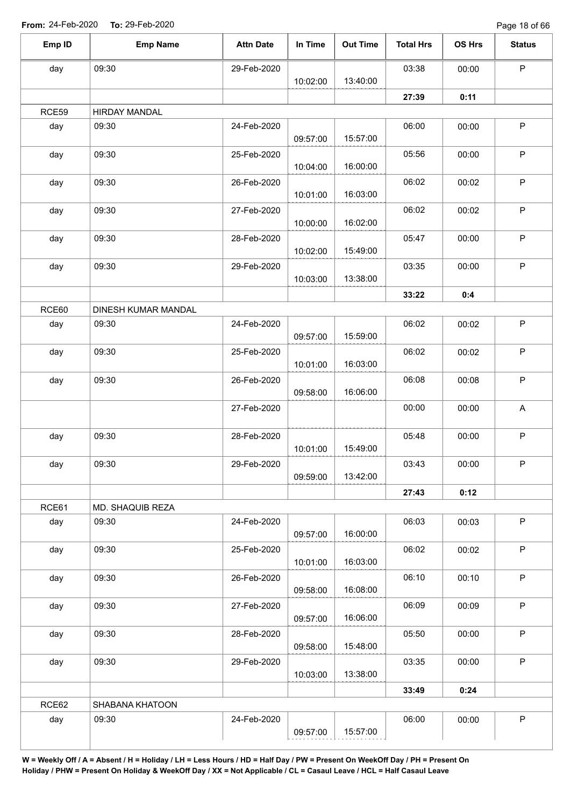Page 18 of 66

| Emp ID | <b>Emp Name</b>      | <b>Attn Date</b> | In Time  | <b>Out Time</b> | <b>Total Hrs</b> | OS Hrs | <b>Status</b> |
|--------|----------------------|------------------|----------|-----------------|------------------|--------|---------------|
| day    | 09:30                | 29-Feb-2020      |          |                 | 03:38            | 00:00  | $\mathsf P$   |
|        |                      |                  | 10:02:00 | 13:40:00        |                  |        |               |
|        |                      |                  |          |                 | 27:39            | 0:11   |               |
| RCE59  | <b>HIRDAY MANDAL</b> |                  |          |                 |                  |        |               |
| day    | 09:30                | 24-Feb-2020      |          |                 | 06:00            | 00:00  | $\mathsf P$   |
|        |                      |                  | 09:57:00 | 15:57:00        |                  |        |               |
| day    | 09:30                | 25-Feb-2020      | 10:04:00 | 16:00:00        | 05:56            | 00:00  | P             |
| day    | 09:30                | 26-Feb-2020      | 10:01:00 | 16:03:00        | 06:02            | 00:02  | $\mathsf P$   |
| day    | 09:30                | 27-Feb-2020      | 10:00:00 | 16:02:00        | 06:02            | 00:02  | $\mathsf P$   |
| day    | 09:30                | 28-Feb-2020      |          | 15:49:00        | 05:47            | 00:00  | $\mathsf P$   |
|        |                      |                  | 10:02:00 |                 |                  |        | $\mathsf P$   |
| day    | 09:30                | 29-Feb-2020      | 10:03:00 | 13:38:00        | 03:35            | 00:00  |               |
|        |                      |                  |          |                 | 33:22            | 0:4    |               |
| RCE60  | DINESH KUMAR MANDAL  |                  |          |                 |                  |        |               |
| day    | 09:30                | 24-Feb-2020      | 09:57:00 | 15:59:00        | 06:02            | 00:02  | $\mathsf P$   |
| day    | 09:30                | 25-Feb-2020      |          |                 | 06:02            | 00:02  | $\mathsf P$   |
|        |                      |                  | 10:01:00 | 16:03:00        |                  |        |               |
| day    | 09:30                | 26-Feb-2020      | 09:58:00 | 16:06:00        | 06:08            | 00:08  | $\sf P$       |
|        |                      | 27-Feb-2020      |          |                 | 00:00            | 00:00  | A             |
| day    | 09:30                | 28-Feb-2020      | 10:01:00 | 15:49:00        | 05:48            | 00:00  | $\mathsf P$   |
| day    | 09:30                | 29-Feb-2020      |          |                 | 03:43            | 00:00  | P.            |
|        |                      |                  | 09:59:00 | 13:42:00        |                  |        |               |
|        |                      |                  |          |                 | 27:43            | 0:12   |               |
| RCE61  | MD. SHAQUIB REZA     |                  |          |                 |                  |        |               |
| day    | 09:30                | 24-Feb-2020      | 09:57:00 | 16:00:00        | 06:03            | 00:03  | $\mathsf P$   |
| day    | 09:30                | 25-Feb-2020      | 10:01:00 | 16:03:00        | 06:02            | 00:02  | P             |
| day    | 09:30                | 26-Feb-2020      | 09:58:00 | 16:08:00        | 06:10            | 00:10  | $\mathsf P$   |
| day    | 09:30                | 27-Feb-2020      |          | 16:06:00        | 06:09            | 00:09  | $\mathsf{P}$  |
| day    | 09:30                | 28-Feb-2020      | 09:57:00 |                 | 05:50            | 00:00  | $\mathsf P$   |
|        |                      |                  | 09:58:00 | 15:48:00        |                  |        |               |
| day    | 09:30                | 29-Feb-2020      | 10:03:00 | 13:38:00        | 03:35            | 00:00  | $\mathsf P$   |
|        |                      |                  |          |                 | 33:49            | 0:24   |               |
| RCE62  | SHABANA KHATOON      |                  |          |                 |                  |        |               |
| day    | 09:30                | 24-Feb-2020      |          |                 | 06:00            | 00:00  | $\mathsf P$   |
|        |                      |                  | 09:57:00 | 15:57:00        |                  |        |               |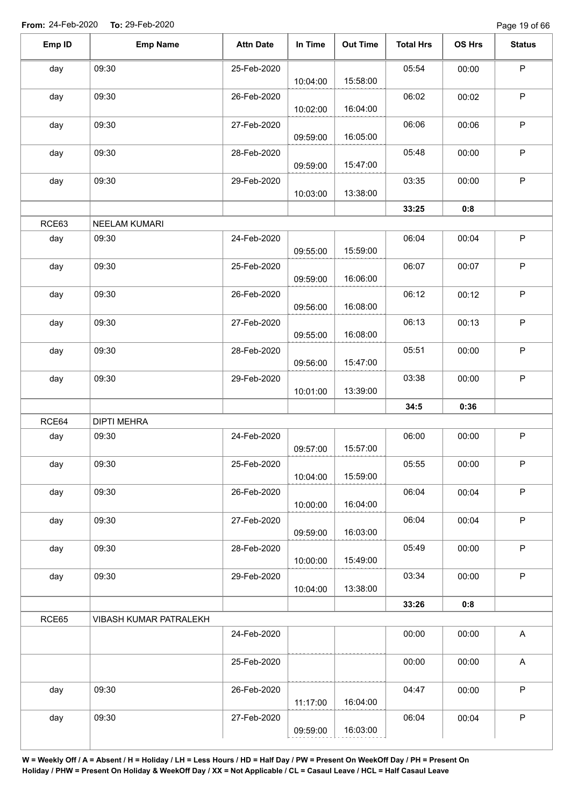| Emp ID | <b>Emp Name</b>        | <b>Attn Date</b> | In Time  | <b>Out Time</b> | <b>Total Hrs</b> | OS Hrs | <b>Status</b> |
|--------|------------------------|------------------|----------|-----------------|------------------|--------|---------------|
| day    | 09:30                  | 25-Feb-2020      | 10:04:00 | 15:58:00        | 05:54            | 00:00  | $\mathsf P$   |
| day    | 09:30                  | 26-Feb-2020      | 10:02:00 | 16:04:00        | 06:02            | 00:02  | $\mathsf P$   |
| day    | 09:30                  | 27-Feb-2020      | 09:59:00 | 16:05:00        | 06:06            | 00:06  | $\mathsf{P}$  |
| day    | 09:30                  | 28-Feb-2020      | 09:59:00 | 15:47:00        | 05:48            | 00:00  | $\mathsf{P}$  |
| day    | 09:30                  | 29-Feb-2020      | 10:03:00 | 13:38:00        | 03:35            | 00:00  | P             |
|        |                        |                  |          |                 | 33:25            | 0:8    |               |
| RCE63  | NEELAM KUMARI          |                  |          |                 |                  |        |               |
| day    | 09:30                  | 24-Feb-2020      | 09:55:00 | 15:59:00        | 06:04            | 00:04  | $\mathsf P$   |
| day    | 09:30                  | 25-Feb-2020      | 09:59:00 | 16:06:00        | 06:07            | 00:07  | $\mathsf P$   |
| day    | 09:30                  | 26-Feb-2020      | 09:56:00 | 16:08:00        | 06:12            | 00:12  | $\mathsf P$   |
| day    | 09:30                  | 27-Feb-2020      | 09:55:00 | 16:08:00        | 06:13            | 00:13  | P             |
| day    | 09:30                  | 28-Feb-2020      | 09:56:00 | 15:47:00        | 05:51            | 00:00  | $\mathsf P$   |
| day    | 09:30                  | 29-Feb-2020      | 10:01:00 | 13:39:00        | 03:38            | 00:00  | $\mathsf{P}$  |
|        |                        |                  |          |                 | 34:5             | 0:36   |               |
| RCE64  | <b>DIPTI MEHRA</b>     |                  |          |                 |                  |        |               |
| day    | 09:30                  | 24-Feb-2020      | 09:57:00 | 15:57:00        | 06:00            | 00:00  | $\mathsf P$   |
| day    | 09:30                  | 25-Feb-2020      | 10:04:00 | 15:59:00        | 05:55            | 00:00  | P             |
| day    | 09:30                  | 26-Feb-2020      | 10:00:00 | 16:04:00        | 06:04            | 00:04  | $\mathsf P$   |
| day    | 09:30                  | 27-Feb-2020      | 09:59:00 | 16:03:00        | 06:04            | 00:04  | $\mathsf P$   |
| day    | 09:30                  | 28-Feb-2020      | 10:00:00 | 15:49:00        | 05:49            | 00:00  | $\sf P$       |
| day    | 09:30                  | 29-Feb-2020      | 10:04:00 | 13:38:00        | 03:34            | 00:00  | $\sf P$       |
|        |                        |                  |          |                 | 33:26            | 0:8    |               |
| RCE65  | VIBASH KUMAR PATRALEKH |                  |          |                 |                  |        |               |
|        |                        | 24-Feb-2020      |          |                 | 00:00            | 00:00  | $\mathsf{A}$  |
|        |                        | 25-Feb-2020      |          |                 | 00:00            | 00:00  | $\mathsf A$   |
| day    | 09:30                  | 26-Feb-2020      | 11:17:00 | 16:04:00        | 04:47            | 00:00  | $\mathsf P$   |
| day    | 09:30                  | 27-Feb-2020      | 09:59:00 | 16:03:00        | 06:04            | 00:04  | $\mathsf P$   |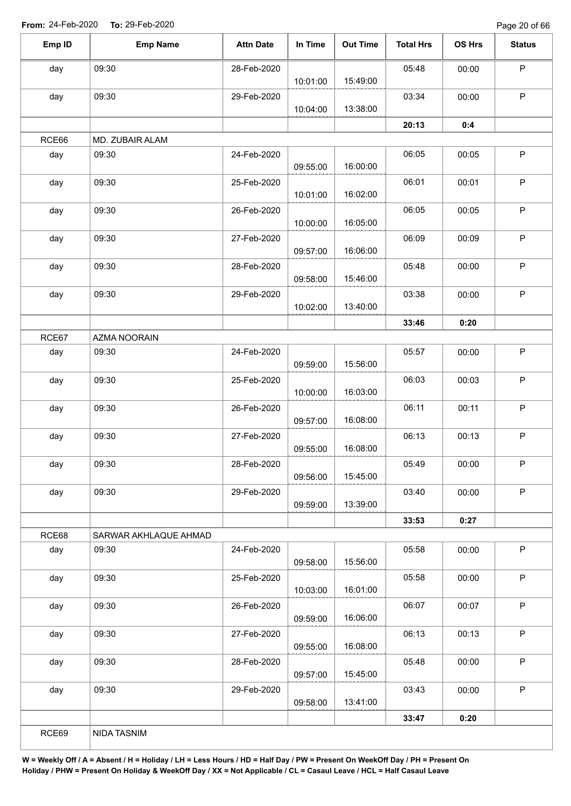Page 20 of 66

| Emp ID | <b>Emp Name</b>       | <b>Attn Date</b> | In Time  | <b>Out Time</b> | <b>Total Hrs</b> | OS Hrs | <b>Status</b> |
|--------|-----------------------|------------------|----------|-----------------|------------------|--------|---------------|
| day    | 09:30                 | 28-Feb-2020      |          |                 | 05:48            | 00:00  | $\mathsf P$   |
|        |                       |                  | 10:01:00 | 15:49:00        |                  |        |               |
| day    | 09:30                 | 29-Feb-2020      |          |                 | 03:34            | 00:00  | P             |
|        |                       |                  | 10:04:00 | 13:38:00        |                  |        |               |
|        |                       |                  |          |                 | 20:13            | 0:4    |               |
| RCE66  | MD. ZUBAIR ALAM       |                  |          |                 |                  |        |               |
| day    | 09:30                 | 24-Feb-2020      | 09:55:00 | 16:00:00        | 06:05            | 00:05  | $\mathsf P$   |
| day    | 09:30                 | 25-Feb-2020      | 10:01:00 | 16:02:00        | 06:01            | 00:01  | $\mathsf P$   |
| day    | 09:30                 | 26-Feb-2020      |          |                 | 06:05            | 00:05  | $\mathsf P$   |
|        |                       |                  | 10:00:00 | 16:05:00        |                  |        |               |
| day    | 09:30                 | 27-Feb-2020      | 09:57:00 | 16:06:00        | 06:09            | 00:09  | $\mathsf P$   |
| day    | 09:30                 | 28-Feb-2020      |          |                 | 05:48            | 00:00  | $\sf P$       |
|        |                       |                  | 09:58:00 | 15:46:00        |                  |        |               |
| day    | 09:30                 | 29-Feb-2020      |          |                 | 03:38            | 00:00  | $\mathsf P$   |
|        |                       |                  | 10:02:00 | 13:40:00        |                  |        |               |
|        |                       |                  |          |                 | 33:46            | 0:20   |               |
| RCE67  | AZMA NOORAIN          |                  |          |                 |                  |        |               |
| day    | 09:30                 | 24-Feb-2020      | 09:59:00 | 15:56:00        | 05:57            | 00:00  | $\mathsf P$   |
| day    | 09:30                 | 25-Feb-2020      |          |                 | 06:03            | 00:03  | $\mathsf P$   |
|        |                       |                  | 10:00:00 | 16:03:00        |                  |        |               |
| day    | 09:30                 | 26-Feb-2020      | 09:57:00 | 16:08:00        | 06:11            | 00:11  | P             |
|        | 09:30                 | 27-Feb-2020      |          |                 | 06:13            | 00:13  | $\mathsf P$   |
| day    |                       |                  | 09:55:00 | 16:08:00        |                  |        |               |
| day    | 09:30                 | 28-Feb-2020      |          |                 | 05:49            | 00:00  | $\mathsf P$   |
|        |                       |                  | 09:56:00 | 15:45:00        |                  |        |               |
| day    | 09:30                 | 29-Feb-2020      |          | 13:39:00        | 03:40            | 00:00  | $\sf P$       |
|        |                       |                  | 09:59:00 |                 | 33:53            | 0:27   |               |
| RCE68  | SARWAR AKHLAQUE AHMAD |                  |          |                 |                  |        |               |
|        | 09:30                 | 24-Feb-2020      |          |                 | 05:58            | 00:00  | $\mathsf P$   |
| day    |                       |                  | 09:58:00 | 15:56:00        |                  |        |               |
| day    | 09:30                 | 25-Feb-2020      |          |                 | 05:58            | 00:00  | $\mathsf P$   |
|        |                       |                  | 10:03:00 | 16:01:00        |                  |        |               |
| day    | 09:30                 | 26-Feb-2020      |          |                 | 06:07            | 00:07  | $\sf P$       |
|        |                       |                  | 09:59:00 | 16:06:00        |                  |        |               |
| day    | 09:30                 | 27-Feb-2020      |          |                 | 06:13            | 00:13  | $\mathsf P$   |
|        |                       |                  | 09:55:00 | 16:08:00        |                  |        |               |
| day    | 09:30                 | 28-Feb-2020      |          |                 | 05:48            | 00:00  | $\sf P$       |
|        |                       |                  | 09:57:00 | 15:45:00        |                  |        |               |
| day    | 09:30                 | 29-Feb-2020      |          |                 | 03:43            | 00:00  | P             |
|        |                       |                  | 09:58:00 | 13:41:00        |                  |        |               |
|        |                       |                  |          |                 | 33:47            | 0:20   |               |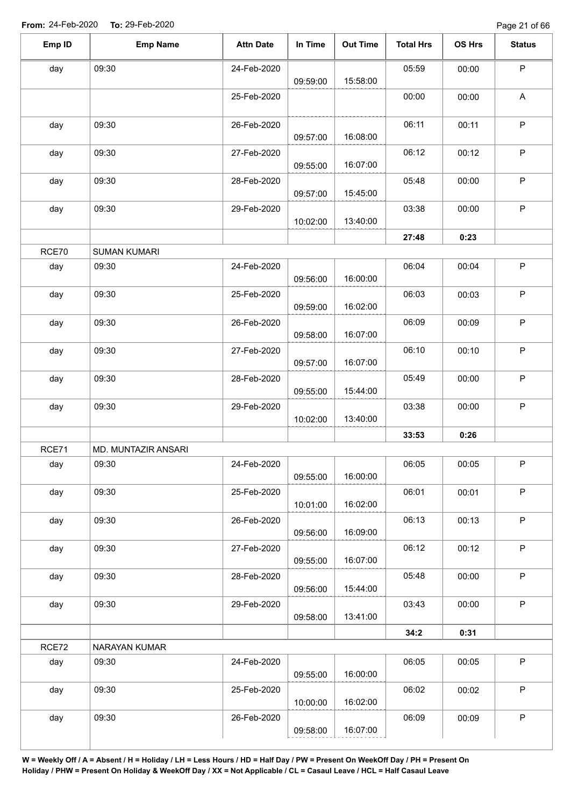| Emp ID | <b>Emp Name</b>     | <b>Attn Date</b> | In Time  | <b>Out Time</b> | <b>Total Hrs</b> | OS Hrs | <b>Status</b> |
|--------|---------------------|------------------|----------|-----------------|------------------|--------|---------------|
| day    | 09:30               | 24-Feb-2020      | 09:59:00 | 15:58:00        | 05:59            | 00:00  | P             |
|        |                     | 25-Feb-2020      |          |                 | 00:00            | 00:00  | A             |
| day    | 09:30               | 26-Feb-2020      | 09:57:00 | 16:08:00        | 06:11            | 00:11  | $\mathsf P$   |
| day    | 09:30               | 27-Feb-2020      | 09:55:00 | 16:07:00        | 06:12            | 00:12  | $\mathsf P$   |
| day    | 09:30               | 28-Feb-2020      |          |                 | 05:48            | 00:00  | $\mathsf P$   |
| day    | 09:30               | 29-Feb-2020      | 09:57:00 | 15:45:00        | 03:38            | 00:00  | $\mathsf P$   |
|        |                     |                  | 10:02:00 | 13:40:00        | 27:48            | 0:23   |               |
| RCE70  | <b>SUMAN KUMARI</b> |                  |          |                 |                  |        |               |
| day    | 09:30               | 24-Feb-2020      |          |                 | 06:04            | 00:04  | $\mathsf P$   |
|        |                     |                  | 09:56:00 | 16:00:00        |                  |        |               |
| day    | 09:30               | 25-Feb-2020      | 09:59:00 | 16:02:00        | 06:03            | 00:03  | $\sf P$       |
| day    | 09:30               | 26-Feb-2020      | 09:58:00 | 16:07:00        | 06:09            | 00:09  | $\mathsf P$   |
| day    | 09:30               | 27-Feb-2020      | 09:57:00 | 16:07:00        | 06:10            | 00:10  | $\mathsf P$   |
| day    | 09:30               | 28-Feb-2020      | 09:55:00 | 15:44:00        | 05:49            | 00:00  | $\sf P$       |
| day    | 09:30               | 29-Feb-2020      | 10:02:00 | 13:40:00        | 03:38            | 00:00  | $\mathsf P$   |
|        |                     |                  |          |                 | 33:53            | 0:26   |               |
| RCE71  | MD. MUNTAZIR ANSARI |                  |          |                 |                  |        |               |
| day    | 09:30               | 24-Feb-2020      | 09:55:00 | 16:00:00        | 06:05            | 00:05  | P             |
| day    | 09:30               | 25-Feb-2020      | 10:01:00 | 16:02:00        | 06:01            | 00:01  | $\sf P$       |
| day    | 09:30               | 26-Feb-2020      | 09:56:00 | 16:09:00        | 06:13            | 00:13  | P             |
| day    | 09:30               | 27-Feb-2020      | 09:55:00 | 16:07:00        | 06:12            | 00:12  | $\mathsf P$   |
| day    | 09:30               | 28-Feb-2020      | 09:56:00 | 15:44:00        | 05:48            | 00:00  | $\sf P$       |
| day    | 09:30               | 29-Feb-2020      | 09:58:00 | 13:41:00        | 03:43            | 00:00  | $\mathsf P$   |
|        |                     |                  |          |                 | 34:2             | 0:31   |               |
| RCE72  | NARAYAN KUMAR       |                  |          |                 |                  |        |               |
| day    | 09:30               | 24-Feb-2020      | 09:55:00 | 16:00:00        | 06:05            | 00:05  | $\mathsf P$   |
| day    | 09:30               | 25-Feb-2020      |          |                 | 06:02            | 00:02  | $\mathsf{P}$  |
|        |                     |                  | 10:00:00 | 16:02:00        |                  |        |               |
| day    | 09:30               | 26-Feb-2020      |          |                 | 06:09            | 00:09  | $\mathsf P$   |
|        |                     |                  | 09:58:00 | 16:07:00        |                  |        |               |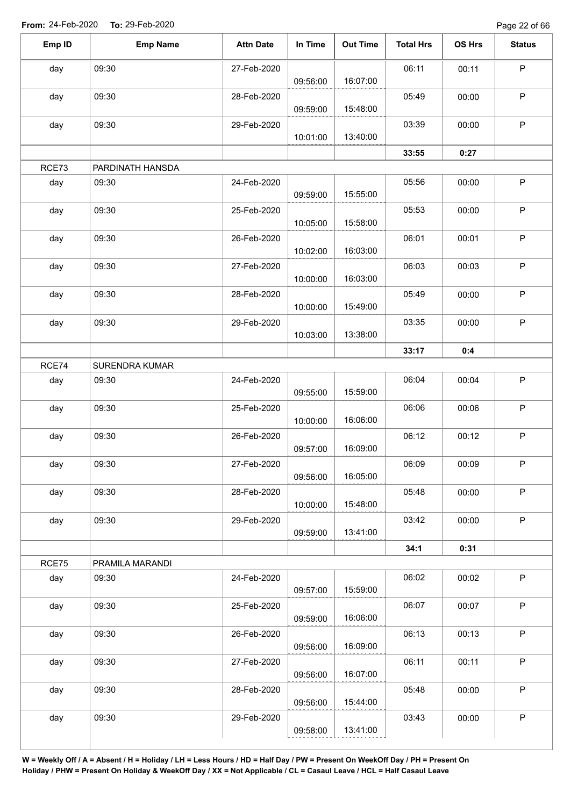Page 22 of 66

| Emp ID | <b>Emp Name</b>  | <b>Attn Date</b> | In Time  | <b>Out Time</b> | <b>Total Hrs</b> | OS Hrs | <b>Status</b> |
|--------|------------------|------------------|----------|-----------------|------------------|--------|---------------|
| day    | 09:30            | 27-Feb-2020      | 09:56:00 | 16:07:00        | 06:11            | 00:11  | $\mathsf P$   |
| day    | 09:30            | 28-Feb-2020      |          | 15:48:00        | 05:49            | 00:00  | $\mathsf P$   |
| day    | 09:30            | 29-Feb-2020      | 09:59:00 |                 | 03:39            | 00:00  | $\mathsf P$   |
|        |                  |                  | 10:01:00 | 13:40:00        |                  |        |               |
| RCE73  | PARDINATH HANSDA |                  |          |                 | 33:55            | 0:27   |               |
| day    | 09:30            | 24-Feb-2020      | 09:59:00 | 15:55:00        | 05:56            | 00:00  | $\mathsf P$   |
| day    | 09:30            | 25-Feb-2020      | 10:05:00 | 15:58:00        | 05:53            | 00:00  | $\mathsf P$   |
| day    | 09:30            | 26-Feb-2020      | 10:02:00 | 16:03:00        | 06:01            | 00:01  | $\mathsf P$   |
| day    | 09:30            | 27-Feb-2020      | 10:00:00 | 16:03:00        | 06:03            | 00:03  | $\mathsf P$   |
| day    | 09:30            | 28-Feb-2020      | 10:00:00 | 15:49:00        | 05:49            | 00:00  | $\mathsf P$   |
| day    | 09:30            | 29-Feb-2020      | 10:03:00 | 13:38:00        | 03:35            | 00:00  | $\mathsf P$   |
|        |                  |                  |          |                 | 33:17            | 0:4    |               |
| RCE74  | SURENDRA KUMAR   |                  |          |                 |                  |        |               |
| day    | 09:30            | 24-Feb-2020      | 09:55:00 | 15:59:00        | 06:04            | 00:04  | $\mathsf P$   |
| day    | 09:30            | 25-Feb-2020      | 10:00:00 | 16:06:00        | 06:06            | 00:06  | $\mathsf P$   |
| day    | 09:30            | 26-Feb-2020      | 09:57:00 | 16:09:00        | 06:12            | 00:12  | $\mathsf P$   |
| day    | 09:30            | 27-Feb-2020      | 09:56:00 | 16:05:00        | 06:09            | 00:09  | P             |
| day    | 09:30            | 28-Feb-2020      | 10:00:00 | 15:48:00        | 05:48            | 00:00  | $\mathsf P$   |
| day    | 09:30            | 29-Feb-2020      | 09:59:00 | 13:41:00        | 03:42            | 00:00  | $\mathsf P$   |
|        |                  |                  |          |                 | 34:1             | 0:31   |               |
| RCE75  | PRAMILA MARANDI  |                  |          |                 |                  |        |               |
| day    | 09:30            | 24-Feb-2020      | 09:57:00 | 15:59:00        | 06:02            | 00:02  | $\mathsf P$   |
| day    | 09:30            | 25-Feb-2020      | 09:59:00 | 16:06:00        | 06:07            | 00:07  | $\sf P$       |
| day    | 09:30            | 26-Feb-2020      | 09:56:00 | 16:09:00        | 06:13            | 00:13  | $\mathsf P$   |
| day    | 09:30            | 27-Feb-2020      | 09:56:00 | 16:07:00        | 06:11            | 00:11  | $\mathsf P$   |
| day    | 09:30            | 28-Feb-2020      | 09:56:00 | 15:44:00        | 05:48            | 00:00  | $\mathsf P$   |
| day    | 09:30            | 29-Feb-2020      | 09:58:00 | 13:41:00        | 03:43            | 00:00  | $\mathsf P$   |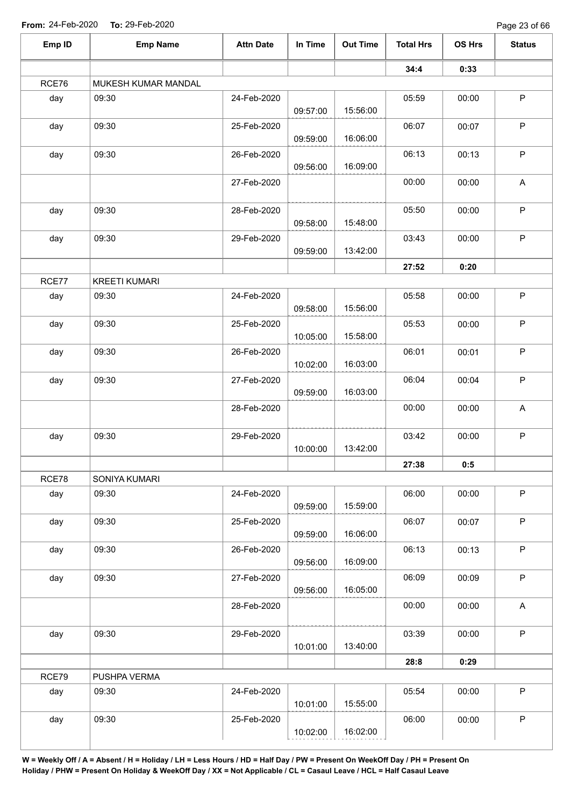| Emp ID | <b>Emp Name</b>      | <b>Attn Date</b> | In Time  | <b>Out Time</b> | <b>Total Hrs</b> | OS Hrs | <b>Status</b>             |
|--------|----------------------|------------------|----------|-----------------|------------------|--------|---------------------------|
|        |                      |                  |          |                 | 34:4             | 0:33   |                           |
| RCE76  | MUKESH KUMAR MANDAL  |                  |          |                 |                  |        |                           |
| day    | 09:30                | 24-Feb-2020      | 09:57:00 | 15:56:00        | 05:59            | 00:00  | $\mathsf P$               |
| day    | 09:30                | 25-Feb-2020      | 09:59:00 | 16:06:00        | 06:07            | 00:07  | $\sf P$                   |
| day    | 09:30                | 26-Feb-2020      |          |                 | 06:13            | 00:13  | $\mathsf P$               |
|        |                      | 27-Feb-2020      | 09:56:00 | 16:09:00        | 00:00            | 00:00  | A                         |
| day    | 09:30                | 28-Feb-2020      |          | 15:48:00        | 05:50            | 00:00  | $\mathsf P$               |
| day    | 09:30                | 29-Feb-2020      | 09:58:00 | 13:42:00        | 03:43            | 00:00  | $\mathsf P$               |
|        |                      |                  | 09:59:00 |                 | 27:52            | 0:20   |                           |
| RCE77  | <b>KREETI KUMARI</b> |                  |          |                 |                  |        |                           |
| day    | 09:30                | 24-Feb-2020      | 09:58:00 | 15:56:00        | 05:58            | 00:00  | $\mathsf P$               |
| day    | 09:30                | 25-Feb-2020      | 10:05:00 | 15:58:00        | 05:53            | 00:00  | $\mathsf P$               |
| day    | 09:30                | 26-Feb-2020      | 10:02:00 | 16:03:00        | 06:01            | 00:01  | P                         |
| day    | 09:30                | 27-Feb-2020      | 09:59:00 | 16:03:00        | 06:04            | 00:04  | $\sf P$                   |
|        |                      | 28-Feb-2020      |          |                 | 00:00            | 00:00  | A                         |
| day    | 09:30                | 29-Feb-2020      | 10:00:00 | 13:42:00        | 03:42            | 00:00  | $\mathsf P$               |
|        |                      |                  |          |                 | 27:38            | 0:5    |                           |
| RCE78  | SONIYA KUMARI        |                  |          |                 |                  |        |                           |
| day    | 09:30                | 24-Feb-2020      | 09:59:00 | 15:59:00        | 06:00            | 00:00  | $\sf P$                   |
| day    | 09:30                | 25-Feb-2020      | 09:59:00 | 16:06:00        | 06:07            | 00:07  | $\mathsf P$               |
| day    | 09:30                | 26-Feb-2020      | 09:56:00 | 16:09:00        | 06:13            | 00:13  | $\sf P$                   |
| day    | 09:30                | 27-Feb-2020      | 09:56:00 | 16:05:00        | 06:09            | 00:09  | $\mathsf P$               |
|        |                      | 28-Feb-2020      |          |                 | 00:00            | 00:00  | $\boldsymbol{\mathsf{A}}$ |
| day    | 09:30                | 29-Feb-2020      | 10:01:00 | 13:40:00        | 03:39            | 00:00  | $\mathsf P$               |
|        |                      |                  |          |                 | 28:8             | 0:29   |                           |
| RCE79  | PUSHPA VERMA         |                  |          |                 |                  |        |                           |
| day    | 09:30                | 24-Feb-2020      | 10:01:00 | 15:55:00        | 05:54            | 00:00  | P                         |
| day    | 09:30                | 25-Feb-2020      | 10:02:00 | 16:02:00        | 06:00            | 00:00  | $\sf P$                   |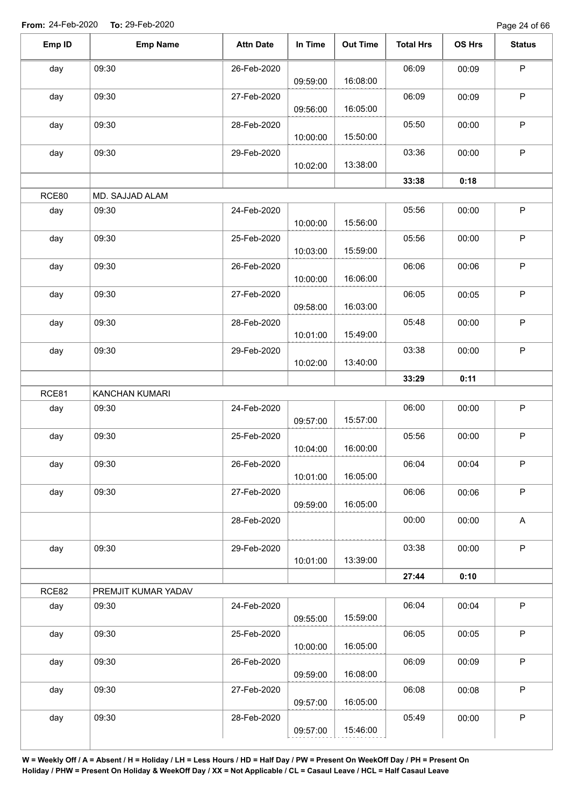Page 24 of 66

| Emp ID | <b>Emp Name</b>     | <b>Attn Date</b> | In Time  | <b>Out Time</b> | <b>Total Hrs</b> | OS Hrs | <b>Status</b>             |
|--------|---------------------|------------------|----------|-----------------|------------------|--------|---------------------------|
| day    | 09:30               | 26-Feb-2020      | 09:59:00 | 16:08:00        | 06:09            | 00:09  | $\mathsf P$               |
|        |                     |                  |          |                 |                  |        | $\mathsf P$               |
| day    | 09:30               | 27-Feb-2020      | 09:56:00 | 16:05:00        | 06:09            | 00:09  |                           |
| day    | 09:30               | 28-Feb-2020      |          |                 | 05:50            | 00:00  | $\sf P$                   |
|        |                     |                  | 10:00:00 | 15:50:00        |                  |        |                           |
| day    | 09:30               | 29-Feb-2020      | 10:02:00 | 13:38:00        | 03:36            | 00:00  | $\mathsf P$               |
|        |                     |                  |          |                 | 33:38            | 0:18   |                           |
| RCE80  | MD. SAJJAD ALAM     |                  |          |                 |                  |        |                           |
| day    | 09:30               | 24-Feb-2020      |          |                 | 05:56            | 00:00  | $\mathsf P$               |
|        |                     |                  | 10:00:00 | 15:56:00        |                  |        |                           |
| day    | 09:30               | 25-Feb-2020      |          |                 | 05:56            | 00:00  | $\sf P$                   |
|        |                     |                  | 10:03:00 | 15:59:00        |                  |        |                           |
| day    | 09:30               | 26-Feb-2020      |          |                 | 06:06            | 00:06  | $\mathsf P$               |
|        |                     |                  | 10:00:00 | 16:06:00        |                  |        |                           |
| day    | 09:30               | 27-Feb-2020      |          |                 | 06:05            | 00:05  | $\mathsf P$               |
|        |                     |                  | 09:58:00 | 16:03:00        |                  |        |                           |
| day    | 09:30               | 28-Feb-2020      | 10:01:00 | 15:49:00        | 05:48            | 00:00  | $\sf P$                   |
| day    | 09:30               | 29-Feb-2020      |          |                 | 03:38            | 00:00  | $\mathsf P$               |
|        |                     |                  | 10:02:00 | 13:40:00        |                  |        |                           |
|        |                     |                  |          |                 | 33:29            | 0:11   |                           |
| RCE81  | KANCHAN KUMARI      |                  |          |                 |                  |        |                           |
| day    | 09:30               | 24-Feb-2020      |          |                 | 06:00            | 00:00  | $\mathsf P$               |
|        |                     |                  | 09:57:00 | 15:57:00        |                  |        |                           |
| day    | 09:30               | 25-Feb-2020      |          |                 | 05:56            | 00:00  | $\mathsf P$               |
|        |                     |                  | 10:04:00 | 16:00:00        |                  |        |                           |
| day    | 09:30               | 26-Feb-2020      | 10:01:00 | 16:05:00        | 06:04            | 00:04  | P                         |
| day    | 09:30               | 27-Feb-2020      |          |                 | 06:06            | 00:06  | $\mathsf P$               |
|        |                     |                  | 09:59:00 | 16:05:00        |                  |        |                           |
|        |                     | 28-Feb-2020      |          |                 | 00:00            | 00:00  | $\boldsymbol{\mathsf{A}}$ |
|        |                     |                  |          |                 |                  |        |                           |
| day    | 09:30               | 29-Feb-2020      |          |                 | 03:38            | 00:00  | $\mathsf P$               |
|        |                     |                  | 10:01:00 | 13:39:00        |                  |        |                           |
|        |                     |                  |          |                 | 27:44            | 0:10   |                           |
| RCE82  | PREMJIT KUMAR YADAV |                  |          |                 |                  |        |                           |
| day    | 09:30               | 24-Feb-2020      | 09:55:00 | 15:59:00        | 06:04            | 00:04  | $\mathsf P$               |
| day    | 09:30               | 25-Feb-2020      |          |                 | 06:05            | 00:05  | $\mathsf P$               |
|        |                     |                  | 10:00:00 | 16:05:00        |                  |        |                           |
| day    | 09:30               | 26-Feb-2020      |          |                 | 06:09            | 00:09  | $\sf P$                   |
|        |                     |                  | 09:59:00 | 16:08:00        |                  |        |                           |
| day    | 09:30               | 27-Feb-2020      |          |                 | 06:08            | 00:08  | $\mathsf P$               |
|        |                     |                  | 09:57:00 | 16:05:00        |                  |        |                           |
| day    | 09:30               | 28-Feb-2020      |          |                 | 05:49            | 00:00  | $\sf P$                   |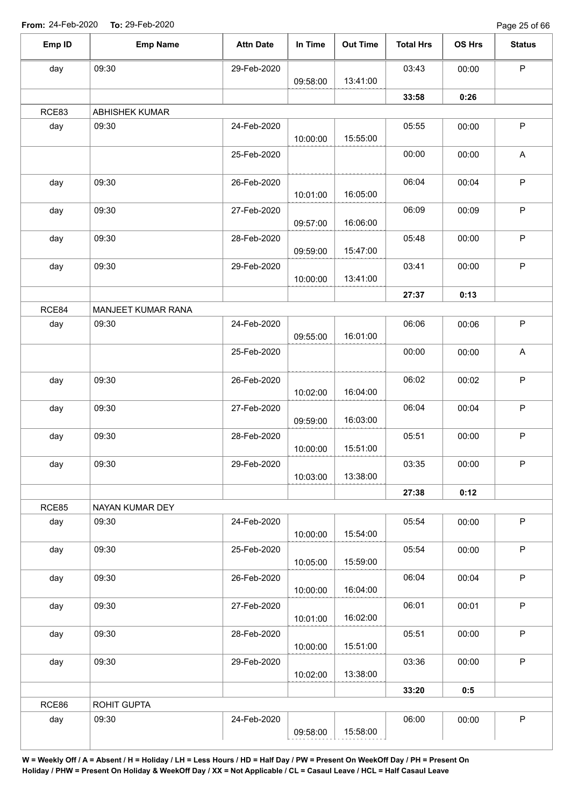Page 25 of 66

| Emp ID | <b>Emp Name</b>    | <b>Attn Date</b> | In Time  | <b>Out Time</b> | <b>Total Hrs</b> | OS Hrs | <b>Status</b> |
|--------|--------------------|------------------|----------|-----------------|------------------|--------|---------------|
| day    | 09:30              | 29-Feb-2020      |          |                 | 03:43            | 00:00  | $\mathsf P$   |
|        |                    |                  | 09:58:00 | 13:41:00        |                  |        |               |
|        |                    |                  |          |                 | 33:58            | 0:26   |               |
| RCE83  | ABHISHEK KUMAR     |                  |          |                 |                  |        |               |
| day    | 09:30              | 24-Feb-2020      |          |                 | 05:55            | 00:00  | $\sf P$       |
|        |                    |                  | 10:00:00 | 15:55:00        |                  |        |               |
|        |                    | 25-Feb-2020      |          |                 | 00:00            | 00:00  | A             |
| day    | 09:30              | 26-Feb-2020      | 10:01:00 | 16:05:00        | 06:04            | 00:04  | $\mathsf P$   |
| day    | 09:30              | 27-Feb-2020      | 09:57:00 | 16:06:00        | 06:09            | 00:09  | $\mathsf P$   |
| day    | 09:30              | 28-Feb-2020      | 09:59:00 | 15:47:00        | 05:48            | 00:00  | $\mathsf P$   |
| day    | 09:30              | 29-Feb-2020      | 10:00:00 | 13:41:00        | 03:41            | 00:00  | P             |
|        |                    |                  |          |                 |                  |        |               |
| RCE84  | MANJEET KUMAR RANA |                  |          |                 | 27:37            | 0:13   |               |
| day    | 09:30              | 24-Feb-2020      |          |                 | 06:06            | 00:06  | $\mathsf P$   |
|        |                    |                  | 09:55:00 | 16:01:00        |                  |        |               |
|        |                    | 25-Feb-2020      |          |                 | 00:00            | 00:00  | A             |
| day    | 09:30              | 26-Feb-2020      |          |                 | 06:02            | 00:02  | $\sf P$       |
|        |                    |                  | 10:02:00 | 16:04:00        |                  |        |               |
| day    | 09:30              | 27-Feb-2020      | 09:59:00 | 16:03:00        | 06:04            | 00:04  | $\mathsf P$   |
| day    | 09:30              | 28-Feb-2020      |          |                 | 05:51            | 00:00  | P             |
|        |                    |                  | 10:00:00 | 15:51:00        |                  |        |               |
| day    | 09:30              | 29-Feb-2020      |          |                 | 03:35            | 00:00  | P.            |
|        |                    |                  | 10:03:00 | 13:38:00        |                  |        |               |
|        |                    |                  |          |                 | 27:38            | 0:12   |               |
| RCE85  | NAYAN KUMAR DEY    |                  |          |                 |                  |        |               |
| day    | 09:30              | 24-Feb-2020      | 10:00:00 | 15:54:00        | 05:54            | 00:00  | $\mathsf P$   |
| day    | 09:30              | 25-Feb-2020      |          |                 | 05:54            | 00:00  | P             |
|        |                    |                  | 10:05:00 | 15:59:00        |                  |        |               |
| day    | 09:30              | 26-Feb-2020      |          |                 | 06:04            | 00:04  | $\mathsf P$   |
|        |                    |                  | 10:00:00 | 16:04:00        |                  |        |               |
| day    | 09:30              | 27-Feb-2020      | 10:01:00 | 16:02:00        | 06:01            | 00:01  | $\mathsf{P}$  |
| day    | 09:30              | 28-Feb-2020      |          |                 | 05:51            | 00:00  | $\mathsf P$   |
|        |                    |                  | 10:00:00 | 15:51:00        |                  |        |               |
| day    | 09:30              | 29-Feb-2020      |          |                 | 03:36            | 00:00  | $\mathsf P$   |
|        |                    |                  | 10:02:00 | 13:38:00        |                  |        |               |
|        |                    |                  |          |                 | 33:20            | 0:5    |               |
| RCE86  | ROHIT GUPTA        |                  |          |                 |                  |        |               |
| day    | 09:30              | 24-Feb-2020      | 09:58:00 | 15:58:00        | 06:00            | 00:00  | $\mathsf P$   |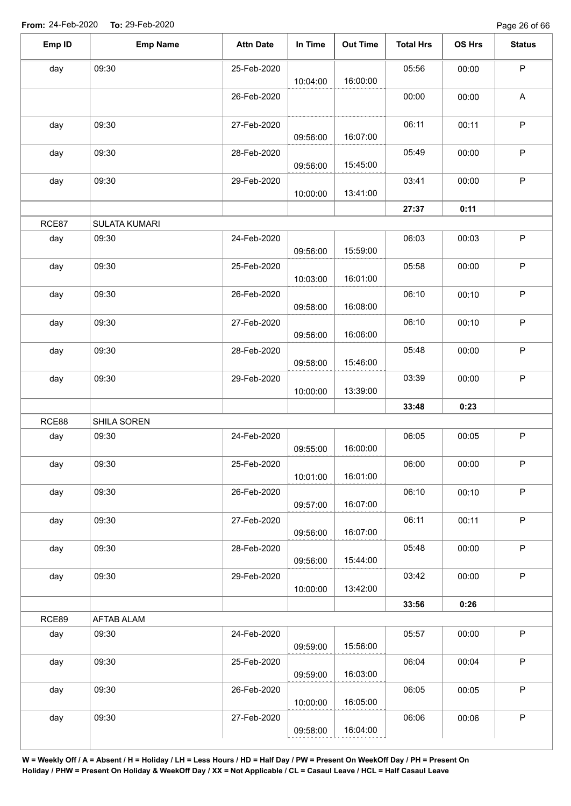| Emp ID | <b>Emp Name</b>      | <b>Attn Date</b> | In Time  | <b>Out Time</b> | <b>Total Hrs</b> | OS Hrs | <b>Status</b> |
|--------|----------------------|------------------|----------|-----------------|------------------|--------|---------------|
| day    | 09:30                | 25-Feb-2020      | 10:04:00 | 16:00:00        | 05:56            | 00:00  | $\mathsf P$   |
|        |                      | 26-Feb-2020      |          |                 | 00:00            | 00:00  | $\mathsf A$   |
| day    | 09:30                | 27-Feb-2020      | 09:56:00 | 16:07:00        | 06:11            | 00:11  | $\mathsf{P}$  |
| day    | 09:30                | 28-Feb-2020      | 09:56:00 | 15:45:00        | 05:49            | 00:00  | $\mathsf P$   |
| day    | 09:30                | 29-Feb-2020      | 10:00:00 | 13:41:00        | 03:41            | 00:00  | $\mathsf P$   |
|        |                      |                  |          |                 | 27:37            | 0:11   |               |
| RCE87  | <b>SULATA KUMARI</b> |                  |          |                 |                  |        |               |
| day    | 09:30                | 24-Feb-2020      | 09:56:00 | 15:59:00        | 06:03            | 00:03  | $\mathsf P$   |
| day    | 09:30                | 25-Feb-2020      | 10:03:00 | 16:01:00        | 05:58            | 00:00  | $\mathsf P$   |
| day    | 09:30                | 26-Feb-2020      | 09:58:00 | 16:08:00        | 06:10            | 00:10  | $\mathsf P$   |
| day    | 09:30                | 27-Feb-2020      | 09:56:00 | 16:06:00        | 06:10            | 00:10  | $\mathsf{P}$  |
| day    | 09:30                | 28-Feb-2020      | 09:58:00 | 15:46:00        | 05:48            | 00:00  | $\mathsf P$   |
| day    | 09:30                | 29-Feb-2020      | 10:00:00 | 13:39:00        | 03:39            | 00:00  | $\mathsf P$   |
|        |                      |                  |          |                 | 33:48            | 0:23   |               |
| RCE88  | SHILA SOREN          |                  |          |                 |                  |        |               |
| day    | 09:30                | 24-Feb-2020      | 09:55:00 | 16:00:00        | 06:05            | 00:05  | $\mathsf{P}$  |
| day    | 09:30                | 25-Feb-2020      | 10:01:00 | 16:01:00        | 06:00            | 00:00  | P             |
| day    | 09:30                | 26-Feb-2020      | 09:57:00 | 16:07:00        | 06:10            | 00:10  | $\mathsf P$   |
| day    | 09:30                | 27-Feb-2020      | 09:56:00 | 16:07:00        | 06:11            | 00:11  | P             |
| day    | 09:30                | 28-Feb-2020      | 09:56:00 | 15:44:00        | 05:48            | 00:00  | $\mathsf P$   |
| day    | 09:30                | 29-Feb-2020      | 10:00:00 | 13:42:00        | 03:42            | 00:00  | $\mathsf P$   |
|        |                      |                  |          |                 | 33:56            | 0:26   |               |
| RCE89  | AFTAB ALAM           |                  |          |                 |                  |        |               |
| day    | 09:30                | 24-Feb-2020      | 09:59:00 | 15:56:00        | 05:57            | 00:00  | P             |
| day    | 09:30                | 25-Feb-2020      | 09:59:00 | 16:03:00        | 06:04            | 00:04  | $\mathsf{P}$  |
| day    | 09:30                | 26-Feb-2020      | 10:00:00 | 16:05:00        | 06:05            | 00:05  | $\mathsf P$   |
| day    | 09:30                | 27-Feb-2020      | 09:58:00 | 16:04:00        | 06:06            | 00:06  | $\mathsf P$   |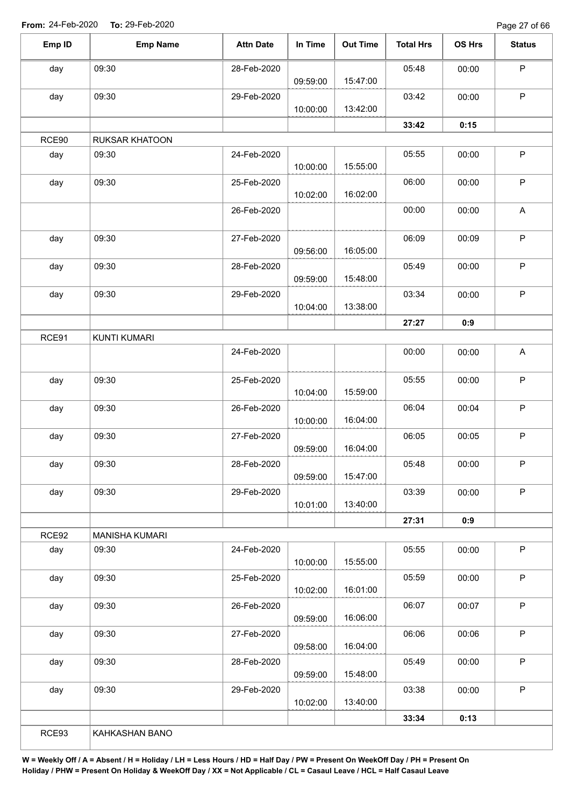Page 27 of 66

| Emp ID | <b>Emp Name</b>       | <b>Attn Date</b> | In Time  | <b>Out Time</b> | <b>Total Hrs</b> | OS Hrs | <b>Status</b> |
|--------|-----------------------|------------------|----------|-----------------|------------------|--------|---------------|
| day    | 09:30                 | 28-Feb-2020      |          |                 | 05:48            | 00:00  | $\mathsf P$   |
|        |                       |                  | 09:59:00 | 15:47:00        |                  |        |               |
| day    | 09:30                 | 29-Feb-2020      |          |                 | 03:42            | 00:00  | $\mathsf P$   |
|        |                       |                  | 10:00:00 | 13:42:00        |                  |        |               |
|        |                       |                  |          |                 | 33:42            | 0:15   |               |
| RCE90  | <b>RUKSAR KHATOON</b> |                  |          |                 |                  |        |               |
| day    | 09:30                 | 24-Feb-2020      | 10:00:00 | 15:55:00        | 05:55            | 00:00  | $\mathsf P$   |
| day    | 09:30                 | 25-Feb-2020      | 10:02:00 | 16:02:00        | 06:00            | 00:00  | P             |
|        |                       | 26-Feb-2020      |          |                 | 00:00            | 00:00  | A             |
|        |                       |                  |          |                 |                  |        |               |
| day    | 09:30                 | 27-Feb-2020      | 09:56:00 | 16:05:00        | 06:09            | 00:09  | $\mathsf P$   |
| day    | 09:30                 | 28-Feb-2020      |          |                 | 05:49            | 00:00  | $\mathsf P$   |
|        |                       |                  | 09:59:00 | 15:48:00        |                  |        |               |
| day    | 09:30                 | 29-Feb-2020      |          |                 | 03:34            | 00:00  | $\sf P$       |
|        |                       |                  | 10:04:00 | 13:38:00        |                  |        |               |
|        |                       |                  |          |                 | 27:27            | 0:9    |               |
| RCE91  | <b>KUNTI KUMARI</b>   |                  |          |                 |                  |        |               |
|        |                       | 24-Feb-2020      |          |                 | 00:00            | 00:00  | A             |
| day    | 09:30                 | 25-Feb-2020      |          |                 | 05:55            | 00:00  | $\mathsf P$   |
|        |                       |                  | 10:04:00 | 15:59:00        |                  |        |               |
| day    | 09:30                 | 26-Feb-2020      |          |                 | 06:04            | 00:04  | $\mathsf P$   |
|        |                       |                  | 10:00:00 | 16:04:00        |                  |        |               |
| day    | 09:30                 | 27-Feb-2020      | 09:59:00 | 16:04:00        | 06:05            | 00:05  | $\sf P$       |
| day    | 09:30                 | 28-Feb-2020      |          |                 | 05:48            | 00:00  | P             |
|        |                       |                  | 09:59:00 | 15:47:00        |                  |        |               |
| day    | 09:30                 | 29-Feb-2020      |          |                 | 03:39            | 00:00  | $\mathsf P$   |
|        |                       |                  | 10:01:00 | 13:40:00        |                  |        |               |
|        |                       |                  |          |                 | 27:31            | 0:9    |               |
| RCE92  | <b>MANISHA KUMARI</b> |                  |          |                 |                  |        |               |
| day    | 09:30                 | 24-Feb-2020      |          |                 | 05:55            | 00:00  | $\mathsf{P}$  |
|        |                       |                  | 10:00:00 | 15:55:00        |                  |        |               |
| day    | 09:30                 | 25-Feb-2020      |          |                 | 05:59            | 00:00  | $\mathsf P$   |
|        |                       |                  | 10:02:00 | 16:01:00        |                  |        |               |
| day    | 09:30                 | 26-Feb-2020      | 09:59:00 | 16:06:00        | 06:07            | 00:07  | $\sf P$       |
| day    | 09:30                 | 27-Feb-2020      |          |                 | 06:06            | 00:06  | $\mathsf P$   |
|        |                       |                  | 09:58:00 | 16:04:00        |                  |        |               |
| day    | 09:30                 | 28-Feb-2020      |          |                 | 05:49            | 00:00  | $\sf P$       |
|        |                       |                  | 09:59:00 | 15:48:00        |                  |        |               |
| day    | 09:30                 | 29-Feb-2020      |          |                 | 03:38            | 00:00  | P             |
|        |                       |                  | 10:02:00 | 13:40:00        |                  |        |               |
|        |                       |                  |          |                 | 33:34            | 0:13   |               |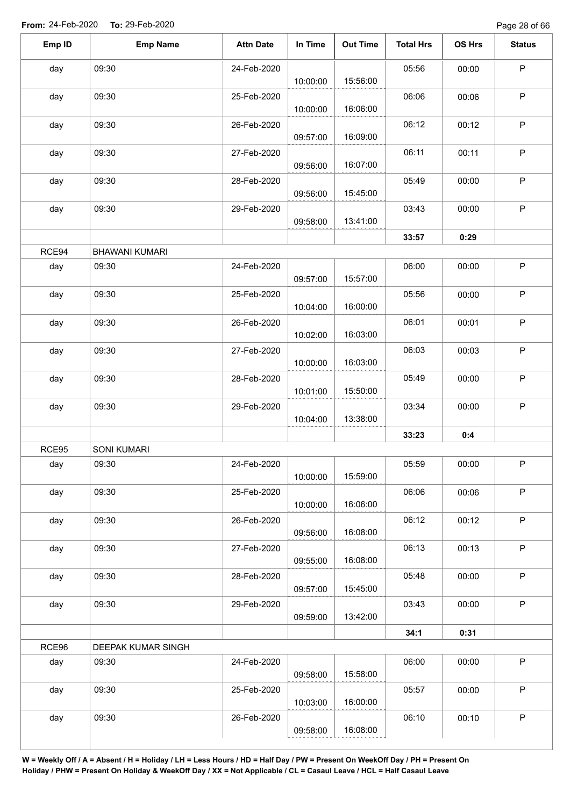| Emp ID | <b>Emp Name</b>       | <b>Attn Date</b> | In Time  | <b>Out Time</b> | <b>Total Hrs</b> | OS Hrs | <b>Status</b> |
|--------|-----------------------|------------------|----------|-----------------|------------------|--------|---------------|
| day    | 09:30                 | 24-Feb-2020      | 10:00:00 | 15:56:00        | 05:56            | 00:00  | $\mathsf P$   |
| day    | 09:30                 | 25-Feb-2020      | 10:00:00 | 16:06:00        | 06:06            | 00:06  | $\sf P$       |
| day    | 09:30                 | 26-Feb-2020      | 09:57:00 | 16:09:00        | 06:12            | 00:12  | $\mathsf P$   |
| day    | 09:30                 | 27-Feb-2020      | 09:56:00 | 16:07:00        | 06:11            | 00:11  | $\sf P$       |
| day    | 09:30                 | 28-Feb-2020      | 09:56:00 | 15:45:00        | 05:49            | 00:00  | $\sf P$       |
| day    | 09:30                 | 29-Feb-2020      | 09:58:00 | 13:41:00        | 03:43            | 00:00  | $\mathsf P$   |
|        |                       |                  |          |                 | 33:57            | 0:29   |               |
| RCE94  | <b>BHAWANI KUMARI</b> |                  |          |                 |                  |        |               |
| day    | 09:30                 | 24-Feb-2020      | 09:57:00 | 15:57:00        | 06:00            | 00:00  | $\sf P$       |
| day    | 09:30                 | 25-Feb-2020      | 10:04:00 | 16:00:00        | 05:56            | 00:00  | $\sf P$       |
| day    | 09:30                 | 26-Feb-2020      | 10:02:00 | 16:03:00        | 06:01            | 00:01  | $\mathsf P$   |
| day    | 09:30                 | 27-Feb-2020      | 10:00:00 | 16:03:00        | 06:03            | 00:03  | $\sf P$       |
| day    | 09:30                 | 28-Feb-2020      | 10:01:00 | 15:50:00        | 05:49            | 00:00  | $\mathsf P$   |
| day    | 09:30                 | 29-Feb-2020      | 10:04:00 | 13:38:00        | 03:34            | 00:00  | $\sf P$       |
|        |                       |                  |          |                 | 33:23            | 0:4    |               |
| RCE95  | <b>SONI KUMARI</b>    |                  |          |                 |                  |        |               |
| day    | 09:30                 | 24-Feb-2020      | 10:00:00 | 15:59:00        | 05:59            | 00:00  | P             |
| day    | 09:30                 | 25-Feb-2020      | 10:00:00 | 16:06:00        | 06:06            | 00:06  | $\sf P$       |
| day    | 09:30                 | 26-Feb-2020      | 09:56:00 | 16:08:00        | 06:12            | 00:12  | $\mathsf P$   |
| day    | 09:30                 | 27-Feb-2020      | 09:55:00 | 16:08:00        | 06:13            | 00:13  | $\sf P$       |
| day    | 09:30                 | 28-Feb-2020      | 09:57:00 | 15:45:00        | 05:48            | 00:00  | $\sf P$       |
| day    | 09:30                 | 29-Feb-2020      | 09:59:00 | 13:42:00        | 03:43            | 00:00  | $\mathsf{P}$  |
|        |                       |                  |          |                 | 34:1             | 0:31   |               |
| RCE96  | DEEPAK KUMAR SINGH    |                  |          |                 |                  |        |               |
| day    | 09:30                 | 24-Feb-2020      | 09:58:00 | 15:58:00        | 06:00            | 00:00  | $\mathsf P$   |
| day    | 09:30                 | 25-Feb-2020      | 10:03:00 | 16:00:00        | 05:57            | 00:00  | $\mathsf P$   |
| day    | 09:30                 | 26-Feb-2020      | 09:58:00 | 16:08:00        | 06:10            | 00:10  | $\mathsf P$   |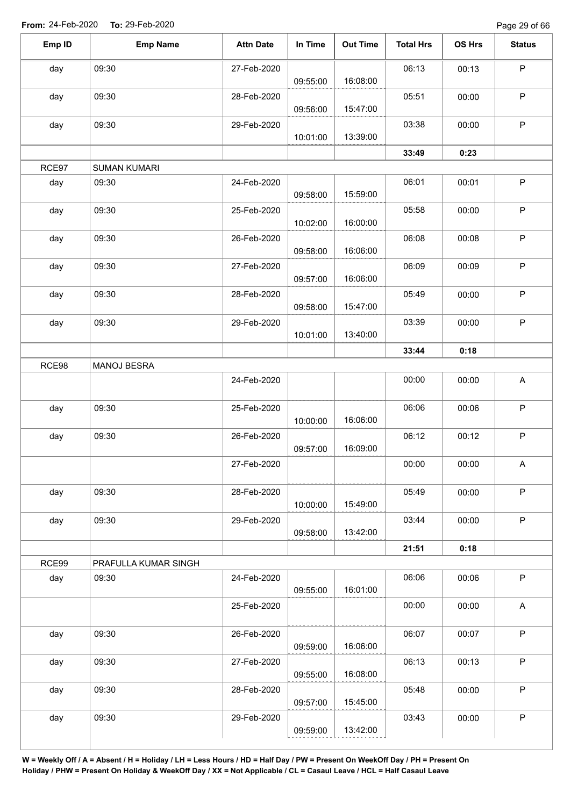Page 29 of 66

| Emp ID | <b>Emp Name</b>      | <b>Attn Date</b> | In Time  | <b>Out Time</b> | <b>Total Hrs</b> | OS Hrs | <b>Status</b>             |
|--------|----------------------|------------------|----------|-----------------|------------------|--------|---------------------------|
| day    | 09:30                | 27-Feb-2020      |          |                 | 06:13            | 00:13  | $\mathsf P$               |
|        |                      |                  | 09:55:00 | 16:08:00        |                  |        |                           |
| day    | 09:30                | 28-Feb-2020      | 09:56:00 | 15:47:00        | 05:51            | 00:00  | P                         |
| day    | 09:30                | 29-Feb-2020      |          | 13:39:00        | 03:38            | 00:00  | $\mathsf P$               |
|        |                      |                  | 10:01:00 |                 |                  |        |                           |
|        |                      |                  |          |                 | 33:49            | 0:23   |                           |
| RCE97  | <b>SUMAN KUMARI</b>  |                  |          |                 |                  |        |                           |
| day    | 09:30                | 24-Feb-2020      | 09:58:00 | 15:59:00        | 06:01            | 00:01  | $\sf P$                   |
| day    | 09:30                | 25-Feb-2020      | 10:02:00 | 16:00:00        | 05:58            | 00:00  | $\mathsf P$               |
| day    | 09:30                | 26-Feb-2020      |          |                 | 06:08            | 00:08  | $\mathsf P$               |
|        |                      |                  | 09:58:00 | 16:06:00        |                  |        |                           |
| day    | 09:30                | 27-Feb-2020      |          |                 | 06:09            | 00:09  | $\sf P$                   |
|        |                      |                  | 09:57:00 | 16:06:00        |                  |        |                           |
| day    | 09:30                | 28-Feb-2020      |          |                 | 05:49            | 00:00  | $\mathsf P$               |
|        |                      |                  | 09:58:00 | 15:47:00        |                  |        |                           |
| day    | 09:30                | 29-Feb-2020      |          |                 | 03:39            | 00:00  | $\sf P$                   |
|        |                      |                  | 10:01:00 | 13:40:00        |                  |        |                           |
|        |                      |                  |          |                 | 33:44            | 0:18   |                           |
| RCE98  | MANOJ BESRA          |                  |          |                 |                  |        |                           |
|        |                      | 24-Feb-2020      |          |                 | 00:00            | 00:00  | A                         |
|        |                      |                  |          |                 |                  |        | $\mathsf P$               |
| day    | 09:30                | 25-Feb-2020      | 10:00:00 | 16:06:00        | 06:06            | 00:06  |                           |
| day    | 09:30                | 26-Feb-2020      |          |                 | 06:12            | 00:12  | P                         |
|        |                      |                  | 09:57:00 | 16:09:00        |                  |        |                           |
|        |                      | 27-Feb-2020      |          |                 | 00:00            | 00:00  | $\boldsymbol{\mathsf{A}}$ |
|        |                      |                  |          |                 |                  |        |                           |
| day    | 09:30                | 28-Feb-2020      |          |                 | 05:49            | 00:00  | $\mathsf P$               |
|        |                      |                  | 10:00:00 | 15:49:00        |                  |        |                           |
| day    | 09:30                | 29-Feb-2020      |          |                 | 03:44            | 00:00  | $\mathsf P$               |
|        |                      |                  | 09:58:00 | 13:42:00        |                  |        |                           |
|        |                      |                  |          |                 | 21:51            | 0:18   |                           |
| RCE99  | PRAFULLA KUMAR SINGH |                  |          |                 |                  |        |                           |
| day    | 09:30                | 24-Feb-2020      | 09:55:00 | 16:01:00        | 06:06            | 00:06  | $\sf P$                   |
|        |                      | 25-Feb-2020      |          |                 | 00:00            | 00:00  | A                         |
| day    | 09:30                | 26-Feb-2020      |          |                 | 06:07            | 00:07  | $\sf P$                   |
|        |                      |                  | 09:59:00 | 16:06:00        |                  |        |                           |
| day    | 09:30                | 27-Feb-2020      |          |                 | 06:13            | 00:13  | $\mathsf P$               |
|        |                      |                  | 09:55:00 | 16:08:00        |                  |        |                           |
| day    | 09:30                | 28-Feb-2020      |          |                 | 05:48            | 00:00  | $\mathsf P$               |
|        |                      |                  | 09:57:00 | 15:45:00        |                  |        |                           |
| day    | 09:30                | 29-Feb-2020      |          |                 | 03:43            | 00:00  | P                         |
|        |                      |                  | 09:59:00 | 13:42:00        |                  |        |                           |
|        |                      |                  |          |                 |                  |        |                           |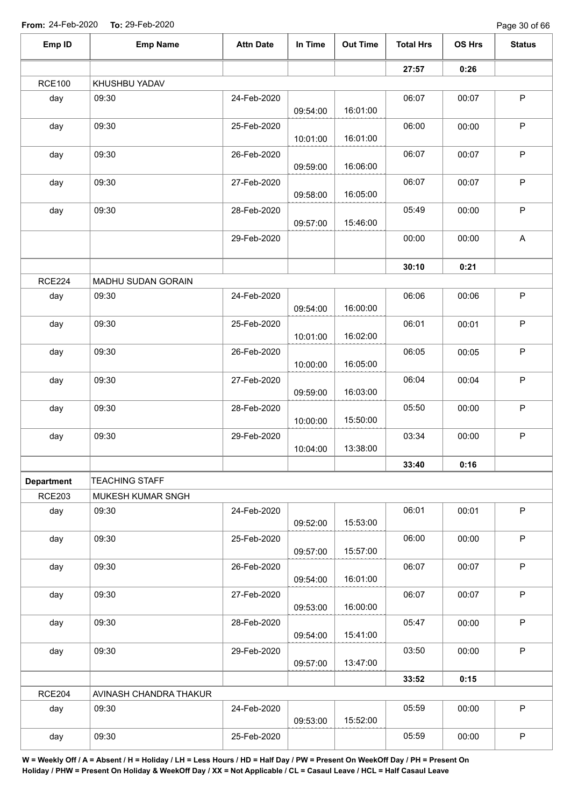Page 30 of 66

| Emp ID            | <b>Emp Name</b>        | <b>Attn Date</b> | In Time  | <b>Out Time</b> | <b>Total Hrs</b> | OS Hrs | <b>Status</b> |
|-------------------|------------------------|------------------|----------|-----------------|------------------|--------|---------------|
|                   |                        |                  |          |                 | 27:57            | 0:26   |               |
| <b>RCE100</b>     | KHUSHBU YADAV          |                  |          |                 |                  |        |               |
| day               | 09:30                  | 24-Feb-2020      | 09:54:00 | 16:01:00        | 06:07            | 00:07  | $\mathsf P$   |
| day               | 09:30                  | 25-Feb-2020      | 10:01:00 | 16:01:00        | 06:00            | 00:00  | $\mathsf P$   |
| day               | 09:30                  | 26-Feb-2020      | 09:59:00 | 16:06:00        | 06:07            | 00:07  | $\mathsf P$   |
| day               | 09:30                  | 27-Feb-2020      | 09:58:00 | 16:05:00        | 06:07            | 00:07  | $\mathsf P$   |
| day               | 09:30                  | 28-Feb-2020      | 09:57:00 | 15:46:00        | 05:49            | 00:00  | $\sf P$       |
|                   |                        | 29-Feb-2020      |          |                 | 00:00            | 00:00  | A             |
|                   |                        |                  |          |                 | 30:10            | 0:21   |               |
| <b>RCE224</b>     | MADHU SUDAN GORAIN     |                  |          |                 |                  |        |               |
| day               | 09:30                  | 24-Feb-2020      | 09:54:00 | 16:00:00        | 06:06            | 00:06  | $\mathsf P$   |
| day               | 09:30                  | 25-Feb-2020      | 10:01:00 | 16:02:00        | 06:01            | 00:01  | $\sf P$       |
| day               | 09:30                  | 26-Feb-2020      | 10:00:00 | 16:05:00        | 06:05            | 00:05  | $\sf P$       |
| day               | 09:30                  | 27-Feb-2020      | 09:59:00 | 16:03:00        | 06:04            | 00:04  | $\mathsf P$   |
| day               | 09:30                  | 28-Feb-2020      | 10:00:00 | 15:50:00        | 05:50            | 00:00  | $\mathsf P$   |
| day               | 09:30                  | 29-Feb-2020      | 10:04:00 | 13:38:00        | 03:34            | 00:00  | $\sf P$       |
|                   |                        |                  |          |                 | 33:40            | 0:16   |               |
| <b>Department</b> | <b>TEACHING STAFF</b>  |                  |          |                 |                  |        |               |
| <b>RCE203</b>     | MUKESH KUMAR SNGH      |                  |          |                 |                  |        |               |
| day               | 09:30                  | 24-Feb-2020      | 09:52:00 | 15:53:00        | 06:01            | 00:01  | $\sf P$       |
| day               | 09:30                  | 25-Feb-2020      | 09:57:00 | 15:57:00        | 06:00            | 00:00  | $\mathsf P$   |
| day               | 09:30                  | 26-Feb-2020      | 09:54:00 | 16:01:00        | 06:07            | 00:07  | $\mathsf P$   |
| day               | 09:30                  | 27-Feb-2020      | 09:53:00 | 16:00:00        | 06:07            | 00:07  | $\mathsf P$   |
| day               | 09:30                  | 28-Feb-2020      | 09:54:00 | 15:41:00        | 05:47            | 00:00  | $\mathsf P$   |
| day               | 09:30                  | 29-Feb-2020      | 09:57:00 | 13:47:00        | 03:50            | 00:00  | $\mathsf P$   |
|                   |                        |                  |          |                 | 33:52            | 0:15   |               |
| <b>RCE204</b>     | AVINASH CHANDRA THAKUR |                  |          |                 |                  |        |               |
| day               | 09:30                  | 24-Feb-2020      | 09:53:00 | 15:52:00        | 05:59            | 00:00  | $\mathsf P$   |
| day               | 09:30                  | 25-Feb-2020      |          |                 | 05:59            | 00:00  | $\mathsf P$   |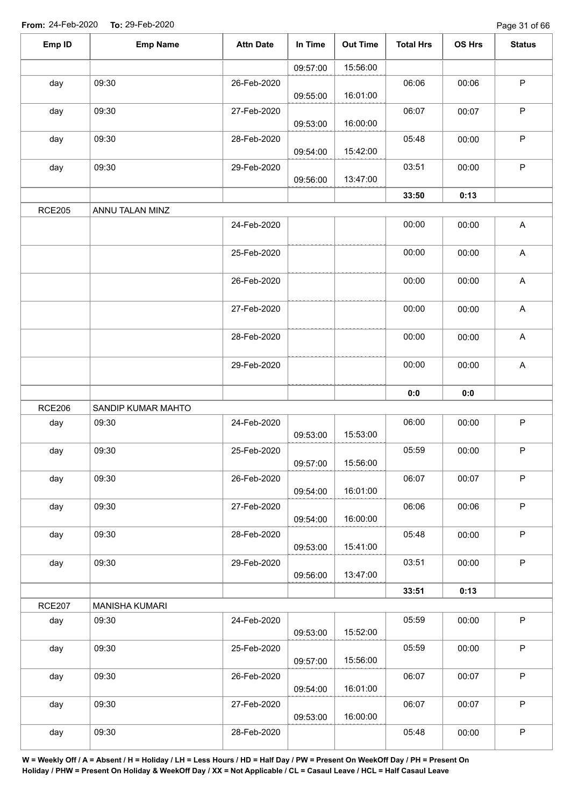| Emp ID        | <b>Emp Name</b>       | <b>Attn Date</b> | In Time  | <b>Out Time</b> | <b>Total Hrs</b> | OS Hrs | <b>Status</b>             |
|---------------|-----------------------|------------------|----------|-----------------|------------------|--------|---------------------------|
|               |                       |                  | 09:57:00 | 15:56:00        |                  |        |                           |
| day           | 09:30                 | 26-Feb-2020      | 09:55:00 | 16:01:00        | 06:06            | 00:06  | $\mathsf P$               |
| day           | 09:30                 | 27-Feb-2020      | 09:53:00 | 16:00:00        | 06:07            | 00:07  | $\sf P$                   |
| day           | 09:30                 | 28-Feb-2020      | 09:54:00 | 15:42:00        | 05:48            | 00:00  | ${\sf P}$                 |
| day           | 09:30                 | 29-Feb-2020      | 09:56:00 | 13:47:00        | 03:51            | 00:00  | ${\sf P}$                 |
|               |                       |                  |          |                 | 33:50            | 0:13   |                           |
| <b>RCE205</b> | ANNU TALAN MINZ       |                  |          |                 |                  |        |                           |
|               |                       | 24-Feb-2020      |          |                 | 00:00            | 00:00  | $\mathsf A$               |
|               |                       | 25-Feb-2020      |          |                 | 00:00            | 00:00  | $\mathsf A$               |
|               |                       | 26-Feb-2020      |          |                 | 00:00            | 00:00  | $\boldsymbol{\mathsf{A}}$ |
|               |                       | 27-Feb-2020      |          |                 | 00:00            | 00:00  | $\mathsf A$               |
|               |                       | 28-Feb-2020      |          |                 | 00:00            | 00:00  | A                         |
|               |                       | 29-Feb-2020      |          |                 | 00:00            | 00:00  | $\mathsf A$               |
|               |                       |                  |          |                 | 0:0              | 0:0    |                           |
| <b>RCE206</b> | SANDIP KUMAR MAHTO    |                  |          |                 |                  |        |                           |
| day           | 09:30                 | 24-Feb-2020      | 09:53:00 | 15:53:00        | 06:00            | 00:00  | $\mathsf P$               |
| day           | 09:30                 | 25-Feb-2020      | 09:57:00 | 15:56:00        | 05:59            | 00:00  | $\mathsf P$               |
| day           | 09:30                 | 26-Feb-2020      | 09:54:00 | 16:01:00        | 06:07            | 00:07  | $\mathsf P$               |
| day           | 09:30                 | 27-Feb-2020      | 09:54:00 | 16:00:00        | 06:06            | 00:06  | $\mathsf P$               |
| day           | 09:30                 | 28-Feb-2020      | 09:53:00 | 15:41:00        | 05:48            | 00:00  | $\sf P$                   |
| day           | 09:30                 | 29-Feb-2020      | 09:56:00 | 13:47:00        | 03:51            | 00:00  | $\mathsf P$               |
|               |                       |                  |          |                 | 33:51            | 0:13   |                           |
| <b>RCE207</b> | <b>MANISHA KUMARI</b> |                  |          |                 |                  |        |                           |
| day           | 09:30                 | 24-Feb-2020      | 09:53:00 | 15:52:00        | 05:59            | 00:00  | $\mathsf P$               |
| day           | 09:30                 | 25-Feb-2020      | 09:57:00 | 15:56:00        | 05:59            | 00:00  | $\mathsf P$               |
| day           | 09:30                 | 26-Feb-2020      | 09:54:00 | 16:01:00        | 06:07            | 00:07  | $\mathsf P$               |
| day           | 09:30                 | 27-Feb-2020      | 09:53:00 | 16:00:00        | 06:07            | 00:07  | $\mathsf P$               |
| day           | 09:30                 | 28-Feb-2020      |          |                 | 05:48            | 00:00  | $\mathsf P$               |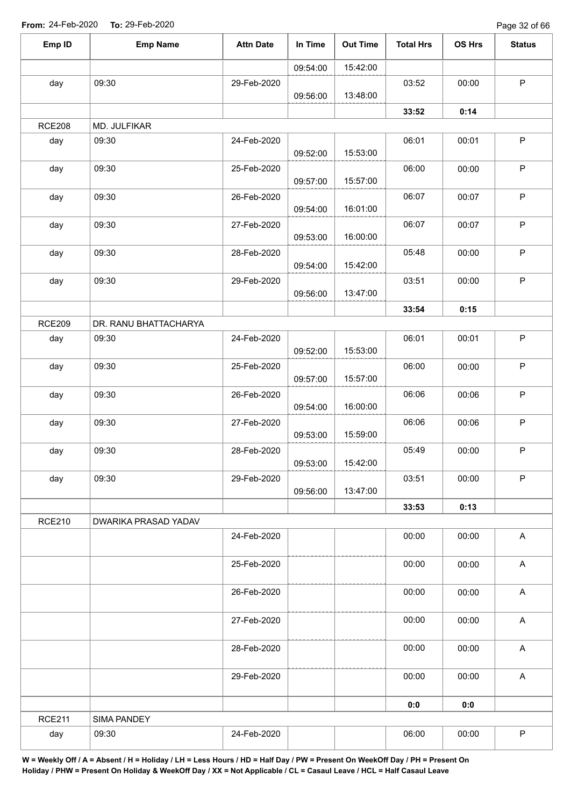Page 32 of 66

| Emp ID        | <b>Emp Name</b>       | <b>Attn Date</b> | In Time  | <b>Out Time</b> | <b>Total Hrs</b> | OS Hrs | <b>Status</b>             |
|---------------|-----------------------|------------------|----------|-----------------|------------------|--------|---------------------------|
|               |                       |                  | 09:54:00 | 15:42:00        |                  |        |                           |
| day           | 09:30                 | 29-Feb-2020      | 09:56:00 | 13:48:00        | 03:52            | 00:00  | $\mathsf P$               |
|               |                       |                  |          |                 | 33:52            | 0:14   |                           |
| <b>RCE208</b> | MD. JULFIKAR          |                  |          |                 |                  |        |                           |
| day           | 09:30                 | 24-Feb-2020      | 09:52:00 | 15:53:00        | 06:01            | 00:01  | $\mathsf P$               |
| day           | 09:30                 | 25-Feb-2020      | 09:57:00 | 15:57:00        | 06:00            | 00:00  | $\sf P$                   |
| day           | 09:30                 | 26-Feb-2020      | 09:54:00 | 16:01:00        | 06:07            | 00:07  | $\sf P$                   |
| day           | 09:30                 | 27-Feb-2020      | 09:53:00 | 16:00:00        | 06:07            | 00:07  | $\sf P$                   |
| day           | 09:30                 | 28-Feb-2020      | 09:54:00 | 15:42:00        | 05:48            | 00:00  | $\mathsf P$               |
| day           | 09:30                 | 29-Feb-2020      | 09:56:00 | 13:47:00        | 03:51            | 00:00  | $\sf P$                   |
|               |                       |                  |          |                 | 33:54            | 0:15   |                           |
| <b>RCE209</b> | DR. RANU BHATTACHARYA |                  |          |                 |                  |        |                           |
| day           | 09:30                 | 24-Feb-2020      | 09:52:00 | 15:53:00        | 06:01            | 00:01  | $\sf P$                   |
| day           | 09:30                 | 25-Feb-2020      | 09:57:00 | 15:57:00        | 06:00            | 00:00  | $\sf P$                   |
| day           | 09:30                 | 26-Feb-2020      | 09:54:00 | 16:00:00        | 06:06            | 00:06  | $\sf P$                   |
| day           | 09:30                 | 27-Feb-2020      | 09:53:00 | 15:59:00        | 06:06            | 00:06  | $\sf P$                   |
| day           | 09:30                 | 28-Feb-2020      | 09:53:00 | 15:42:00        | 05:49            | 00:00  | $\mathsf P$               |
| day           | 09:30                 | 29-Feb-2020      | 09:56:00 | 13:47:00        | 03:51            | 00:00  | $\sf P$                   |
|               |                       |                  |          |                 | 33:53            | 0:13   |                           |
| <b>RCE210</b> | DWARIKA PRASAD YADAV  |                  |          |                 |                  |        |                           |
|               |                       | 24-Feb-2020      |          |                 | 00:00            | 00:00  | $\boldsymbol{\mathsf{A}}$ |
|               |                       | 25-Feb-2020      |          |                 | 00:00            | 00:00  | $\boldsymbol{\mathsf{A}}$ |
|               |                       | 26-Feb-2020      |          |                 | 00:00            | 00:00  | $\boldsymbol{\mathsf{A}}$ |
|               |                       | 27-Feb-2020      |          |                 | 00:00            | 00:00  | $\boldsymbol{\mathsf{A}}$ |
|               |                       | 28-Feb-2020      |          |                 | 00:00            | 00:00  | $\boldsymbol{\mathsf{A}}$ |
|               |                       | 29-Feb-2020      |          |                 | 00:00            | 00:00  | $\boldsymbol{\mathsf{A}}$ |
|               |                       |                  |          |                 | 0:0              | 0:0    |                           |
| <b>RCE211</b> | SIMA PANDEY           |                  |          |                 |                  |        |                           |
| day           | 09:30                 | 24-Feb-2020      |          |                 | 06:00            | 00:00  | $\sf P$                   |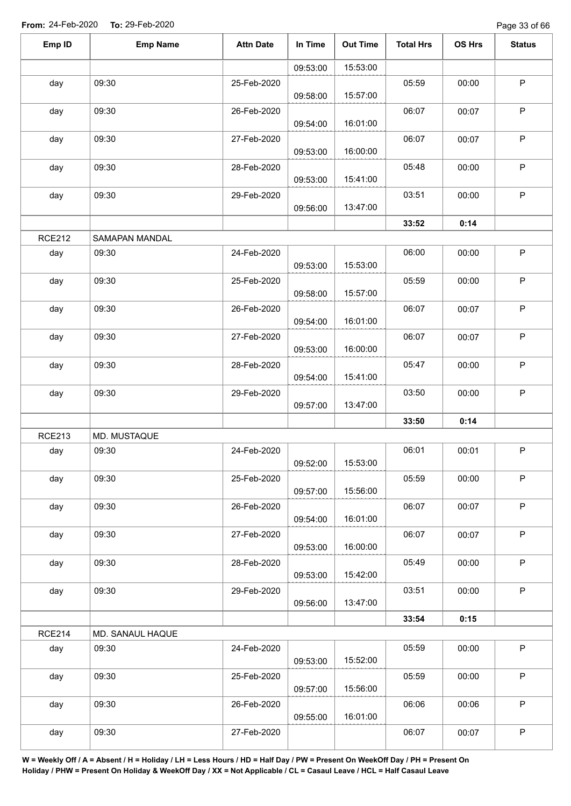Page 33 of 66

| Emp ID        | <b>Emp Name</b>  | <b>Attn Date</b> | In Time  | <b>Out Time</b> | <b>Total Hrs</b> | OS Hrs | <b>Status</b> |
|---------------|------------------|------------------|----------|-----------------|------------------|--------|---------------|
|               |                  |                  | 09:53:00 | 15:53:00        |                  |        |               |
| day           | 09:30            | 25-Feb-2020      | 09:58:00 | 15:57:00        | 05:59            | 00:00  | $\mathsf P$   |
| day           | 09:30            | 26-Feb-2020      | 09:54:00 | 16:01:00        | 06:07            | 00:07  | $\sf P$       |
| day           | 09:30            | 27-Feb-2020      | 09:53:00 | 16:00:00        | 06:07            | 00:07  | $\mathsf P$   |
| day           | 09:30            | 28-Feb-2020      | 09:53:00 | 15:41:00        | 05:48            | 00:00  | $\sf P$       |
| day           | 09:30            | 29-Feb-2020      | 09:56:00 | 13:47:00        | 03:51            | 00:00  | $\sf P$       |
|               |                  |                  |          |                 | 33:52            | 0:14   |               |
| <b>RCE212</b> | SAMAPAN MANDAL   |                  |          |                 |                  |        |               |
| day           | 09:30            | 24-Feb-2020      | 09:53:00 | 15:53:00        | 06:00            | 00:00  | $\mathsf P$   |
| day           | 09:30            | 25-Feb-2020      | 09:58:00 | 15:57:00        | 05:59            | 00:00  | $\mathsf P$   |
| day           | 09:30            | 26-Feb-2020      | 09:54:00 | 16:01:00        | 06:07            | 00:07  | $\sf P$       |
| day           | 09:30            | 27-Feb-2020      | 09:53:00 | 16:00:00        | 06:07            | 00:07  | P             |
| day           | 09:30            | 28-Feb-2020      | 09:54:00 | 15:41:00        | 05:47            | 00:00  | P             |
| day           | 09:30            | 29-Feb-2020      | 09:57:00 | 13:47:00        | 03:50            | 00:00  | $\sf P$       |
|               |                  |                  |          |                 | 33:50            | 0:14   |               |
| <b>RCE213</b> | MD. MUSTAQUE     |                  |          |                 |                  |        |               |
| day           | 09:30            | 24-Feb-2020      | 09:52:00 | 15:53:00        | 06:01            | 00:01  | P             |
| day           | 09:30            | 25-Feb-2020      | 09:57:00 | 15:56:00        | 05:59            | 00:00  | P             |
| day           | 09:30            | 26-Feb-2020      | 09:54:00 | 16:01:00        | 06:07            | 00:07  | $\mathsf{P}$  |
| day           | 09:30            | 27-Feb-2020      | 09:53:00 | 16:00:00        | 06:07            | 00:07  | $\sf P$       |
| day           | 09:30            | 28-Feb-2020      | 09:53:00 | 15:42:00        | 05:49            | 00:00  | P             |
| day           | 09:30            | 29-Feb-2020      | 09:56:00 | 13:47:00        | 03:51            | 00:00  | $\mathsf P$   |
|               |                  |                  |          |                 | 33:54            | 0:15   |               |
| <b>RCE214</b> | MD. SANAUL HAQUE |                  |          |                 |                  |        |               |
| day           | 09:30            | 24-Feb-2020      | 09:53:00 | 15:52:00        | 05:59            | 00:00  | $\mathsf P$   |
| day           | 09:30            | 25-Feb-2020      | 09:57:00 | 15:56:00        | 05:59            | 00:00  | P             |
| day           | 09:30            | 26-Feb-2020      | 09:55:00 | 16:01:00        | 06:06            | 00:06  | P             |
| day           | 09:30            | 27-Feb-2020      |          |                 | 06:07            | 00:07  | P             |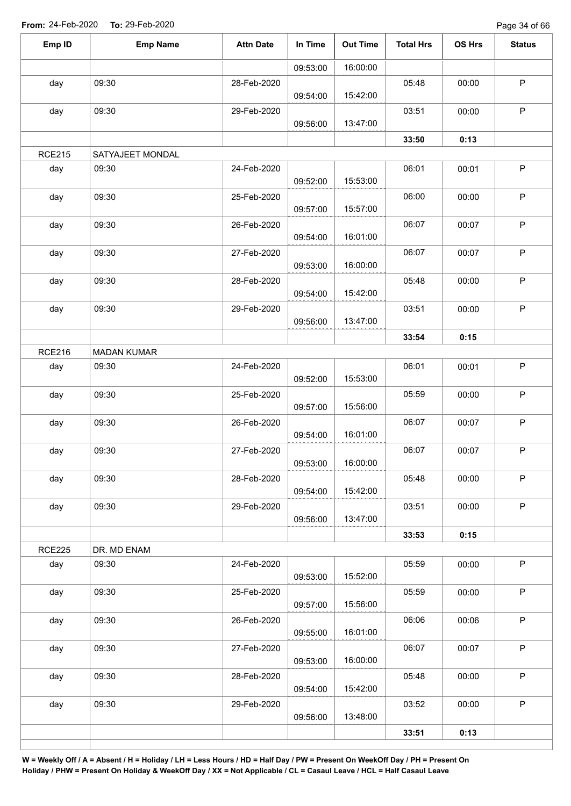| Emp ID        | <b>Emp Name</b>    | <b>Attn Date</b> | In Time  | <b>Out Time</b> | <b>Total Hrs</b> | OS Hrs | <b>Status</b> |
|---------------|--------------------|------------------|----------|-----------------|------------------|--------|---------------|
|               |                    |                  | 09:53:00 | 16:00:00        |                  |        |               |
| day           | 09:30              | 28-Feb-2020      | 09:54:00 | 15:42:00        | 05:48            | 00:00  | $\mathsf{P}$  |
| day           | 09:30              | 29-Feb-2020      | 09:56:00 | 13:47:00        | 03:51            | 00:00  | $\mathsf P$   |
|               |                    |                  |          |                 | 33:50            | 0:13   |               |
| <b>RCE215</b> | SATYAJEET MONDAL   |                  |          |                 |                  |        |               |
| day           | 09:30              | 24-Feb-2020      | 09:52:00 | 15:53:00        | 06:01            | 00:01  | $\sf P$       |
| day           | 09:30              | 25-Feb-2020      | 09:57:00 | 15:57:00        | 06:00            | 00:00  | $\sf P$       |
| day           | 09:30              | 26-Feb-2020      | 09:54:00 | 16:01:00        | 06:07            | 00:07  | $\sf P$       |
| day           | 09:30              | 27-Feb-2020      | 09:53:00 | 16:00:00        | 06:07            | 00:07  | $\sf P$       |
| day           | 09:30              | 28-Feb-2020      | 09:54:00 | 15:42:00        | 05:48            | 00:00  | $\sf P$       |
| day           | 09:30              | 29-Feb-2020      | 09:56:00 | 13:47:00        | 03:51            | 00:00  | $\mathsf P$   |
|               |                    |                  |          |                 | 33:54            | 0:15   |               |
| <b>RCE216</b> | <b>MADAN KUMAR</b> |                  |          |                 |                  |        |               |
| day           | 09:30              | 24-Feb-2020      | 09:52:00 | 15:53:00        | 06:01            | 00:01  | $\mathsf P$   |
| day           | 09:30              | 25-Feb-2020      | 09:57:00 | 15:56:00        | 05:59            | 00:00  | $\sf P$       |
| day           | 09:30              | 26-Feb-2020      | 09:54:00 | 16:01:00        | 06:07            | 00:07  | $\mathsf P$   |
| day           | 09:30              | 27-Feb-2020      | 09:53:00 | 16:00:00        | 06:07            | 00:07  | $\mathsf P$   |
| day           | 09:30              | 28-Feb-2020      | 09:54:00 | 15:42:00        | 05:48            | 00:00  | $\mathsf{P}$  |
| day           | 09:30              | 29-Feb-2020      | 09:56:00 | 13:47:00        | 03:51            | 00:00  | P             |
|               |                    |                  |          |                 | 33:53            | 0:15   |               |
| <b>RCE225</b> | DR. MD ENAM        |                  |          |                 |                  |        |               |
| day           | 09:30              | 24-Feb-2020      | 09:53:00 | 15:52:00        | 05:59            | 00:00  | P             |
| day           | 09:30              | 25-Feb-2020      | 09:57:00 | 15:56:00        | 05:59            | 00:00  | $\mathsf P$   |
| day           | 09:30              | 26-Feb-2020      | 09:55:00 | 16:01:00        | 06:06            | 00:06  | P             |
| day           | 09:30              | 27-Feb-2020      | 09:53:00 | 16:00:00        | 06:07            | 00:07  | P             |
| day           | 09:30              | 28-Feb-2020      | 09:54:00 | 15:42:00        | 05:48            | 00:00  | $\mathsf{P}$  |
| day           | 09:30              | 29-Feb-2020      | 09:56:00 | 13:48:00        | 03:52            | 00:00  | $\mathsf{P}$  |
|               |                    |                  |          |                 | 33:51            | 0:13   |               |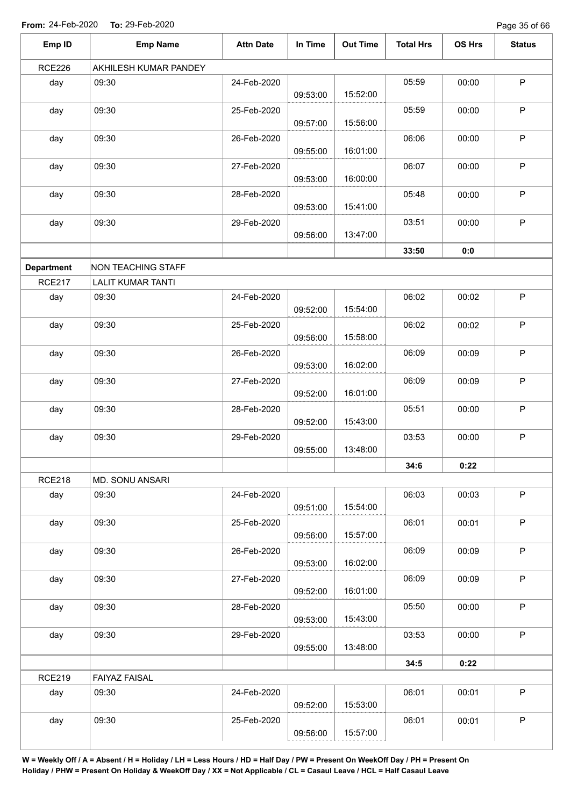Page 35 of 66

| Emp ID            | <b>Emp Name</b>           | <b>Attn Date</b> | In Time  | <b>Out Time</b> | <b>Total Hrs</b> | OS Hrs | <b>Status</b> |
|-------------------|---------------------------|------------------|----------|-----------------|------------------|--------|---------------|
| <b>RCE226</b>     | AKHILESH KUMAR PANDEY     |                  |          |                 |                  |        |               |
| day               | 09:30                     | 24-Feb-2020      | 09:53:00 | 15:52:00        | 05:59            | 00:00  | $\sf P$       |
| day               | 09:30                     | 25-Feb-2020      | 09:57:00 | 15:56:00        | 05:59            | 00:00  | $\mathsf P$   |
| day               | 09:30                     | 26-Feb-2020      | 09:55:00 | 16:01:00        | 06:06            | 00:00  | $\mathsf P$   |
| day               | 09:30                     | 27-Feb-2020      | 09:53:00 | 16:00:00        | 06:07            | 00:00  | $\mathsf P$   |
| day               | 09:30                     | 28-Feb-2020      | 09:53:00 | 15:41:00        | 05:48            | 00:00  | $\sf P$       |
| day               | 09:30                     | 29-Feb-2020      | 09:56:00 | 13:47:00        | 03:51            | 00:00  | $\sf P$       |
|                   |                           |                  |          |                 | 33:50            | 0:0    |               |
| <b>Department</b> | <b>NON TEACHING STAFF</b> |                  |          |                 |                  |        |               |
| <b>RCE217</b>     | <b>LALIT KUMAR TANTI</b>  |                  |          |                 |                  |        |               |
| day               | 09:30                     | 24-Feb-2020      | 09:52:00 | 15:54:00        | 06:02            | 00:02  | $\sf P$       |
| day               | 09:30                     | 25-Feb-2020      | 09:56:00 | 15:58:00        | 06:02            | 00:02  | $\mathsf P$   |
| day               | 09:30                     | 26-Feb-2020      | 09:53:00 | 16:02:00        | 06:09            | 00:09  | $\sf P$       |
| day               | 09:30                     | 27-Feb-2020      | 09:52:00 | 16:01:00        | 06:09            | 00:09  | $\mathsf P$   |
| day               | 09:30                     | 28-Feb-2020      | 09:52:00 | 15:43:00        | 05:51            | 00:00  | $\sf P$       |
| day               | 09:30                     | 29-Feb-2020      | 09:55:00 | 13:48:00        | 03:53            | 00:00  | $\mathsf P$   |
|                   |                           |                  |          |                 | 34:6             | 0:22   |               |
| <b>RCE218</b>     | MD. SONU ANSARI           |                  |          |                 |                  |        |               |
| day               | 09:30                     | 24-Feb-2020      | 09:51:00 | 15:54:00        | 06:03            | 00:03  | P             |
| day               | 09:30                     | 25-Feb-2020      | 09:56:00 | 15:57:00        | 06:01            | 00:01  | $\sf P$       |
| day               | 09:30                     | 26-Feb-2020      | 09:53:00 | 16:02:00        | 06:09            | 00:09  | P             |
| day               | 09:30                     | 27-Feb-2020      | 09:52:00 | 16:01:00        | 06:09            | 00:09  | $\mathsf P$   |
| day               | 09:30                     | 28-Feb-2020      | 09:53:00 | 15:43:00        | 05:50            | 00:00  | $\mathsf P$   |
| day               | 09:30                     | 29-Feb-2020      | 09:55:00 | 13:48:00        | 03:53            | 00:00  | $\mathsf P$   |
|                   |                           |                  |          |                 | 34:5             | 0:22   |               |
| <b>RCE219</b>     | <b>FAIYAZ FAISAL</b>      |                  |          |                 |                  |        |               |
| day               | 09:30                     | 24-Feb-2020      | 09:52:00 | 15:53:00        | 06:01            | 00:01  | $\mathsf P$   |
| day               | 09:30                     | 25-Feb-2020      | 09:56:00 | 15:57:00        | 06:01            | 00:01  | $\sf P$       |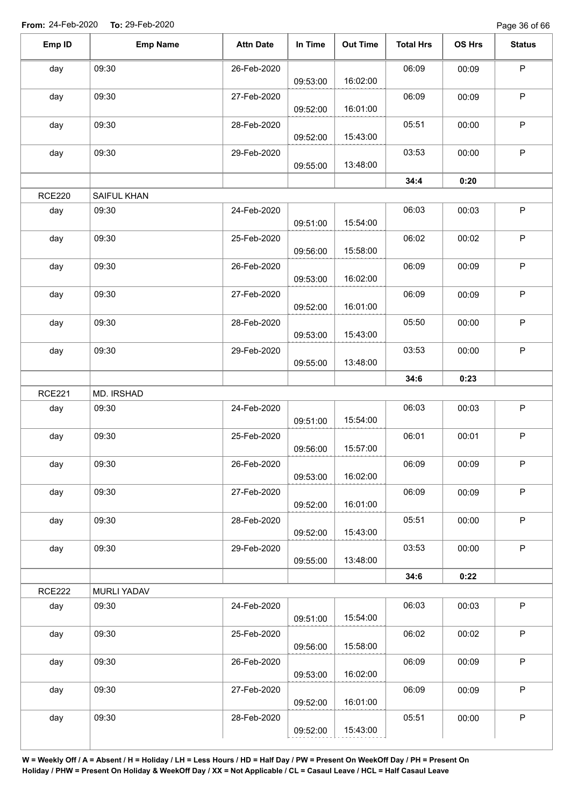Page 36 of 66

| $\sf P$<br>06:09<br>09:30<br>00:09<br>26-Feb-2020<br>day<br>16:02:00<br>09:53:00<br>$\sf P$<br>06:09<br>09:30<br>00:09<br>day<br>27-Feb-2020<br>16:01:00<br>09:52:00<br>$\sf P$<br>05:51<br>day<br>09:30<br>00:00<br>28-Feb-2020<br>15:43:00<br>09:52:00<br>03:53<br>$\mathsf P$<br>09:30<br>29-Feb-2020<br>00:00<br>day<br>13:48:00<br>09:55:00<br>34:4<br>0:20<br><b>RCE220</b><br>SAIFUL KHAN<br>$\mathsf P$<br>09:30<br>24-Feb-2020<br>06:03<br>00:03<br>day<br>15:54:00<br>09:51:00<br>$\sf P$<br>09:30<br>06:02<br>day<br>25-Feb-2020<br>00:02<br>15:58:00<br>09:56:00<br>P<br>09:30<br>26-Feb-2020<br>06:09<br>00:09<br>day<br>16:02:00<br>09:53:00<br>$\mathsf P$<br>09:30<br>06:09<br>day<br>27-Feb-2020<br>00:09<br>16:01:00<br>09:52:00<br>$\sf P$<br>09:30<br>28-Feb-2020<br>05:50<br>day<br>00:00<br>15:43:00<br>09:53:00<br>$\mathsf P$<br>09:30<br>03:53<br>day<br>29-Feb-2020<br>00:00<br>13:48:00<br>09:55:00<br>34:6<br>0:23<br><b>RCE221</b><br>MD. IRSHAD<br>$\sf P$<br>24-Feb-2020<br>06:03<br>day<br>09:30<br>00:03<br>15:54:00<br>09:51:00<br>$\sf P$<br>09:30<br>day<br>25-Feb-2020<br>06:01<br>00:01<br>15:57:00<br>09:56:00<br>09:30<br>26-Feb-2020<br>06:09<br>00:09<br>P<br>day<br>16:02:00<br>09:53:00<br>$\mathsf P$<br>09:30<br>06:09<br>27-Feb-2020<br>00:09<br>day<br>16:01:00<br>09:52:00<br>$\mathsf P$<br>09:30<br>28-Feb-2020<br>05:51<br>day<br>00:00<br>15:43:00<br>09:52:00<br>$\sf P$<br>09:30<br>29-Feb-2020<br>03:53<br>day<br>00:00<br>13:48:00<br>09:55:00<br>34:6<br>0:22<br><b>RCE222</b><br><b>MURLI YADAV</b><br>$\mathsf P$<br>06:03<br>09:30<br>24-Feb-2020<br>00:03<br>day<br>15:54:00<br>09:51:00<br>$\mathsf{P}$<br>06:02<br>09:30<br>25-Feb-2020<br>00:02<br>day<br>15:58:00<br>09:56:00<br>$\mathsf P$<br>06:09<br>09:30<br>26-Feb-2020<br>00:09<br>day<br>16:02:00<br>09:53:00<br>$\mathsf P$<br>06:09<br>09:30<br>00:09<br>27-Feb-2020<br>day<br>16:01:00<br>09:52:00<br>$\mathsf P$<br>09:30<br>05:51<br>00:00<br>day<br>28-Feb-2020<br>15:43:00<br>09:52:00 | Emp ID | <b>Emp Name</b> | <b>Attn Date</b> | In Time | <b>Out Time</b> | <b>Total Hrs</b> | OS Hrs | <b>Status</b> |
|-------------------------------------------------------------------------------------------------------------------------------------------------------------------------------------------------------------------------------------------------------------------------------------------------------------------------------------------------------------------------------------------------------------------------------------------------------------------------------------------------------------------------------------------------------------------------------------------------------------------------------------------------------------------------------------------------------------------------------------------------------------------------------------------------------------------------------------------------------------------------------------------------------------------------------------------------------------------------------------------------------------------------------------------------------------------------------------------------------------------------------------------------------------------------------------------------------------------------------------------------------------------------------------------------------------------------------------------------------------------------------------------------------------------------------------------------------------------------------------------------------------------------------------------------------------------------------------------------------------------------------------------------------------------------------------------------------------------------------------------------------------------------------------------------------------------------------------------------------------------------------------------------------------------------------------------------------------------------------------------------------------------------|--------|-----------------|------------------|---------|-----------------|------------------|--------|---------------|
|                                                                                                                                                                                                                                                                                                                                                                                                                                                                                                                                                                                                                                                                                                                                                                                                                                                                                                                                                                                                                                                                                                                                                                                                                                                                                                                                                                                                                                                                                                                                                                                                                                                                                                                                                                                                                                                                                                                                                                                                                         |        |                 |                  |         |                 |                  |        |               |
|                                                                                                                                                                                                                                                                                                                                                                                                                                                                                                                                                                                                                                                                                                                                                                                                                                                                                                                                                                                                                                                                                                                                                                                                                                                                                                                                                                                                                                                                                                                                                                                                                                                                                                                                                                                                                                                                                                                                                                                                                         |        |                 |                  |         |                 |                  |        |               |
|                                                                                                                                                                                                                                                                                                                                                                                                                                                                                                                                                                                                                                                                                                                                                                                                                                                                                                                                                                                                                                                                                                                                                                                                                                                                                                                                                                                                                                                                                                                                                                                                                                                                                                                                                                                                                                                                                                                                                                                                                         |        |                 |                  |         |                 |                  |        |               |
|                                                                                                                                                                                                                                                                                                                                                                                                                                                                                                                                                                                                                                                                                                                                                                                                                                                                                                                                                                                                                                                                                                                                                                                                                                                                                                                                                                                                                                                                                                                                                                                                                                                                                                                                                                                                                                                                                                                                                                                                                         |        |                 |                  |         |                 |                  |        |               |
|                                                                                                                                                                                                                                                                                                                                                                                                                                                                                                                                                                                                                                                                                                                                                                                                                                                                                                                                                                                                                                                                                                                                                                                                                                                                                                                                                                                                                                                                                                                                                                                                                                                                                                                                                                                                                                                                                                                                                                                                                         |        |                 |                  |         |                 |                  |        |               |
|                                                                                                                                                                                                                                                                                                                                                                                                                                                                                                                                                                                                                                                                                                                                                                                                                                                                                                                                                                                                                                                                                                                                                                                                                                                                                                                                                                                                                                                                                                                                                                                                                                                                                                                                                                                                                                                                                                                                                                                                                         |        |                 |                  |         |                 |                  |        |               |
|                                                                                                                                                                                                                                                                                                                                                                                                                                                                                                                                                                                                                                                                                                                                                                                                                                                                                                                                                                                                                                                                                                                                                                                                                                                                                                                                                                                                                                                                                                                                                                                                                                                                                                                                                                                                                                                                                                                                                                                                                         |        |                 |                  |         |                 |                  |        |               |
|                                                                                                                                                                                                                                                                                                                                                                                                                                                                                                                                                                                                                                                                                                                                                                                                                                                                                                                                                                                                                                                                                                                                                                                                                                                                                                                                                                                                                                                                                                                                                                                                                                                                                                                                                                                                                                                                                                                                                                                                                         |        |                 |                  |         |                 |                  |        |               |
|                                                                                                                                                                                                                                                                                                                                                                                                                                                                                                                                                                                                                                                                                                                                                                                                                                                                                                                                                                                                                                                                                                                                                                                                                                                                                                                                                                                                                                                                                                                                                                                                                                                                                                                                                                                                                                                                                                                                                                                                                         |        |                 |                  |         |                 |                  |        |               |
|                                                                                                                                                                                                                                                                                                                                                                                                                                                                                                                                                                                                                                                                                                                                                                                                                                                                                                                                                                                                                                                                                                                                                                                                                                                                                                                                                                                                                                                                                                                                                                                                                                                                                                                                                                                                                                                                                                                                                                                                                         |        |                 |                  |         |                 |                  |        |               |
|                                                                                                                                                                                                                                                                                                                                                                                                                                                                                                                                                                                                                                                                                                                                                                                                                                                                                                                                                                                                                                                                                                                                                                                                                                                                                                                                                                                                                                                                                                                                                                                                                                                                                                                                                                                                                                                                                                                                                                                                                         |        |                 |                  |         |                 |                  |        |               |
|                                                                                                                                                                                                                                                                                                                                                                                                                                                                                                                                                                                                                                                                                                                                                                                                                                                                                                                                                                                                                                                                                                                                                                                                                                                                                                                                                                                                                                                                                                                                                                                                                                                                                                                                                                                                                                                                                                                                                                                                                         |        |                 |                  |         |                 |                  |        |               |
|                                                                                                                                                                                                                                                                                                                                                                                                                                                                                                                                                                                                                                                                                                                                                                                                                                                                                                                                                                                                                                                                                                                                                                                                                                                                                                                                                                                                                                                                                                                                                                                                                                                                                                                                                                                                                                                                                                                                                                                                                         |        |                 |                  |         |                 |                  |        |               |
|                                                                                                                                                                                                                                                                                                                                                                                                                                                                                                                                                                                                                                                                                                                                                                                                                                                                                                                                                                                                                                                                                                                                                                                                                                                                                                                                                                                                                                                                                                                                                                                                                                                                                                                                                                                                                                                                                                                                                                                                                         |        |                 |                  |         |                 |                  |        |               |
|                                                                                                                                                                                                                                                                                                                                                                                                                                                                                                                                                                                                                                                                                                                                                                                                                                                                                                                                                                                                                                                                                                                                                                                                                                                                                                                                                                                                                                                                                                                                                                                                                                                                                                                                                                                                                                                                                                                                                                                                                         |        |                 |                  |         |                 |                  |        |               |
|                                                                                                                                                                                                                                                                                                                                                                                                                                                                                                                                                                                                                                                                                                                                                                                                                                                                                                                                                                                                                                                                                                                                                                                                                                                                                                                                                                                                                                                                                                                                                                                                                                                                                                                                                                                                                                                                                                                                                                                                                         |        |                 |                  |         |                 |                  |        |               |
|                                                                                                                                                                                                                                                                                                                                                                                                                                                                                                                                                                                                                                                                                                                                                                                                                                                                                                                                                                                                                                                                                                                                                                                                                                                                                                                                                                                                                                                                                                                                                                                                                                                                                                                                                                                                                                                                                                                                                                                                                         |        |                 |                  |         |                 |                  |        |               |
|                                                                                                                                                                                                                                                                                                                                                                                                                                                                                                                                                                                                                                                                                                                                                                                                                                                                                                                                                                                                                                                                                                                                                                                                                                                                                                                                                                                                                                                                                                                                                                                                                                                                                                                                                                                                                                                                                                                                                                                                                         |        |                 |                  |         |                 |                  |        |               |
|                                                                                                                                                                                                                                                                                                                                                                                                                                                                                                                                                                                                                                                                                                                                                                                                                                                                                                                                                                                                                                                                                                                                                                                                                                                                                                                                                                                                                                                                                                                                                                                                                                                                                                                                                                                                                                                                                                                                                                                                                         |        |                 |                  |         |                 |                  |        |               |
|                                                                                                                                                                                                                                                                                                                                                                                                                                                                                                                                                                                                                                                                                                                                                                                                                                                                                                                                                                                                                                                                                                                                                                                                                                                                                                                                                                                                                                                                                                                                                                                                                                                                                                                                                                                                                                                                                                                                                                                                                         |        |                 |                  |         |                 |                  |        |               |
|                                                                                                                                                                                                                                                                                                                                                                                                                                                                                                                                                                                                                                                                                                                                                                                                                                                                                                                                                                                                                                                                                                                                                                                                                                                                                                                                                                                                                                                                                                                                                                                                                                                                                                                                                                                                                                                                                                                                                                                                                         |        |                 |                  |         |                 |                  |        |               |
|                                                                                                                                                                                                                                                                                                                                                                                                                                                                                                                                                                                                                                                                                                                                                                                                                                                                                                                                                                                                                                                                                                                                                                                                                                                                                                                                                                                                                                                                                                                                                                                                                                                                                                                                                                                                                                                                                                                                                                                                                         |        |                 |                  |         |                 |                  |        |               |
|                                                                                                                                                                                                                                                                                                                                                                                                                                                                                                                                                                                                                                                                                                                                                                                                                                                                                                                                                                                                                                                                                                                                                                                                                                                                                                                                                                                                                                                                                                                                                                                                                                                                                                                                                                                                                                                                                                                                                                                                                         |        |                 |                  |         |                 |                  |        |               |
|                                                                                                                                                                                                                                                                                                                                                                                                                                                                                                                                                                                                                                                                                                                                                                                                                                                                                                                                                                                                                                                                                                                                                                                                                                                                                                                                                                                                                                                                                                                                                                                                                                                                                                                                                                                                                                                                                                                                                                                                                         |        |                 |                  |         |                 |                  |        |               |
|                                                                                                                                                                                                                                                                                                                                                                                                                                                                                                                                                                                                                                                                                                                                                                                                                                                                                                                                                                                                                                                                                                                                                                                                                                                                                                                                                                                                                                                                                                                                                                                                                                                                                                                                                                                                                                                                                                                                                                                                                         |        |                 |                  |         |                 |                  |        |               |
|                                                                                                                                                                                                                                                                                                                                                                                                                                                                                                                                                                                                                                                                                                                                                                                                                                                                                                                                                                                                                                                                                                                                                                                                                                                                                                                                                                                                                                                                                                                                                                                                                                                                                                                                                                                                                                                                                                                                                                                                                         |        |                 |                  |         |                 |                  |        |               |
|                                                                                                                                                                                                                                                                                                                                                                                                                                                                                                                                                                                                                                                                                                                                                                                                                                                                                                                                                                                                                                                                                                                                                                                                                                                                                                                                                                                                                                                                                                                                                                                                                                                                                                                                                                                                                                                                                                                                                                                                                         |        |                 |                  |         |                 |                  |        |               |
|                                                                                                                                                                                                                                                                                                                                                                                                                                                                                                                                                                                                                                                                                                                                                                                                                                                                                                                                                                                                                                                                                                                                                                                                                                                                                                                                                                                                                                                                                                                                                                                                                                                                                                                                                                                                                                                                                                                                                                                                                         |        |                 |                  |         |                 |                  |        |               |
|                                                                                                                                                                                                                                                                                                                                                                                                                                                                                                                                                                                                                                                                                                                                                                                                                                                                                                                                                                                                                                                                                                                                                                                                                                                                                                                                                                                                                                                                                                                                                                                                                                                                                                                                                                                                                                                                                                                                                                                                                         |        |                 |                  |         |                 |                  |        |               |
|                                                                                                                                                                                                                                                                                                                                                                                                                                                                                                                                                                                                                                                                                                                                                                                                                                                                                                                                                                                                                                                                                                                                                                                                                                                                                                                                                                                                                                                                                                                                                                                                                                                                                                                                                                                                                                                                                                                                                                                                                         |        |                 |                  |         |                 |                  |        |               |
|                                                                                                                                                                                                                                                                                                                                                                                                                                                                                                                                                                                                                                                                                                                                                                                                                                                                                                                                                                                                                                                                                                                                                                                                                                                                                                                                                                                                                                                                                                                                                                                                                                                                                                                                                                                                                                                                                                                                                                                                                         |        |                 |                  |         |                 |                  |        |               |
|                                                                                                                                                                                                                                                                                                                                                                                                                                                                                                                                                                                                                                                                                                                                                                                                                                                                                                                                                                                                                                                                                                                                                                                                                                                                                                                                                                                                                                                                                                                                                                                                                                                                                                                                                                                                                                                                                                                                                                                                                         |        |                 |                  |         |                 |                  |        |               |
|                                                                                                                                                                                                                                                                                                                                                                                                                                                                                                                                                                                                                                                                                                                                                                                                                                                                                                                                                                                                                                                                                                                                                                                                                                                                                                                                                                                                                                                                                                                                                                                                                                                                                                                                                                                                                                                                                                                                                                                                                         |        |                 |                  |         |                 |                  |        |               |
|                                                                                                                                                                                                                                                                                                                                                                                                                                                                                                                                                                                                                                                                                                                                                                                                                                                                                                                                                                                                                                                                                                                                                                                                                                                                                                                                                                                                                                                                                                                                                                                                                                                                                                                                                                                                                                                                                                                                                                                                                         |        |                 |                  |         |                 |                  |        |               |
|                                                                                                                                                                                                                                                                                                                                                                                                                                                                                                                                                                                                                                                                                                                                                                                                                                                                                                                                                                                                                                                                                                                                                                                                                                                                                                                                                                                                                                                                                                                                                                                                                                                                                                                                                                                                                                                                                                                                                                                                                         |        |                 |                  |         |                 |                  |        |               |
|                                                                                                                                                                                                                                                                                                                                                                                                                                                                                                                                                                                                                                                                                                                                                                                                                                                                                                                                                                                                                                                                                                                                                                                                                                                                                                                                                                                                                                                                                                                                                                                                                                                                                                                                                                                                                                                                                                                                                                                                                         |        |                 |                  |         |                 |                  |        |               |
|                                                                                                                                                                                                                                                                                                                                                                                                                                                                                                                                                                                                                                                                                                                                                                                                                                                                                                                                                                                                                                                                                                                                                                                                                                                                                                                                                                                                                                                                                                                                                                                                                                                                                                                                                                                                                                                                                                                                                                                                                         |        |                 |                  |         |                 |                  |        |               |
|                                                                                                                                                                                                                                                                                                                                                                                                                                                                                                                                                                                                                                                                                                                                                                                                                                                                                                                                                                                                                                                                                                                                                                                                                                                                                                                                                                                                                                                                                                                                                                                                                                                                                                                                                                                                                                                                                                                                                                                                                         |        |                 |                  |         |                 |                  |        |               |
|                                                                                                                                                                                                                                                                                                                                                                                                                                                                                                                                                                                                                                                                                                                                                                                                                                                                                                                                                                                                                                                                                                                                                                                                                                                                                                                                                                                                                                                                                                                                                                                                                                                                                                                                                                                                                                                                                                                                                                                                                         |        |                 |                  |         |                 |                  |        |               |
|                                                                                                                                                                                                                                                                                                                                                                                                                                                                                                                                                                                                                                                                                                                                                                                                                                                                                                                                                                                                                                                                                                                                                                                                                                                                                                                                                                                                                                                                                                                                                                                                                                                                                                                                                                                                                                                                                                                                                                                                                         |        |                 |                  |         |                 |                  |        |               |
|                                                                                                                                                                                                                                                                                                                                                                                                                                                                                                                                                                                                                                                                                                                                                                                                                                                                                                                                                                                                                                                                                                                                                                                                                                                                                                                                                                                                                                                                                                                                                                                                                                                                                                                                                                                                                                                                                                                                                                                                                         |        |                 |                  |         |                 |                  |        |               |
|                                                                                                                                                                                                                                                                                                                                                                                                                                                                                                                                                                                                                                                                                                                                                                                                                                                                                                                                                                                                                                                                                                                                                                                                                                                                                                                                                                                                                                                                                                                                                                                                                                                                                                                                                                                                                                                                                                                                                                                                                         |        |                 |                  |         |                 |                  |        |               |
|                                                                                                                                                                                                                                                                                                                                                                                                                                                                                                                                                                                                                                                                                                                                                                                                                                                                                                                                                                                                                                                                                                                                                                                                                                                                                                                                                                                                                                                                                                                                                                                                                                                                                                                                                                                                                                                                                                                                                                                                                         |        |                 |                  |         |                 |                  |        |               |
|                                                                                                                                                                                                                                                                                                                                                                                                                                                                                                                                                                                                                                                                                                                                                                                                                                                                                                                                                                                                                                                                                                                                                                                                                                                                                                                                                                                                                                                                                                                                                                                                                                                                                                                                                                                                                                                                                                                                                                                                                         |        |                 |                  |         |                 |                  |        |               |
|                                                                                                                                                                                                                                                                                                                                                                                                                                                                                                                                                                                                                                                                                                                                                                                                                                                                                                                                                                                                                                                                                                                                                                                                                                                                                                                                                                                                                                                                                                                                                                                                                                                                                                                                                                                                                                                                                                                                                                                                                         |        |                 |                  |         |                 |                  |        |               |
|                                                                                                                                                                                                                                                                                                                                                                                                                                                                                                                                                                                                                                                                                                                                                                                                                                                                                                                                                                                                                                                                                                                                                                                                                                                                                                                                                                                                                                                                                                                                                                                                                                                                                                                                                                                                                                                                                                                                                                                                                         |        |                 |                  |         |                 |                  |        |               |
|                                                                                                                                                                                                                                                                                                                                                                                                                                                                                                                                                                                                                                                                                                                                                                                                                                                                                                                                                                                                                                                                                                                                                                                                                                                                                                                                                                                                                                                                                                                                                                                                                                                                                                                                                                                                                                                                                                                                                                                                                         |        |                 |                  |         |                 |                  |        |               |
|                                                                                                                                                                                                                                                                                                                                                                                                                                                                                                                                                                                                                                                                                                                                                                                                                                                                                                                                                                                                                                                                                                                                                                                                                                                                                                                                                                                                                                                                                                                                                                                                                                                                                                                                                                                                                                                                                                                                                                                                                         |        |                 |                  |         |                 |                  |        |               |
|                                                                                                                                                                                                                                                                                                                                                                                                                                                                                                                                                                                                                                                                                                                                                                                                                                                                                                                                                                                                                                                                                                                                                                                                                                                                                                                                                                                                                                                                                                                                                                                                                                                                                                                                                                                                                                                                                                                                                                                                                         |        |                 |                  |         |                 |                  |        |               |
|                                                                                                                                                                                                                                                                                                                                                                                                                                                                                                                                                                                                                                                                                                                                                                                                                                                                                                                                                                                                                                                                                                                                                                                                                                                                                                                                                                                                                                                                                                                                                                                                                                                                                                                                                                                                                                                                                                                                                                                                                         |        |                 |                  |         |                 |                  |        |               |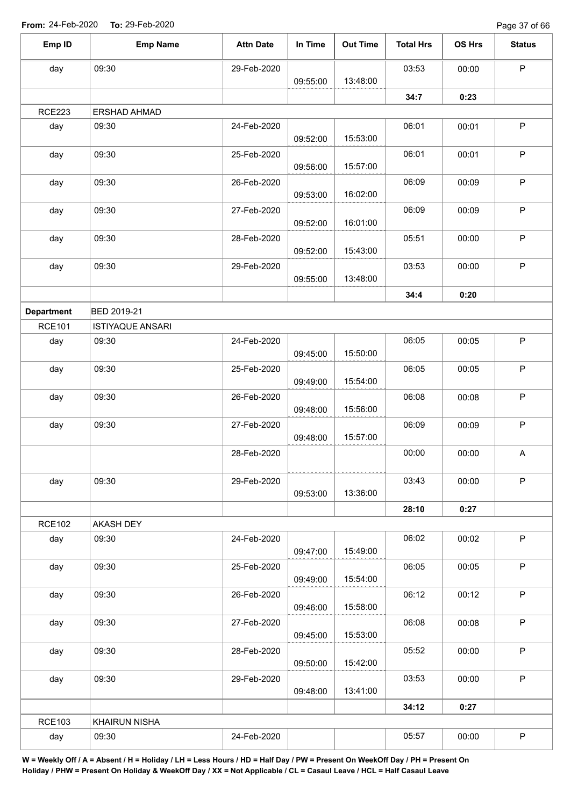| Emp ID            | <b>Emp Name</b>         | <b>Attn Date</b> | In Time  | <b>Out Time</b> | <b>Total Hrs</b> | OS Hrs | <b>Status</b>             |
|-------------------|-------------------------|------------------|----------|-----------------|------------------|--------|---------------------------|
| day               | 09:30                   | 29-Feb-2020      | 09:55:00 | 13:48:00        | 03:53            | 00:00  | $\mathsf P$               |
|                   |                         |                  |          |                 | 34:7             | 0:23   |                           |
| <b>RCE223</b>     | ERSHAD AHMAD            |                  |          |                 |                  |        |                           |
| day               | 09:30                   | 24-Feb-2020      | 09:52:00 | 15:53:00        | 06:01            | 00:01  | $\sf P$                   |
| day               | 09:30                   | 25-Feb-2020      | 09:56:00 | 15:57:00        | 06:01            | 00:01  | $\mathsf P$               |
| day               | 09:30                   | 26-Feb-2020      | 09:53:00 | 16:02:00        | 06:09            | 00:09  | $\sf P$                   |
| day               | 09:30                   | 27-Feb-2020      | 09:52:00 | 16:01:00        | 06:09            | 00:09  | $\mathsf P$               |
| day               | 09:30                   | 28-Feb-2020      | 09:52:00 | 15:43:00        | 05:51            | 00:00  | $\mathsf P$               |
| day               | 09:30                   | 29-Feb-2020      |          | 13:48:00        | 03:53            | 00:00  | $\sf P$                   |
|                   |                         |                  | 09:55:00 |                 |                  |        |                           |
|                   |                         |                  |          |                 | 34:4             | 0:20   |                           |
| <b>Department</b> | BED 2019-21             |                  |          |                 |                  |        |                           |
| <b>RCE101</b>     | <b>ISTIYAQUE ANSARI</b> |                  |          |                 |                  |        |                           |
| day               | 09:30                   | 24-Feb-2020      | 09:45:00 | 15:50:00        | 06:05            | 00:05  | $\sf P$                   |
| day               | 09:30                   | 25-Feb-2020      | 09:49:00 | 15:54:00        | 06:05            | 00:05  | $\sf P$                   |
| day               | 09:30                   | 26-Feb-2020      | 09:48:00 | 15:56:00        | 06:08            | 00:08  | $\mathsf P$               |
| day               | 09:30                   | 27-Feb-2020      | 09:48:00 | 15:57:00        | 06:09            | 00:09  | $\mathsf P$               |
|                   |                         | 28-Feb-2020      |          |                 | 00:00            | 00:00  | $\boldsymbol{\mathsf{A}}$ |
| day               | 09:30                   | 29-Feb-2020      | 09:53:00 | 13:36:00        | 03:43            | 00:00  | $\mathsf P$               |
|                   |                         |                  |          |                 | 28:10            | 0:27   |                           |
| <b>RCE102</b>     | AKASH DEY               |                  |          |                 |                  |        |                           |
| day               | 09:30                   | 24-Feb-2020      | 09:47:00 | 15:49:00        | 06:02            | 00:02  | $\sf P$                   |
| day               | 09:30                   | 25-Feb-2020      | 09:49:00 | 15:54:00        | 06:05            | 00:05  | $\mathsf P$               |
| day               | 09:30                   | 26-Feb-2020      | 09:46:00 | 15:58:00        | 06:12            | 00:12  | $\mathsf P$               |
| day               | 09:30                   | 27-Feb-2020      | 09:45:00 | 15:53:00        | 06:08            | 00:08  | $\mathsf P$               |
| day               | 09:30                   | 28-Feb-2020      | 09:50:00 | 15:42:00        | 05:52            | 00:00  | $\mathsf P$               |
| day               | 09:30                   | 29-Feb-2020      | 09:48:00 | 13:41:00        | 03:53            | 00:00  | $\sf P$                   |
|                   |                         |                  |          |                 | 34:12            | 0:27   |                           |
| <b>RCE103</b>     | <b>KHAIRUN NISHA</b>    |                  |          |                 |                  |        |                           |
| day               | 09:30                   | 24-Feb-2020      |          |                 | 05:57            | 00:00  | $\sf P$                   |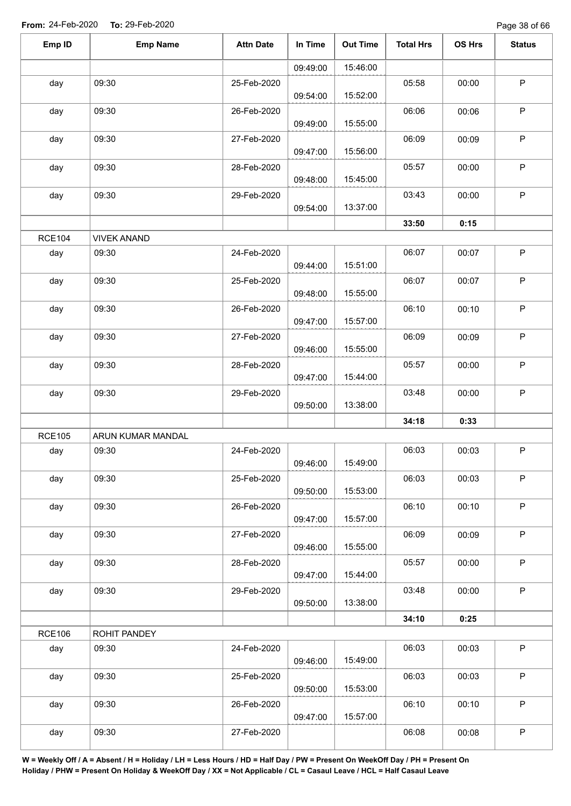| Emp ID        | <b>Emp Name</b>    | <b>Attn Date</b> | In Time  | <b>Out Time</b> | <b>Total Hrs</b> | OS Hrs | <b>Status</b> |
|---------------|--------------------|------------------|----------|-----------------|------------------|--------|---------------|
|               |                    |                  | 09:49:00 | 15:46:00        |                  |        |               |
| day           | 09:30              | 25-Feb-2020      | 09:54:00 | 15:52:00        | 05:58            | 00:00  | $\sf P$       |
| day           | 09:30              | 26-Feb-2020      | 09:49:00 | 15:55:00        | 06:06            | 00:06  | $\mathsf P$   |
| day           | 09:30              | 27-Feb-2020      | 09:47:00 | 15:56:00        | 06:09            | 00:09  | $\sf P$       |
| day           | 09:30              | 28-Feb-2020      | 09:48:00 | 15:45:00        | 05:57            | 00:00  | $\sf P$       |
| day           | 09:30              | 29-Feb-2020      | 09:54:00 | 13:37:00        | 03:43            | 00:00  | $\mathsf P$   |
|               |                    |                  |          |                 | 33:50            | 0:15   |               |
| <b>RCE104</b> | <b>VIVEK ANAND</b> |                  |          |                 |                  |        |               |
| day           | 09:30              | 24-Feb-2020      | 09:44:00 | 15:51:00        | 06:07            | 00:07  | $\mathsf P$   |
| day           | 09:30              | 25-Feb-2020      | 09:48:00 | 15:55:00        | 06:07            | 00:07  | $\sf P$       |
| day           | 09:30              | 26-Feb-2020      | 09:47:00 | 15:57:00        | 06:10            | 00:10  | $\mathsf P$   |
| day           | 09:30              | 27-Feb-2020      | 09:46:00 | 15:55:00        | 06:09            | 00:09  | $\sf P$       |
| day           | 09:30              | 28-Feb-2020      | 09:47:00 | 15:44:00        | 05:57            | 00:00  | $\sf P$       |
| day           | 09:30              | 29-Feb-2020      | 09:50:00 | 13:38:00        | 03:48            | 00:00  | $\sf P$       |
|               |                    |                  |          |                 | 34:18            | 0:33   |               |
| <b>RCE105</b> | ARUN KUMAR MANDAL  |                  |          |                 |                  |        |               |
| day           | 09:30              | 24-Feb-2020      | 09:46:00 | 15:49:00        | 06:03            | 00:03  | P             |
| day           | 09:30              | 25-Feb-2020      | 09:50:00 | 15:53:00        | 06:03            | 00:03  | $\sf P$       |
| day           | 09:30              | 26-Feb-2020      | 09:47:00 | 15:57:00        | 06:10            | 00:10  | $\mathsf P$   |
| day           | 09:30              | 27-Feb-2020      | 09:46:00 | 15:55:00        | 06:09            | 00:09  | $\mathsf P$   |
| day           | 09:30              | 28-Feb-2020      | 09:47:00 | 15:44:00        | 05:57            | 00:00  | $\mathsf P$   |
| day           | 09:30              | 29-Feb-2020      | 09:50:00 | 13:38:00        | 03:48            | 00:00  | $\mathsf P$   |
|               |                    |                  |          |                 | 34:10            | 0:25   |               |
| <b>RCE106</b> | ROHIT PANDEY       |                  |          |                 |                  |        |               |
| day           | 09:30              | 24-Feb-2020      | 09:46:00 | 15:49:00        | 06:03            | 00:03  | $\mathsf P$   |
| day           | 09:30              | 25-Feb-2020      | 09:50:00 | 15:53:00        | 06:03            | 00:03  | $\mathsf P$   |
| day           | 09:30              | 26-Feb-2020      | 09:47:00 | 15:57:00        | 06:10            | 00:10  | P             |
| day           | 09:30              | 27-Feb-2020      |          |                 | 06:08            | 00:08  | ${\sf P}$     |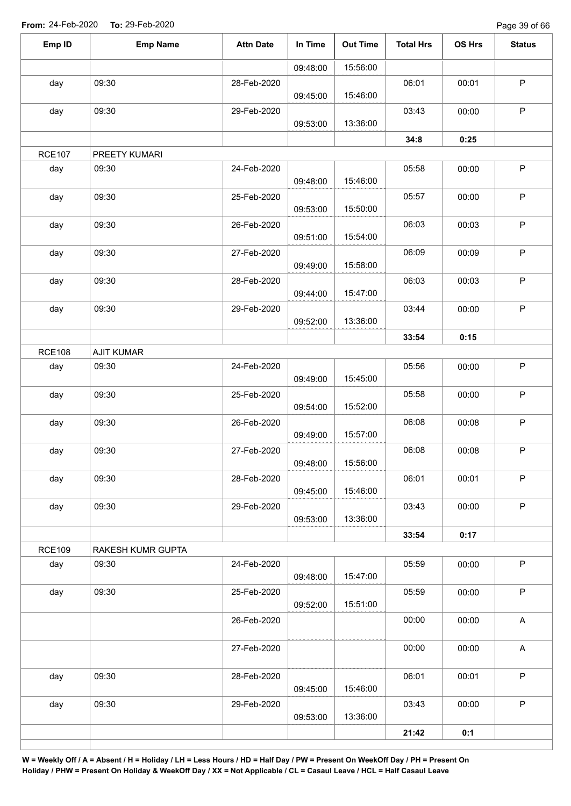Page 39 of 66

| Emp ID        | <b>Emp Name</b>   | <b>Attn Date</b> | In Time  | <b>Out Time</b> | <b>Total Hrs</b> | OS Hrs | <b>Status</b>             |
|---------------|-------------------|------------------|----------|-----------------|------------------|--------|---------------------------|
|               |                   |                  | 09:48:00 | 15:56:00        |                  |        |                           |
| day           | 09:30             | 28-Feb-2020      | 09:45:00 | 15:46:00        | 06:01            | 00:01  | $\mathsf P$               |
| day           | 09:30             | 29-Feb-2020      | 09:53:00 | 13:36:00        | 03:43            | 00:00  | $\mathsf P$               |
|               |                   |                  |          |                 | 34:8             | 0:25   |                           |
| <b>RCE107</b> | PREETY KUMARI     |                  |          |                 |                  |        |                           |
| day           | 09:30             | 24-Feb-2020      | 09:48:00 | 15:46:00        | 05:58            | 00:00  | $\mathsf P$               |
| day           | 09:30             | 25-Feb-2020      | 09:53:00 | 15:50:00        | 05:57            | 00:00  | $\mathsf P$               |
| day           | 09:30             | 26-Feb-2020      | 09:51:00 | 15:54:00        | 06:03            | 00:03  | $\mathsf P$               |
| day           | 09:30             | 27-Feb-2020      | 09:49:00 | 15:58:00        | 06:09            | 00:09  | $\sf P$                   |
| day           | 09:30             | 28-Feb-2020      | 09:44:00 | 15:47:00        | 06:03            | 00:03  | P                         |
| day           | 09:30             | 29-Feb-2020      | 09:52:00 | 13:36:00        | 03:44            | 00:00  | $\mathsf P$               |
|               |                   |                  |          |                 | 33:54            | 0:15   |                           |
| <b>RCE108</b> | <b>AJIT KUMAR</b> |                  |          |                 |                  |        |                           |
| day           | 09:30             | 24-Feb-2020      | 09:49:00 | 15:45:00        | 05:56            | 00:00  | $\mathsf P$               |
| day           | 09:30             | 25-Feb-2020      | 09:54:00 | 15:52:00        | 05:58            | 00:00  | $\sf P$                   |
| day           | 09:30             | 26-Feb-2020      | 09:49:00 | 15:57:00        | 06:08            | 00:08  | $\mathsf P$               |
| day           | 09:30             | 27-Feb-2020      | 09:48:00 | 15:56:00        | 06:08            | 00:08  | P                         |
| day           | 09:30             | 28-Feb-2020      | 09:45:00 | 15:46:00        | 06:01            | 00:01  | $\mathsf P$               |
| day           | 09:30             | 29-Feb-2020      | 09:53:00 | 13:36:00        | 03:43            | 00:00  | $\mathsf P$               |
|               |                   |                  |          |                 | 33:54            | 0:17   |                           |
| <b>RCE109</b> | RAKESH KUMR GUPTA |                  |          |                 |                  |        |                           |
| day           | 09:30             | 24-Feb-2020      | 09:48:00 | 15:47:00        | 05:59            | 00:00  | $\sf P$                   |
| day           | 09:30             | 25-Feb-2020      | 09:52:00 | 15:51:00        | 05:59            | 00:00  | $\sf P$                   |
|               |                   | 26-Feb-2020      |          |                 | 00:00            | 00:00  | A                         |
|               |                   | 27-Feb-2020      |          |                 | 00:00            | 00:00  | $\boldsymbol{\mathsf{A}}$ |
| day           | 09:30             | 28-Feb-2020      | 09:45:00 | 15:46:00        | 06:01            | 00:01  | $\sf P$                   |
| day           | 09:30             | 29-Feb-2020      | 09:53:00 | 13:36:00        | 03:43            | 00:00  | $\mathsf P$               |
|               |                   |                  |          |                 | 21:42            | 0:1    |                           |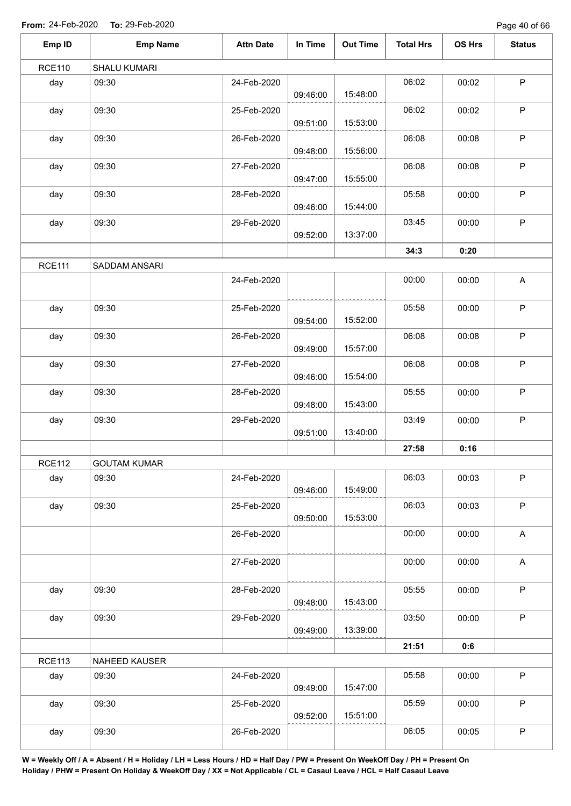Page 40 of 66

| Emp ID        | <b>Emp Name</b>     | <b>Attn Date</b> | In Time  | <b>Out Time</b> | <b>Total Hrs</b> | OS Hrs | <b>Status</b>             |
|---------------|---------------------|------------------|----------|-----------------|------------------|--------|---------------------------|
| <b>RCE110</b> | SHALU KUMARI        |                  |          |                 |                  |        |                           |
| day           | 09:30               | 24-Feb-2020      | 09:46:00 | 15:48:00        | 06:02            | 00:02  | $\sf P$                   |
| day           | 09:30               | 25-Feb-2020      | 09:51:00 | 15:53:00        | 06:02            | 00:02  | $\sf P$                   |
| day           | 09:30               | 26-Feb-2020      | 09:48:00 | 15:56:00        | 06:08            | 00:08  | $\mathsf P$               |
| day           | 09:30               | 27-Feb-2020      | 09:47:00 | 15:55:00        | 06:08            | 00:08  | $\mathsf P$               |
| day           | 09:30               | 28-Feb-2020      | 09:46:00 | 15:44:00        | 05:58            | 00:00  | $\mathsf P$               |
| day           | 09:30               | 29-Feb-2020      | 09:52:00 | 13:37:00        | 03:45            | 00:00  | $\mathsf P$               |
|               |                     |                  |          |                 | 34:3             | 0:20   |                           |
| <b>RCE111</b> | SADDAM ANSARI       |                  |          |                 |                  |        |                           |
|               |                     | 24-Feb-2020      |          |                 | 00:00            | 00:00  | $\boldsymbol{\mathsf{A}}$ |
| day           | 09:30               | 25-Feb-2020      | 09:54:00 | 15:52:00        | 05:58            | 00:00  | $\mathsf P$               |
| day           | 09:30               | 26-Feb-2020      | 09:49:00 | 15:57:00        | 06:08            | 00:08  | $\sf P$                   |
| day           | 09:30               | 27-Feb-2020      | 09:46:00 | 15:54:00        | 06:08            | 00:08  | $\sf P$                   |
| day           | 09:30               | 28-Feb-2020      | 09:48:00 | 15:43:00        | 05:55            | 00:00  | $\sf P$                   |
| day           | 09:30               | 29-Feb-2020      | 09:51:00 | 13:40:00        | 03:49            | 00:00  | $\mathsf P$               |
|               |                     |                  |          |                 | 27:58            | 0:16   |                           |
| <b>RCE112</b> | <b>GOUTAM KUMAR</b> |                  |          |                 |                  |        |                           |
| day           | 09:30               | 24-Feb-2020      | 09:46:00 | 15:49:00        | 06:03            | 00:03  | $\mathsf P$               |
| day           | 09:30               | 25-Feb-2020      | 09:50:00 | 15:53:00        | 06:03            | 00:03  | $\sf P$                   |
|               |                     | 26-Feb-2020      |          |                 | 00:00            | 00:00  | A                         |
|               |                     | 27-Feb-2020      |          |                 | 00:00            | 00:00  | A                         |
| day           | 09:30               | 28-Feb-2020      | 09:48:00 | 15:43:00        | 05:55            | 00:00  | $\mathsf P$               |
| day           | 09:30               | 29-Feb-2020      | 09:49:00 | 13:39:00        | 03:50            | 00:00  | $\mathsf P$               |
|               |                     |                  |          |                 | 21:51            | 0:6    |                           |
| <b>RCE113</b> | NAHEED KAUSER       |                  |          |                 |                  |        |                           |
| day           | 09:30               | 24-Feb-2020      | 09:49:00 | 15:47:00        | 05:58            | 00:00  | $\sf P$                   |
| day           | 09:30               | 25-Feb-2020      | 09:52:00 | 15:51:00        | 05:59            | 00:00  | $\mathsf P$               |
| day           | 09:30               | 26-Feb-2020      |          |                 | 06:05            | 00:05  | $\mathsf P$               |
|               |                     |                  |          |                 |                  |        |                           |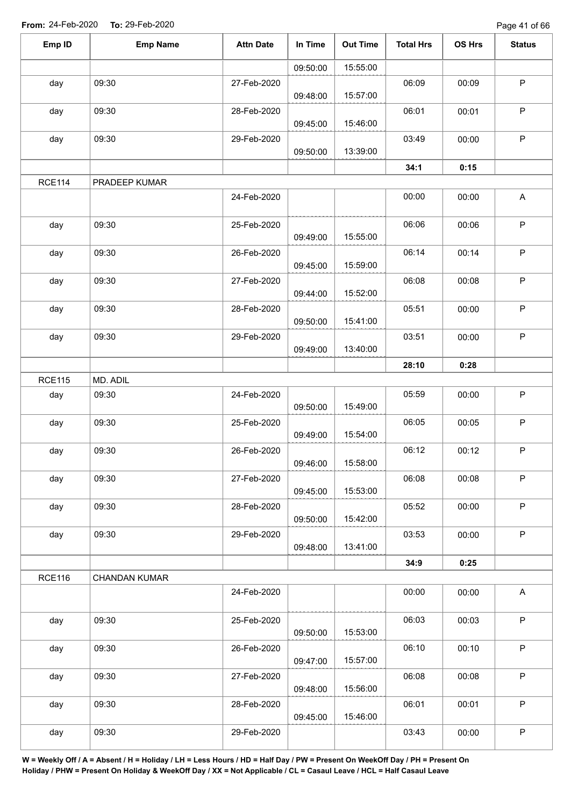Page 41 of 66

| Emp ID        | <b>Emp Name</b> | <b>Attn Date</b> | In Time  | <b>Out Time</b> | <b>Total Hrs</b> | OS Hrs | <b>Status</b>             |
|---------------|-----------------|------------------|----------|-----------------|------------------|--------|---------------------------|
|               |                 |                  | 09:50:00 | 15:55:00        |                  |        |                           |
| day           | 09:30           | 27-Feb-2020      | 09:48:00 | 15:57:00        | 06:09            | 00:09  | $\sf P$                   |
| day           | 09:30           | 28-Feb-2020      | 09:45:00 | 15:46:00        | 06:01            | 00:01  | $\sf P$                   |
| day           | 09:30           | 29-Feb-2020      | 09:50:00 | 13:39:00        | 03:49            | 00:00  | $\sf P$                   |
|               |                 |                  |          |                 | 34:1             | 0:15   |                           |
| <b>RCE114</b> | PRADEEP KUMAR   |                  |          |                 |                  |        |                           |
|               |                 | 24-Feb-2020      |          |                 | 00:00            | 00:00  | $\boldsymbol{\mathsf{A}}$ |
| day           | 09:30           | 25-Feb-2020      | 09:49:00 | 15:55:00        | 06:06            | 00:06  | $\mathsf P$               |
| day           | 09:30           | 26-Feb-2020      | 09:45:00 | 15:59:00        | 06:14            | 00:14  | $\mathsf P$               |
| day           | 09:30           | 27-Feb-2020      | 09:44:00 | 15:52:00        | 06:08            | 00:08  | $\sf P$                   |
| day           | 09:30           | 28-Feb-2020      | 09:50:00 | 15:41:00        | 05:51            | 00:00  | $\mathsf P$               |
| day           | 09:30           | 29-Feb-2020      |          | 13:40:00        | 03:51            | 00:00  | $\mathsf P$               |
|               |                 |                  | 09:49:00 |                 | 28:10            | 0:28   |                           |
| <b>RCE115</b> | MD. ADIL        |                  |          |                 |                  |        |                           |
| day           | 09:30           | 24-Feb-2020      | 09:50:00 | 15:49:00        | 05:59            | 00:00  | $\mathsf P$               |
| day           | 09:30           | 25-Feb-2020      | 09:49:00 | 15:54:00        | 06:05            | 00:05  | $\sf P$                   |
| day           | 09:30           | 26-Feb-2020      | 09:46:00 | 15:58:00        | 06:12            | 00:12  | P                         |
| day           | 09:30           | 27-Feb-2020      | 09:45:00 | 15:53:00        | 06:08            | 00:08  | $\mathsf P$               |
| day           | 09:30           | 28-Feb-2020      | 09:50:00 | 15:42:00        | 05:52            | 00:00  | $\sf P$                   |
| day           | 09:30           | 29-Feb-2020      | 09:48:00 | 13:41:00        | 03:53            | 00:00  | $\mathsf P$               |
|               |                 |                  |          |                 | 34:9             | 0:25   |                           |
| <b>RCE116</b> | CHANDAN KUMAR   |                  |          |                 |                  |        |                           |
|               |                 | 24-Feb-2020      |          |                 | 00:00            | 00:00  | $\boldsymbol{\mathsf{A}}$ |
| day           | 09:30           | 25-Feb-2020      | 09:50:00 | 15:53:00        | 06:03            | 00:03  | $\mathsf P$               |
| day           | 09:30           | 26-Feb-2020      | 09:47:00 | 15:57:00        | 06:10            | 00:10  | $\mathsf P$               |
| day           | 09:30           | 27-Feb-2020      | 09:48:00 | 15:56:00        | 06:08            | 00:08  | $\mathsf P$               |
| day           | 09:30           | 28-Feb-2020      | 09:45:00 | 15:46:00        | 06:01            | 00:01  | $\mathsf P$               |
| day           | 09:30           | 29-Feb-2020      |          |                 | 03:43            | 00:00  | $\mathsf P$               |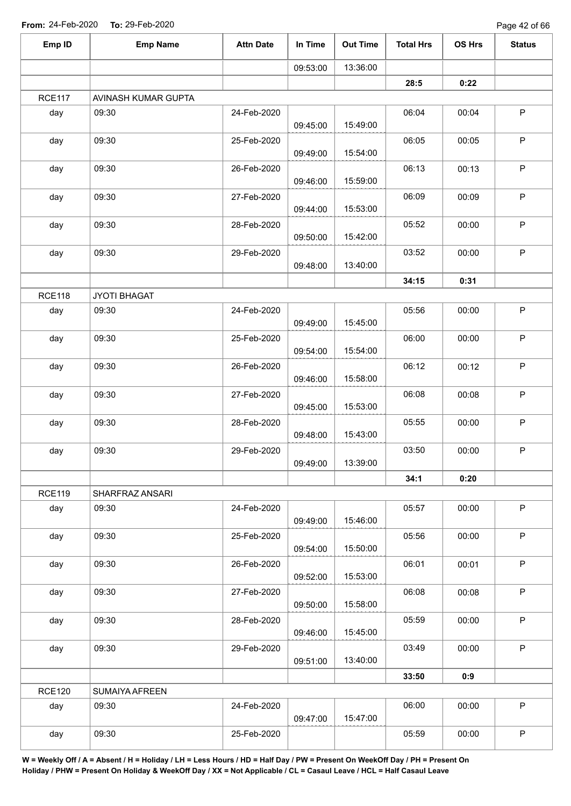Page 42 of 66

| Emp ID        | <b>Emp Name</b>     | <b>Attn Date</b> | In Time  | <b>Out Time</b> | <b>Total Hrs</b> | OS Hrs | <b>Status</b> |
|---------------|---------------------|------------------|----------|-----------------|------------------|--------|---------------|
|               |                     |                  | 09:53:00 | 13:36:00        |                  |        |               |
|               |                     |                  |          |                 | 28:5             | 0:22   |               |
| <b>RCE117</b> | AVINASH KUMAR GUPTA |                  |          |                 |                  |        |               |
| day           | 09:30               | 24-Feb-2020      | 09:45:00 | 15:49:00        | 06:04            | 00:04  | $\mathsf P$   |
| day           | 09:30               | 25-Feb-2020      |          |                 | 06:05            | 00:05  | P             |
|               |                     |                  | 09:49:00 | 15:54:00        |                  |        |               |
| day           | 09:30               | 26-Feb-2020      | 09:46:00 | 15:59:00        | 06:13            | 00:13  | P             |
| day           | 09:30               | 27-Feb-2020      | 09:44:00 | 15:53:00        | 06:09            | 00:09  | P             |
| day           | 09:30               | 28-Feb-2020      | 09:50:00 | 15:42:00        | 05:52            | 00:00  | P             |
| day           | 09:30               | 29-Feb-2020      | 09:48:00 | 13:40:00        | 03:52            | 00:00  | $\mathsf P$   |
|               |                     |                  |          |                 | 34:15            | 0:31   |               |
| <b>RCE118</b> | JYOTI BHAGAT        |                  |          |                 |                  |        |               |
| day           | 09:30               | 24-Feb-2020      | 09:49:00 | 15:45:00        | 05:56            | 00:00  | $\sf P$       |
| day           | 09:30               | 25-Feb-2020      | 09:54:00 | 15:54:00        | 06:00            | 00:00  | $\mathsf P$   |
| day           | 09:30               | 26-Feb-2020      | 09:46:00 | 15:58:00        | 06:12            | 00:12  | $\sf P$       |
| day           | 09:30               | 27-Feb-2020      | 09:45:00 | 15:53:00        | 06:08            | 00:08  | $\mathsf P$   |
| day           | 09:30               | 28-Feb-2020      | 09:48:00 | 15:43:00        | 05:55            | 00:00  | P             |
| day           | 09:30               | 29-Feb-2020      | 09:49:00 | 13:39:00        | 03:50            | 00:00  | P             |
|               |                     |                  |          |                 | 34:1             | 0:20   |               |
| <b>RCE119</b> | SHARFRAZ ANSARI     |                  |          |                 |                  |        |               |
| day           | 09:30               | 24-Feb-2020      | 09:49:00 | 15:46:00        | 05:57            | 00:00  | $\sf P$       |
| day           | 09:30               | 25-Feb-2020      | 09:54:00 | 15:50:00        | 05:56            | 00:00  | P             |
| day           | 09:30               | 26-Feb-2020      |          |                 | 06:01            | 00:01  | P             |
|               |                     |                  | 09:52:00 | 15:53:00        |                  |        |               |
| day           | 09:30               | 27-Feb-2020      | 09:50:00 | 15:58:00        | 06:08            | 00:08  | $\sf P$       |
| day           | 09:30               | 28-Feb-2020      | 09:46:00 | 15:45:00        | 05:59            | 00:00  | $\mathsf P$   |
| day           | 09:30               | 29-Feb-2020      | 09:51:00 | 13:40:00        | 03:49            | 00:00  | $\sf P$       |
|               |                     |                  |          |                 | 33:50            | 0:9    |               |
| <b>RCE120</b> | SUMAIYA AFREEN      |                  |          |                 |                  |        |               |
| day           | 09:30               | 24-Feb-2020      | 09:47:00 | 15:47:00        | 06:00            | 00:00  | $\sf P$       |
| day           | 09:30               | 25-Feb-2020      |          |                 | 05:59            | 00:00  | $\mathsf P$   |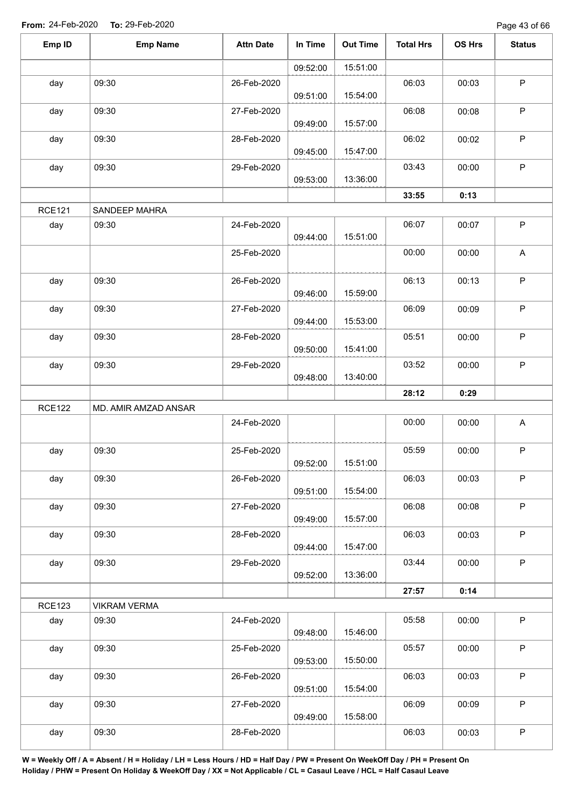Page 43 of 66

| Emp ID        | <b>Emp Name</b>      | <b>Attn Date</b> | In Time  | <b>Out Time</b> | <b>Total Hrs</b> | OS Hrs | <b>Status</b> |
|---------------|----------------------|------------------|----------|-----------------|------------------|--------|---------------|
|               |                      |                  | 09:52:00 | 15:51:00        |                  |        |               |
| day           | 09:30                | 26-Feb-2020      |          |                 | 06:03            | 00:03  | $\mathsf P$   |
|               |                      |                  | 09:51:00 | 15:54:00        |                  |        |               |
| day           | 09:30                | 27-Feb-2020      | 09:49:00 | 15:57:00        | 06:08            | 00:08  | $\mathsf P$   |
| day           | 09:30                | 28-Feb-2020      | 09:45:00 | 15:47:00        | 06:02            | 00:02  | P             |
| day           | 09:30                | 29-Feb-2020      |          |                 | 03:43            | 00:00  | $\mathsf P$   |
|               |                      |                  | 09:53:00 | 13:36:00        |                  |        |               |
| <b>RCE121</b> | SANDEEP MAHRA        |                  |          |                 | 33:55            | 0:13   |               |
| day           | 09:30                | 24-Feb-2020      |          |                 | 06:07            | 00:07  | $\mathsf P$   |
|               |                      |                  | 09:44:00 | 15:51:00        |                  |        |               |
|               |                      | 25-Feb-2020      |          |                 | 00:00            | 00:00  | A             |
| day           | 09:30                | 26-Feb-2020      |          |                 | 06:13            | 00:13  | $\sf P$       |
|               |                      |                  | 09:46:00 | 15:59:00        |                  |        |               |
| day           | 09:30                | 27-Feb-2020      |          |                 | 06:09            | 00:09  | $\sf P$       |
|               |                      |                  | 09:44:00 | 15:53:00        |                  |        |               |
| day           | 09:30                | 28-Feb-2020      | 09:50:00 | 15:41:00        | 05:51            | 00:00  | $\mathsf P$   |
| day           | 09:30                | 29-Feb-2020      |          |                 | 03:52            | 00:00  | $\mathsf P$   |
|               |                      |                  | 09:48:00 | 13:40:00        |                  |        |               |
|               |                      |                  |          |                 | 28:12            | 0:29   |               |
| <b>RCE122</b> | MD. AMIR AMZAD ANSAR |                  |          |                 |                  |        |               |
|               |                      | 24-Feb-2020      |          |                 | 00:00            | 00:00  | A             |
| day           | 09:30                | 25-Feb-2020      |          |                 | 05:59            | 00:00  | $\mathsf P$   |
|               |                      |                  | 09:52:00 | 15:51:00        |                  |        |               |
| day           | 09:30                | 26-Feb-2020      | 09:51:00 | 15:54:00        | 06:03            | 00:03  | $\mathsf P$   |
|               | 09:30                | 27-Feb-2020      |          |                 | 06:08            | 00:08  | $\mathsf P$   |
| day           |                      |                  | 09:49:00 | 15:57:00        |                  |        |               |
| day           | 09:30                | 28-Feb-2020      |          |                 | 06:03            | 00:03  | $\sf P$       |
|               |                      |                  | 09:44:00 | 15:47:00        |                  |        |               |
| day           | 09:30                | 29-Feb-2020      |          |                 | 03:44            | 00:00  | $\mathsf P$   |
|               |                      |                  | 09:52:00 | 13:36:00        |                  |        |               |
|               |                      |                  |          |                 | 27:57            | 0:14   |               |
| <b>RCE123</b> | <b>VIKRAM VERMA</b>  |                  |          |                 |                  |        |               |
| day           | 09:30                | 24-Feb-2020      | 09:48:00 | 15:46:00        | 05:58            | 00:00  | $\sf P$       |
| day           | 09:30                | 25-Feb-2020      | 09:53:00 | 15:50:00        | 05:57            | 00:00  | $\mathsf P$   |
| day           | 09:30                | 26-Feb-2020      |          |                 | 06:03            | 00:03  | $\mathsf P$   |
|               |                      |                  | 09:51:00 | 15:54:00        |                  |        |               |
| day           | 09:30                | 27-Feb-2020      |          |                 | 06:09            | 00:09  | $\sf P$       |
|               |                      |                  | 09:49:00 | 15:58:00        |                  |        |               |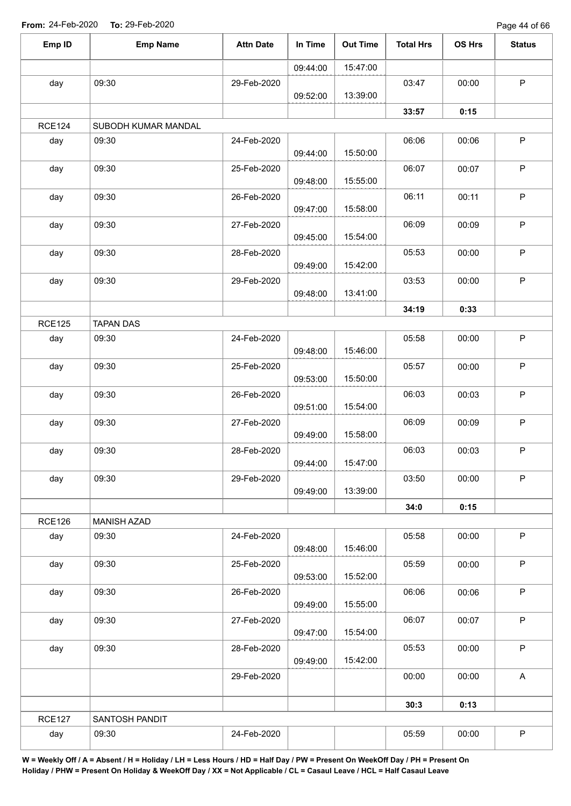Page 44 of 66

| Emp ID        | <b>Emp Name</b>     | <b>Attn Date</b> | In Time  | <b>Out Time</b> | <b>Total Hrs</b> | OS Hrs | <b>Status</b>             |
|---------------|---------------------|------------------|----------|-----------------|------------------|--------|---------------------------|
|               |                     |                  | 09:44:00 | 15:47:00        |                  |        |                           |
| day           | 09:30               | 29-Feb-2020      |          |                 | 03:47            | 00:00  | $\mathsf P$               |
|               |                     |                  | 09:52:00 | 13:39:00        |                  |        |                           |
|               |                     |                  |          |                 | 33:57            | 0:15   |                           |
| <b>RCE124</b> | SUBODH KUMAR MANDAL |                  |          |                 |                  |        |                           |
| day           | 09:30               | 24-Feb-2020      | 09:44:00 | 15:50:00        | 06:06            | 00:06  | P                         |
| day           | 09:30               | 25-Feb-2020      | 09:48:00 | 15:55:00        | 06:07            | 00:07  | $\sf P$                   |
| day           | 09:30               | 26-Feb-2020      | 09:47:00 | 15:58:00        | 06:11            | 00:11  | $\mathsf P$               |
| day           | 09:30               | 27-Feb-2020      | 09:45:00 | 15:54:00        | 06:09            | 00:09  | $\sf P$                   |
| day           | 09:30               | 28-Feb-2020      |          |                 | 05:53            | 00:00  | $\sf P$                   |
| day           | 09:30               | 29-Feb-2020      | 09:49:00 | 15:42:00        | 03:53            | 00:00  | $\mathsf P$               |
|               |                     |                  | 09:48:00 | 13:41:00        |                  |        |                           |
|               |                     |                  |          |                 | 34:19            | 0:33   |                           |
| <b>RCE125</b> | <b>TAPAN DAS</b>    |                  |          |                 |                  |        |                           |
| day           | 09:30               | 24-Feb-2020      | 09:48:00 | 15:46:00        | 05:58            | 00:00  | $\mathsf P$               |
| day           | 09:30               | 25-Feb-2020      | 09:53:00 | 15:50:00        | 05:57            | 00:00  | $\mathsf P$               |
| day           | 09:30               | 26-Feb-2020      | 09:51:00 | 15:54:00        | 06:03            | 00:03  | $\mathsf P$               |
| day           | 09:30               | 27-Feb-2020      | 09:49:00 | 15:58:00        | 06:09            | 00:09  | $\mathsf P$               |
| day           | 09:30               | 28-Feb-2020      |          | 15:47:00        | 06:03            | 00:03  | $\mathsf P$               |
| day           | 09:30               | 29-Feb-2020      | 09:44:00 |                 | 03:50            | 00:00  | $\mathsf P$               |
|               |                     |                  | 09:49:00 | 13:39:00        | 34:0             | 0:15   |                           |
| <b>RCE126</b> | <b>MANISH AZAD</b>  |                  |          |                 |                  |        |                           |
| day           | 09:30               | 24-Feb-2020      | 09:48:00 | 15:46:00        | 05:58            | 00:00  | $\mathsf P$               |
| day           | 09:30               | 25-Feb-2020      | 09:53:00 | 15:52:00        | 05:59            | 00:00  | $\mathsf P$               |
| day           | 09:30               | 26-Feb-2020      |          |                 | 06:06            | 00:06  | $\mathsf P$               |
| day           | 09:30               | 27-Feb-2020      | 09:49:00 | 15:55:00        | 06:07            | 00:07  | $\mathsf P$               |
| day           | 09:30               | 28-Feb-2020      | 09:47:00 | 15:54:00        | 05:53            | 00:00  | $\sf P$                   |
|               |                     | 29-Feb-2020      | 09:49:00 | 15:42:00        | 00:00            | 00:00  | $\boldsymbol{\mathsf{A}}$ |
|               |                     |                  |          |                 |                  |        |                           |
|               |                     |                  |          |                 | 30:3             | 0:13   |                           |
| <b>RCE127</b> | SANTOSH PANDIT      |                  |          |                 |                  |        |                           |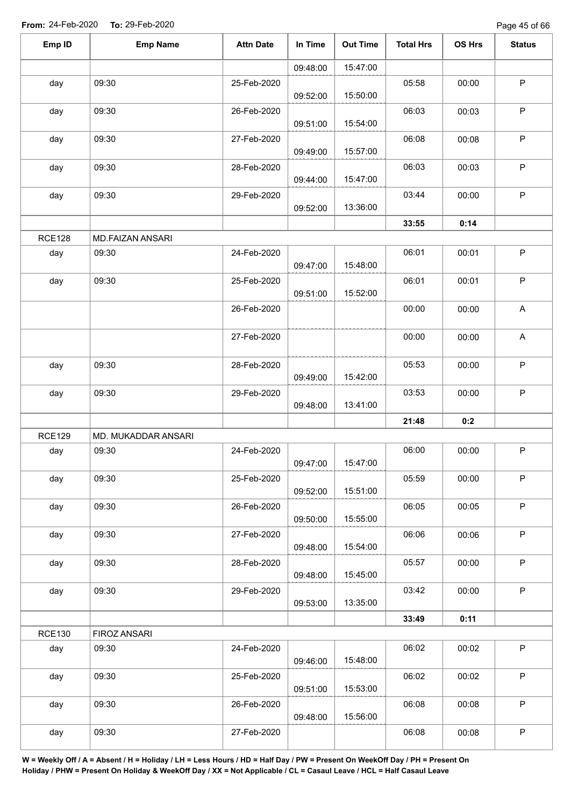Page 45 of 66

| Emp ID        | <b>Emp Name</b>     | <b>Attn Date</b> | In Time  | <b>Out Time</b> | <b>Total Hrs</b> | OS Hrs | <b>Status</b> |
|---------------|---------------------|------------------|----------|-----------------|------------------|--------|---------------|
|               |                     |                  | 09:48:00 | 15:47:00        |                  |        |               |
| day           | 09:30               | 25-Feb-2020      | 09:52:00 | 15:50:00        | 05:58            | 00:00  | P             |
| day           | 09:30               | 26-Feb-2020      | 09:51:00 | 15:54:00        | 06:03            | 00:03  | P             |
| day           | 09:30               | 27-Feb-2020      | 09:49:00 | 15:57:00        | 06:08            | 00:08  | $\sf P$       |
| day           | 09:30               | 28-Feb-2020      | 09:44:00 | 15:47:00        | 06:03            | 00:03  | P             |
| day           | 09:30               | 29-Feb-2020      | 09:52:00 | 13:36:00        | 03:44            | 00:00  | $\sf P$       |
|               |                     |                  |          |                 | 33:55            | 0:14   |               |
| <b>RCE128</b> | MD.FAIZAN ANSARI    |                  |          |                 |                  |        |               |
| day           | 09:30               | 24-Feb-2020      | 09:47:00 | 15:48:00        | 06:01            | 00:01  | $\mathsf P$   |
| day           | 09:30               | 25-Feb-2020      | 09:51:00 | 15:52:00        | 06:01            | 00:01  | P             |
|               |                     | 26-Feb-2020      |          |                 | 00:00            | 00:00  | A             |
|               |                     | 27-Feb-2020      |          |                 | 00:00            | 00:00  | A             |
| day           | 09:30               | 28-Feb-2020      | 09:49:00 | 15:42:00        | 05:53            | 00:00  | P             |
| day           | 09:30               | 29-Feb-2020      | 09:48:00 | 13:41:00        | 03:53            | 00:00  | P             |
|               |                     |                  |          |                 | 21:48            | 0:2    |               |
| <b>RCE129</b> | MD. MUKADDAR ANSARI |                  |          |                 |                  |        |               |
| day           | 09:30               | 24-Feb-2020      | 09:47:00 | 15:47:00        | 06:00            | 00:00  | P             |
| day           | 09:30               | 25-Feb-2020      | 09:52:00 | 15:51:00        | 05:59            | 00:00  | P             |
| day           | 09:30               | 26-Feb-2020      | 09:50:00 | 15:55:00        | 06:05            | 00:05  | $\mathsf P$   |
| day           | 09:30               | 27-Feb-2020      | 09:48:00 | 15:54:00        | 06:06            | 00:06  | $\sf P$       |
| day           | 09:30               | 28-Feb-2020      | 09:48:00 | 15:45:00        | 05:57            | 00:00  | P             |
| day           | 09:30               | 29-Feb-2020      | 09:53:00 | 13:35:00        | 03:42            | 00:00  | $\sf P$       |
|               |                     |                  |          |                 | 33:49            | 0:11   |               |
| <b>RCE130</b> | FIROZ ANSARI        |                  |          |                 |                  |        |               |
| day           | 09:30               | 24-Feb-2020      | 09:46:00 | 15:48:00        | 06:02            | 00:02  | $\mathsf P$   |
| day           | 09:30               | 25-Feb-2020      | 09:51:00 | 15:53:00        | 06:02            | 00:02  | P             |
| day           | 09:30               | 26-Feb-2020      | 09:48:00 | 15:56:00        | 06:08            | 00:08  | $\sf P$       |
| day           | 09:30               | 27-Feb-2020      |          |                 | 06:08            | 00:08  | $\sf P$       |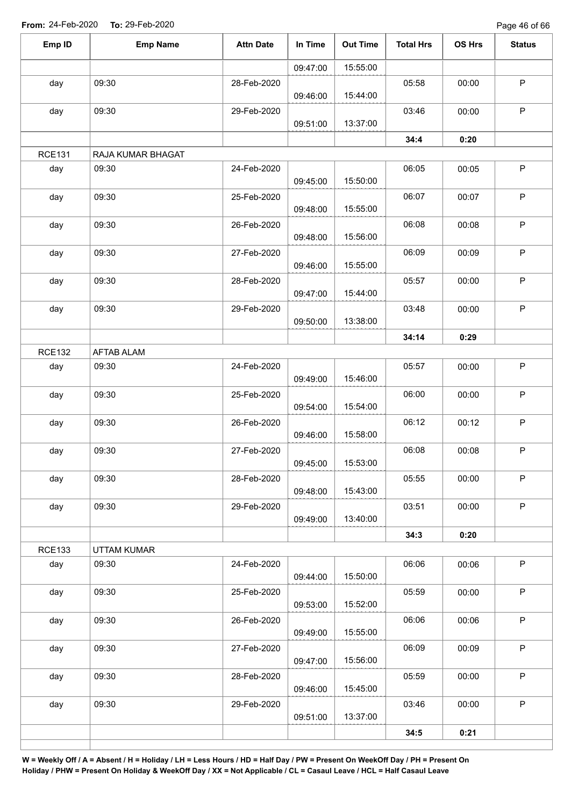Page 46 of 66

| Emp ID        | <b>Emp Name</b>   | <b>Attn Date</b> | In Time  | <b>Out Time</b> | <b>Total Hrs</b> | OS Hrs | <b>Status</b> |
|---------------|-------------------|------------------|----------|-----------------|------------------|--------|---------------|
|               |                   |                  | 09:47:00 | 15:55:00        |                  |        |               |
| day           | 09:30             | 28-Feb-2020      | 09:46:00 | 15:44:00        | 05:58            | 00:00  | $\sf P$       |
| day           | 09:30             | 29-Feb-2020      | 09:51:00 | 13:37:00        | 03:46            | 00:00  | $\mathsf P$   |
|               |                   |                  |          |                 | 34:4             | 0:20   |               |
| <b>RCE131</b> | RAJA KUMAR BHAGAT |                  |          |                 |                  |        |               |
| day           | 09:30             | 24-Feb-2020      | 09:45:00 | 15:50:00        | 06:05            | 00:05  | $\sf P$       |
| day           | 09:30             | 25-Feb-2020      | 09:48:00 | 15:55:00        | 06:07            | 00:07  | $\mathsf P$   |
| day           | 09:30             | 26-Feb-2020      | 09:48:00 | 15:56:00        | 06:08            | 00:08  | $\sf P$       |
| day           | 09:30             | 27-Feb-2020      | 09:46:00 | 15:55:00        | 06:09            | 00:09  | $\sf P$       |
| day           | 09:30             | 28-Feb-2020      | 09:47:00 | 15:44:00        | 05:57            | 00:00  | $\sf P$       |
| day           | 09:30             | 29-Feb-2020      | 09:50:00 | 13:38:00        | 03:48            | 00:00  | $\mathsf P$   |
|               |                   |                  |          |                 | 34:14            | 0:29   |               |
| <b>RCE132</b> | <b>AFTAB ALAM</b> |                  |          |                 |                  |        |               |
| day           | 09:30             | 24-Feb-2020      | 09:49:00 | 15:46:00        | 05:57            | 00:00  | $\sf P$       |
| day           | 09:30             | 25-Feb-2020      | 09:54:00 | 15:54:00        | 06:00            | 00:00  | $\mathsf P$   |
| day           | 09:30             | 26-Feb-2020      | 09:46:00 | 15:58:00        | 06:12            | 00:12  | $\mathsf P$   |
| day           | 09:30             | 27-Feb-2020      | 09:45:00 | 15:53:00        | 06:08            | 00:08  | $\mathsf P$   |
| day           | 09:30             | 28-Feb-2020      | 09:48:00 | 15:43:00        | 05:55            | 00:00  | $\mathsf P$   |
| day           | 09:30             | 29-Feb-2020      | 09:49:00 | 13:40:00        | 03:51            | 00:00  | P             |
|               |                   |                  |          |                 | 34:3             | 0:20   |               |
| <b>RCE133</b> | UTTAM KUMAR       |                  |          |                 |                  |        |               |
| day           | 09:30             | 24-Feb-2020      | 09:44:00 | 15:50:00        | 06:06            | 00:06  | $\mathsf P$   |
| day           | 09:30             | 25-Feb-2020      | 09:53:00 | 15:52:00        | 05:59            | 00:00  | $\sf P$       |
| day           | 09:30             | 26-Feb-2020      | 09:49:00 | 15:55:00        | 06:06            | 00:06  | $\mathsf P$   |
| day           | 09:30             | 27-Feb-2020      | 09:47:00 | 15:56:00        | 06:09            | 00:09  | $\sf P$       |
| day           | 09:30             | 28-Feb-2020      | 09:46:00 | 15:45:00        | 05:59            | 00:00  | $\sf P$       |
| day           | 09:30             | 29-Feb-2020      | 09:51:00 | 13:37:00        | 03:46            | 00:00  | $\mathsf P$   |
|               |                   |                  |          |                 | 34:5             | 0:21   |               |
|               |                   |                  |          |                 |                  |        |               |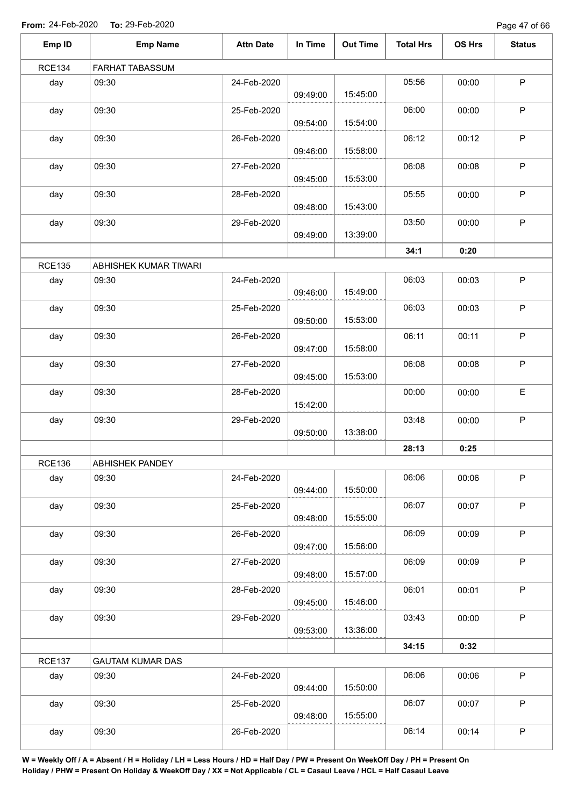Page 47 of 66

| Emp ID        | <b>Emp Name</b>         | <b>Attn Date</b> | In Time  | <b>Out Time</b> | <b>Total Hrs</b> | OS Hrs | <b>Status</b> |
|---------------|-------------------------|------------------|----------|-----------------|------------------|--------|---------------|
| <b>RCE134</b> | FARHAT TABASSUM         |                  |          |                 |                  |        |               |
| day           | 09:30                   | 24-Feb-2020      | 09:49:00 | 15:45:00        | 05:56            | 00:00  | $\sf P$       |
| day           | 09:30                   | 25-Feb-2020      | 09:54:00 | 15:54:00        | 06:00            | 00:00  | $\sf P$       |
| day           | 09:30                   | 26-Feb-2020      | 09:46:00 | 15:58:00        | 06:12            | 00:12  | $\mathsf P$   |
| day           | 09:30                   | 27-Feb-2020      | 09:45:00 | 15:53:00        | 06:08            | 00:08  | $\mathsf P$   |
| day           | 09:30                   | 28-Feb-2020      | 09:48:00 | 15:43:00        | 05:55            | 00:00  | $\mathsf P$   |
| day           | 09:30                   | 29-Feb-2020      | 09:49:00 | 13:39:00        | 03:50            | 00:00  | $\mathsf P$   |
|               |                         |                  |          |                 | 34:1             | 0:20   |               |
| <b>RCE135</b> | ABHISHEK KUMAR TIWARI   |                  |          |                 |                  |        |               |
| day           | 09:30                   | 24-Feb-2020      | 09:46:00 | 15:49:00        | 06:03            | 00:03  | $\sf P$       |
| day           | 09:30                   | 25-Feb-2020      | 09:50:00 | 15:53:00        | 06:03            | 00:03  | $\mathsf P$   |
| day           | 09:30                   | 26-Feb-2020      | 09:47:00 | 15:58:00        | 06:11            | 00:11  | $\sf P$       |
| day           | 09:30                   | 27-Feb-2020      | 09:45:00 | 15:53:00        | 06:08            | 00:08  | $\mathsf P$   |
| day           | 09:30                   | 28-Feb-2020      | 15:42:00 |                 | 00:00            | 00:00  | $\mathsf E$   |
| day           | 09:30                   | 29-Feb-2020      | 09:50:00 | 13:38:00        | 03:48            | 00:00  | $\mathsf P$   |
|               |                         |                  |          |                 | 28:13            | 0:25   |               |
| <b>RCE136</b> | ABHISHEK PANDEY         |                  |          |                 |                  |        |               |
| day           | 09:30                   | 24-Feb-2020      | 09:44:00 | 15:50:00        | 06:06            | 00:06  | $\mathsf P$   |
| day           | 09:30                   | 25-Feb-2020      | 09:48:00 | 15:55:00        | 06:07            | 00:07  | $\mathsf P$   |
| day           | 09:30                   | 26-Feb-2020      | 09:47:00 | 15:56:00        | 06:09            | 00:09  | $\sf P$       |
| day           | 09:30                   | 27-Feb-2020      | 09:48:00 | 15:57:00        | 06:09            | 00:09  | $\mathsf P$   |
| day           | 09:30                   | 28-Feb-2020      | 09:45:00 | 15:46:00        | 06:01            | 00:01  | $\mathsf P$   |
| day           | 09:30                   | 29-Feb-2020      | 09:53:00 | 13:36:00        | 03:43            | 00:00  | $\mathsf P$   |
|               |                         |                  |          |                 | 34:15            | 0:32   |               |
| <b>RCE137</b> | <b>GAUTAM KUMAR DAS</b> |                  |          |                 |                  |        |               |
| day           | 09:30                   | 24-Feb-2020      | 09:44:00 | 15:50:00        | 06:06            | 00:06  | $\sf P$       |
| day           | 09:30                   | 25-Feb-2020      | 09:48:00 | 15:55:00        | 06:07            | 00:07  | $\mathsf P$   |
| day           | 09:30                   | 26-Feb-2020      |          |                 | 06:14            | 00:14  | $\sf P$       |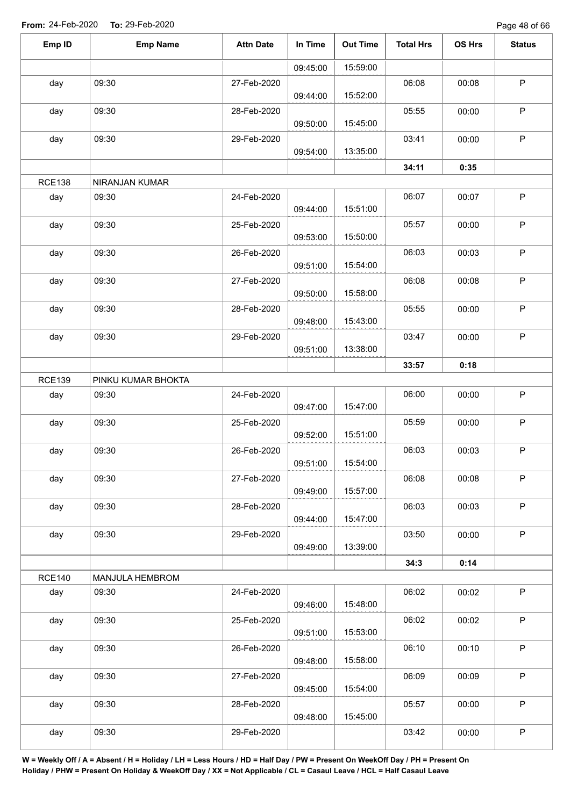Page 48 of 66

| Emp ID        | <b>Emp Name</b>    | <b>Attn Date</b> | In Time  | <b>Out Time</b> | <b>Total Hrs</b> | OS Hrs | <b>Status</b> |
|---------------|--------------------|------------------|----------|-----------------|------------------|--------|---------------|
|               |                    |                  | 09:45:00 | 15:59:00        |                  |        |               |
| day           | 09:30              | 27-Feb-2020      | 09:44:00 | 15:52:00        | 06:08            | 00:08  | $\mathsf P$   |
| day           | 09:30              | 28-Feb-2020      | 09:50:00 | 15:45:00        | 05:55            | 00:00  | $\mathsf P$   |
| day           | 09:30              | 29-Feb-2020      | 09:54:00 | 13:35:00        | 03:41            | 00:00  | $\sf P$       |
|               |                    |                  |          |                 | 34:11            | 0:35   |               |
| <b>RCE138</b> | NIRANJAN KUMAR     |                  |          |                 |                  |        |               |
| day           | 09:30              | 24-Feb-2020      | 09:44:00 | 15:51:00        | 06:07            | 00:07  | $\sf P$       |
| day           | 09:30              | 25-Feb-2020      | 09:53:00 | 15:50:00        | 05:57            | 00:00  | $\mathsf P$   |
| day           | 09:30              | 26-Feb-2020      | 09:51:00 | 15:54:00        | 06:03            | 00:03  | $\mathsf P$   |
| day           | 09:30              | 27-Feb-2020      | 09:50:00 | 15:58:00        | 06:08            | 00:08  | P             |
| day           | 09:30              | 28-Feb-2020      | 09:48:00 | 15:43:00        | 05:55            | 00:00  | $\mathsf P$   |
| day           | 09:30              | 29-Feb-2020      | 09:51:00 | 13:38:00        | 03:47            | 00:00  | $\sf P$       |
|               |                    |                  |          |                 | 33:57            | 0:18   |               |
| <b>RCE139</b> | PINKU KUMAR BHOKTA |                  |          |                 |                  |        |               |
| day           | 09:30              | 24-Feb-2020      | 09:47:00 | 15:47:00        | 06:00            | 00:00  | $\mathsf P$   |
| day           | 09:30              | 25-Feb-2020      | 09:52:00 | 15:51:00        | 05:59            | 00:00  | $\sf P$       |
| day           | 09:30              | 26-Feb-2020      | 09:51:00 | 15:54:00        | 06:03            | 00:03  | $\mathsf P$   |
| day           | 09:30              | 27-Feb-2020      | 09:49:00 | 15:57:00        | 06:08            | 00:08  | $\mathsf P$   |
| day           | 09:30              | 28-Feb-2020      | 09:44:00 | 15:47:00        | 06:03            | 00:03  | $\mathsf P$   |
| day           | 09:30              | 29-Feb-2020      | 09:49:00 | 13:39:00        | 03:50            | 00:00  | $\mathsf P$   |
|               |                    |                  |          |                 | 34:3             | 0:14   |               |
| <b>RCE140</b> | MANJULA HEMBROM    |                  |          |                 |                  |        |               |
| day           | 09:30              | 24-Feb-2020      | 09:46:00 | 15:48:00        | 06:02            | 00:02  | $\mathsf P$   |
| day           | 09:30              | 25-Feb-2020      | 09:51:00 | 15:53:00        | 06:02            | 00:02  | P             |
| day           | 09:30              | 26-Feb-2020      | 09:48:00 | 15:58:00        | 06:10            | 00:10  | $\sf P$       |
| day           | 09:30              | 27-Feb-2020      | 09:45:00 | 15:54:00        | 06:09            | 00:09  | $\mathsf P$   |
| day           | 09:30              | 28-Feb-2020      | 09:48:00 | 15:45:00        | 05:57            | 00:00  | $\sf P$       |
| day           | 09:30              | 29-Feb-2020      |          |                 | 03:42            | 00:00  | $\sf P$       |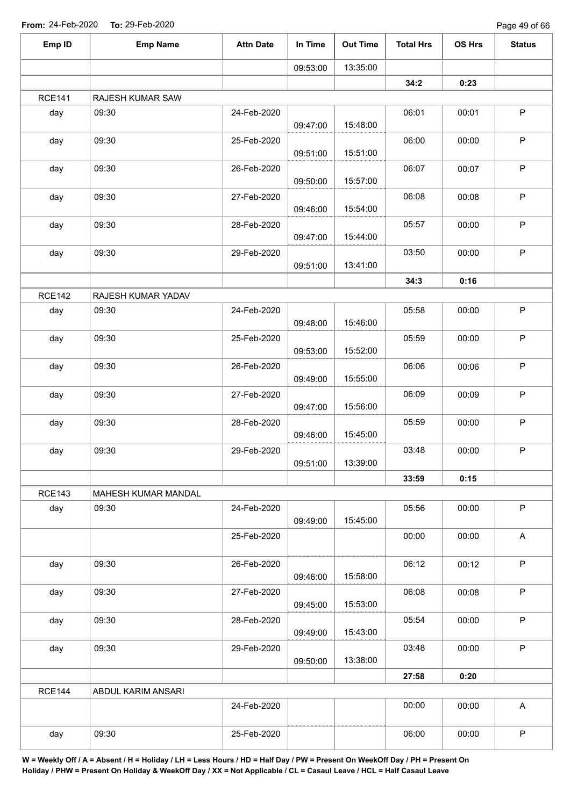Page 49 of 66

| Emp ID        | <b>Emp Name</b>     | <b>Attn Date</b> | In Time  | <b>Out Time</b> | <b>Total Hrs</b> | OS Hrs | <b>Status</b>             |
|---------------|---------------------|------------------|----------|-----------------|------------------|--------|---------------------------|
|               |                     |                  | 09:53:00 | 13:35:00        |                  |        |                           |
|               |                     |                  |          |                 | 34:2             | 0:23   |                           |
| <b>RCE141</b> | RAJESH KUMAR SAW    |                  |          |                 |                  |        |                           |
| day           | 09:30               | 24-Feb-2020      | 09:47:00 | 15:48:00        | 06:01            | 00:01  | $\sf P$                   |
| day           | 09:30               | 25-Feb-2020      | 09:51:00 | 15:51:00        | 06:00            | 00:00  | P                         |
| day           | 09:30               | 26-Feb-2020      | 09:50:00 | 15:57:00        | 06:07            | 00:07  | P                         |
| day           | 09:30               | 27-Feb-2020      | 09:46:00 | 15:54:00        | 06:08            | 00:08  | P                         |
| day           | 09:30               | 28-Feb-2020      | 09:47:00 | 15:44:00        | 05:57            | 00:00  | $\sf P$                   |
| day           | 09:30               | 29-Feb-2020      | 09:51:00 | 13:41:00        | 03:50            | 00:00  | $\mathsf P$               |
|               |                     |                  |          |                 | 34:3             | 0:16   |                           |
| <b>RCE142</b> | RAJESH KUMAR YADAV  |                  |          |                 |                  |        |                           |
| day           | 09:30               | 24-Feb-2020      | 09:48:00 | 15:46:00        | 05:58            | 00:00  | $\sf P$                   |
| day           | 09:30               | 25-Feb-2020      | 09:53:00 | 15:52:00        | 05:59            | 00:00  | $\sf P$                   |
| day           | 09:30               | 26-Feb-2020      | 09:49:00 | 15:55:00        | 06:06            | 00:06  | $\sf P$                   |
| day           | 09:30               | 27-Feb-2020      | 09:47:00 | 15:56:00        | 06:09            | 00:09  | P                         |
| day           | 09:30               | 28-Feb-2020      | 09:46:00 | 15:45:00        | 05:59            | 00:00  | $\sf P$                   |
| day           | 09:30               | 29-Feb-2020      | 09:51:00 | 13:39:00        | 03:48            | 00:00  | P                         |
|               |                     |                  |          |                 | 33:59            | 0:15   |                           |
| <b>RCE143</b> | MAHESH KUMAR MANDAL |                  |          |                 |                  |        |                           |
| day           | 09:30               | 24-Feb-2020      | 09:49:00 | 15:45:00        | 05:56            | 00:00  | P                         |
|               |                     | 25-Feb-2020      |          |                 | 00:00            | 00:00  | $\boldsymbol{\mathsf{A}}$ |
| day           | 09:30               | 26-Feb-2020      | 09:46:00 | 15:58:00        | 06:12            | 00:12  | P                         |
| day           | 09:30               | 27-Feb-2020      | 09:45:00 | 15:53:00        | 06:08            | 00:08  | $\sf P$                   |
| day           | 09:30               | 28-Feb-2020      | 09:49:00 | 15:43:00        | 05:54            | 00:00  | $\mathsf P$               |
| day           | 09:30               | 29-Feb-2020      | 09:50:00 | 13:38:00        | 03:48            | 00:00  | $\mathsf P$               |
|               |                     |                  |          |                 | 27:58            | 0:20   |                           |
| <b>RCE144</b> | ABDUL KARIM ANSARI  |                  |          |                 |                  |        |                           |
|               |                     | 24-Feb-2020      |          |                 | 00:00            | 00:00  | A                         |
| day           | 09:30               | 25-Feb-2020      |          |                 | 06:00            | 00:00  | $\mathsf P$               |
|               |                     |                  |          |                 |                  |        |                           |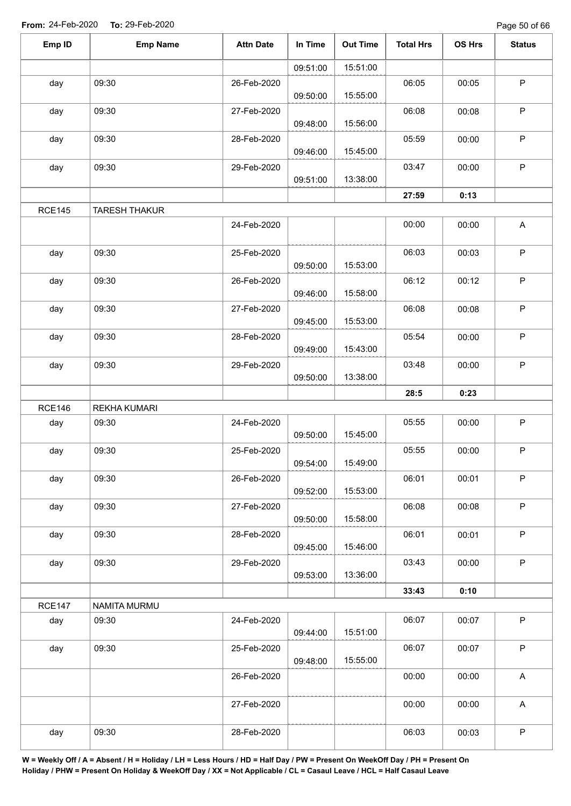Page 50 of 66

| Emp ID        | <b>Emp Name</b>      | <b>Attn Date</b> | In Time  | <b>Out Time</b> | <b>Total Hrs</b> | OS Hrs | <b>Status</b>             |
|---------------|----------------------|------------------|----------|-----------------|------------------|--------|---------------------------|
|               |                      |                  | 09:51:00 | 15:51:00        |                  |        |                           |
| day           | 09:30                | 26-Feb-2020      |          |                 | 06:05            | 00:05  | $\sf P$                   |
|               |                      |                  | 09:50:00 | 15:55:00        |                  |        |                           |
| day           | 09:30                | 27-Feb-2020      | 09:48:00 | 15:56:00        | 06:08            | 00:08  | $\sf P$                   |
| day           | 09:30                | 28-Feb-2020      |          |                 | 05:59            | 00:00  | $\sf P$                   |
|               |                      |                  | 09:46:00 | 15:45:00        |                  |        |                           |
| day           | 09:30                | 29-Feb-2020      | 09:51:00 | 13:38:00        | 03:47            | 00:00  | $\sf P$                   |
|               |                      |                  |          |                 | 27:59            | 0:13   |                           |
| <b>RCE145</b> | <b>TARESH THAKUR</b> |                  |          |                 |                  |        |                           |
|               |                      | 24-Feb-2020      |          |                 | 00:00            | 00:00  | A                         |
| day           | 09:30                | 25-Feb-2020      |          |                 | 06:03            | 00:03  | $\sf P$                   |
|               |                      |                  | 09:50:00 | 15:53:00        |                  |        |                           |
| day           | 09:30                | 26-Feb-2020      |          |                 | 06:12            | 00:12  | $\mathsf P$               |
|               |                      |                  | 09:46:00 | 15:58:00        |                  |        |                           |
| day           | 09:30                | 27-Feb-2020      |          | 15:53:00        | 06:08            | 00:08  | $\mathsf P$               |
| day           | 09:30                | 28-Feb-2020      | 09:45:00 |                 | 05:54            | 00:00  | $\mathsf P$               |
|               |                      |                  | 09:49:00 | 15:43:00        |                  |        |                           |
| day           | 09:30                | 29-Feb-2020      |          |                 | 03:48            | 00:00  | $\sf P$                   |
|               |                      |                  | 09:50:00 | 13:38:00        |                  |        |                           |
|               |                      |                  |          |                 | 28:5             | 0:23   |                           |
| <b>RCE146</b> | <b>REKHA KUMARI</b>  |                  |          |                 |                  |        |                           |
| day           | 09:30                | 24-Feb-2020      | 09:50:00 | 15:45:00        | 05:55            | 00:00  | $\mathsf P$               |
| day           | 09:30                | 25-Feb-2020      |          |                 | 05:55            | 00:00  | $\mathsf P$               |
|               |                      |                  | 09:54:00 | 15:49:00        |                  |        |                           |
| day           | 09:30                | 26-Feb-2020      |          |                 | 06:01            | 00:01  | $\mathsf P$               |
|               |                      |                  | 09:52:00 | 15:53:00        |                  |        |                           |
| day           | 09:30                | 27-Feb-2020      | 09:50:00 | 15:58:00        | 06:08            | 00:08  | $\mathsf P$               |
| day           | 09:30                | 28-Feb-2020      |          |                 | 06:01            | 00:01  | $\sf P$                   |
|               |                      |                  | 09:45:00 | 15:46:00        |                  |        |                           |
| day           | 09:30                | 29-Feb-2020      |          |                 | 03:43            | 00:00  | $\mathsf P$               |
|               |                      |                  | 09:53:00 | 13:36:00        |                  |        |                           |
|               |                      |                  |          |                 | 33:43            | 0:10   |                           |
| <b>RCE147</b> | NAMITA MURMU         |                  |          |                 |                  |        |                           |
| day           | 09:30                | 24-Feb-2020      | 09:44:00 | 15:51:00        | 06:07            | 00:07  | $\sf P$                   |
| day           | 09:30                | 25-Feb-2020      |          |                 | 06:07            | 00:07  | $\mathsf P$               |
|               |                      |                  | 09:48:00 | 15:55:00        |                  |        |                           |
|               |                      | 26-Feb-2020      |          |                 | 00:00            | 00:00  | A                         |
|               |                      | 27-Feb-2020      |          |                 | 00:00            | 00:00  | $\boldsymbol{\mathsf{A}}$ |
| day           | 09:30                | 28-Feb-2020      |          |                 | 06:03            | 00:03  | $\sf P$                   |
|               |                      |                  |          |                 |                  |        |                           |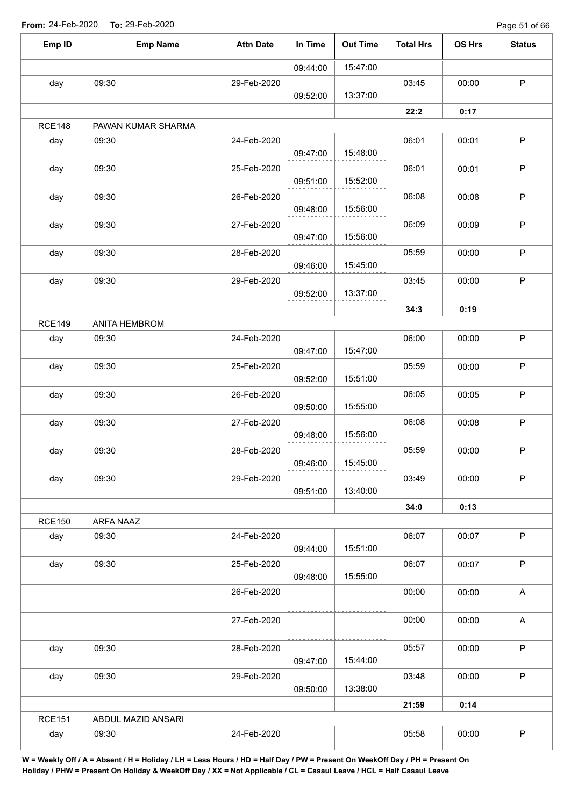Page 51 of 66

| Emp ID        | <b>Emp Name</b>    | <b>Attn Date</b> | In Time  | <b>Out Time</b> | <b>Total Hrs</b> | OS Hrs | <b>Status</b>             |
|---------------|--------------------|------------------|----------|-----------------|------------------|--------|---------------------------|
|               |                    |                  | 09:44:00 | 15:47:00        |                  |        |                           |
| day           | 09:30              | 29-Feb-2020      |          |                 | 03:45            | 00:00  | $\mathsf P$               |
|               |                    |                  | 09:52:00 | 13:37:00        |                  |        |                           |
|               |                    |                  |          |                 | 22:2             | 0:17   |                           |
| <b>RCE148</b> | PAWAN KUMAR SHARMA |                  |          |                 |                  |        |                           |
| day           | 09:30              | 24-Feb-2020      | 09:47:00 | 15:48:00        | 06:01            | 00:01  | $\mathsf P$               |
| day           | 09:30              | 25-Feb-2020      | 09:51:00 | 15:52:00        | 06:01            | 00:01  | $\mathsf P$               |
| day           | 09:30              | 26-Feb-2020      | 09:48:00 | 15:56:00        | 06:08            | 00:08  | $\sf P$                   |
| day           | 09:30              | 27-Feb-2020      | 09:47:00 | 15:56:00        | 06:09            | 00:09  | $\mathsf P$               |
| day           | 09:30              | 28-Feb-2020      |          |                 | 05:59            | 00:00  | $\sf P$                   |
|               |                    |                  | 09:46:00 | 15:45:00        |                  |        |                           |
| day           | 09:30              | 29-Feb-2020      | 09:52:00 | 13:37:00        | 03:45            | 00:00  | $\mathsf P$               |
|               |                    |                  |          |                 | 34:3             | 0:19   |                           |
| <b>RCE149</b> | ANITA HEMBROM      |                  |          |                 |                  |        |                           |
| day           | 09:30              | 24-Feb-2020      | 09:47:00 | 15:47:00        | 06:00            | 00:00  | $\mathsf P$               |
| day           | 09:30              | 25-Feb-2020      | 09:52:00 | 15:51:00        | 05:59            | 00:00  | P                         |
| day           | 09:30              | 26-Feb-2020      | 09:50:00 | 15:55:00        | 06:05            | 00:05  | $\sf P$                   |
| day           | 09:30              | 27-Feb-2020      |          | 15:56:00        | 06:08            | 00:08  | $\mathsf P$               |
| day           | 09:30              | 28-Feb-2020      | 09:48:00 |                 | 05:59            | 00:00  | $\mathsf P$               |
| day           | 09:30              | 29-Feb-2020      | 09:46:00 | 15:45:00        | 03:49            | 00:00  | $\mathsf P$               |
|               |                    |                  | 09:51:00 | 13:40:00        |                  |        |                           |
| <b>RCE150</b> | ARFA NAAZ          |                  |          |                 | 34:0             | 0:13   |                           |
| day           | 09:30              | 24-Feb-2020      | 09:44:00 | 15:51:00        | 06:07            | 00:07  | $\mathsf P$               |
| day           | 09:30              | 25-Feb-2020      |          |                 | 06:07            | 00:07  | $\mathsf P$               |
|               |                    | 26-Feb-2020      | 09:48:00 | 15:55:00        | 00:00            | 00:00  | $\boldsymbol{\mathsf{A}}$ |
|               |                    | 27-Feb-2020      |          |                 | 00:00            | 00:00  | $\boldsymbol{\mathsf{A}}$ |
| day           | 09:30              | 28-Feb-2020      |          |                 | 05:57            | 00:00  | $\mathsf P$               |
|               |                    |                  | 09:47:00 | 15:44:00        |                  |        |                           |
| day           | 09:30              | 29-Feb-2020      | 09:50:00 | 13:38:00        | 03:48            | 00:00  | $\sf P$                   |
|               |                    |                  |          |                 | 21:59            | 0:14   |                           |
| <b>RCE151</b> | ABDUL MAZID ANSARI |                  |          |                 |                  |        |                           |
| day           | 09:30              | 24-Feb-2020      |          |                 | 05:58            | 00:00  | ${\sf P}$                 |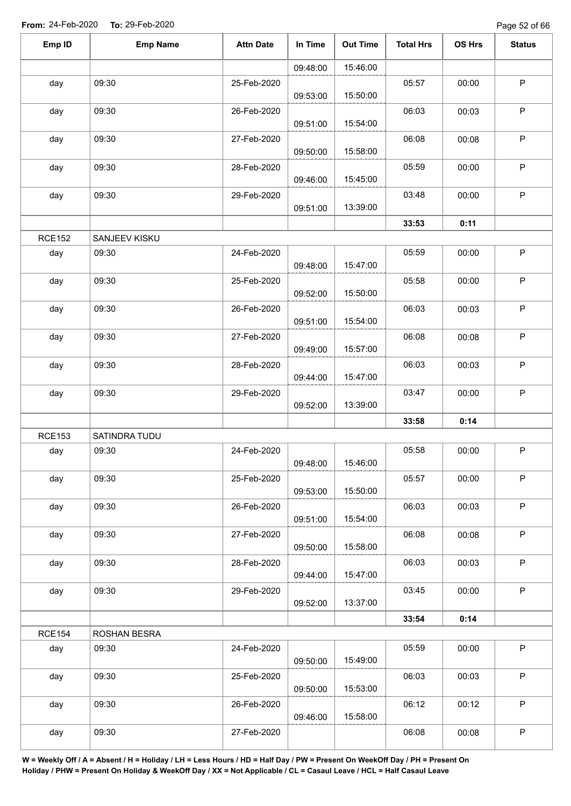Page 52 of 66

| Emp ID<br><b>Emp Name</b>      | <b>Attn Date</b> | In Time  | <b>Out Time</b> | <b>Total Hrs</b> | OS Hrs | <b>Status</b> |
|--------------------------------|------------------|----------|-----------------|------------------|--------|---------------|
|                                |                  | 09:48:00 | 15:46:00        |                  |        |               |
| 09:30<br>day                   | 25-Feb-2020      |          |                 | 05:57            | 00:00  | $\sf P$       |
|                                |                  | 09:53:00 | 15:50:00        |                  |        |               |
| 09:30<br>day                   | 26-Feb-2020      |          |                 | 06:03            | 00:03  | $\mathsf P$   |
|                                |                  | 09:51:00 | 15:54:00        |                  |        |               |
| 09:30<br>day                   | 27-Feb-2020      |          |                 | 06:08            | 00:08  | $\sf P$       |
|                                |                  | 09:50:00 | 15:58:00        |                  |        |               |
| 09:30<br>day                   | 28-Feb-2020      | 09:46:00 | 15:45:00        | 05:59            | 00:00  | $\mathsf P$   |
| 09:30<br>day                   | 29-Feb-2020      |          |                 | 03:48            | 00:00  | $\mathsf P$   |
|                                |                  | 09:51:00 | 13:39:00        |                  |        |               |
|                                |                  |          |                 | 33:53            | 0:11   |               |
| <b>RCE152</b><br>SANJEEV KISKU |                  |          |                 |                  |        |               |
| 09:30<br>day                   | 24-Feb-2020      |          |                 | 05:59            | 00:00  | $\mathsf P$   |
|                                |                  | 09:48:00 | 15:47:00        |                  |        |               |
| 09:30<br>day                   | 25-Feb-2020      |          |                 | 05:58            | 00:00  | $\mathsf P$   |
|                                |                  | 09:52:00 | 15:50:00        |                  |        |               |
| 09:30<br>day                   | 26-Feb-2020      | 09:51:00 | 15:54:00        | 06:03            | 00:03  | $\sf P$       |
|                                |                  |          |                 |                  |        | $\mathsf P$   |
| 09:30<br>day                   | 27-Feb-2020      | 09:49:00 | 15:57:00        | 06:08            | 00:08  |               |
| 09:30<br>day                   | 28-Feb-2020      |          |                 | 06:03            | 00:03  | $\mathsf P$   |
|                                |                  | 09:44:00 | 15:47:00        |                  |        |               |
| 09:30<br>day                   | 29-Feb-2020      |          |                 | 03:47            | 00:00  | $\mathsf P$   |
|                                |                  | 09:52:00 | 13:39:00        |                  |        |               |
|                                |                  |          |                 | 33:58            | 0:14   |               |
| <b>RCE153</b><br>SATINDRA TUDU |                  |          |                 |                  |        |               |
| 09:30<br>day                   | 24-Feb-2020      |          |                 | 05:58            | 00:00  | $\mathsf P$   |
|                                |                  | 09:48:00 | 15:46:00        |                  |        |               |
| 09:30<br>day                   | 25-Feb-2020      |          |                 | 05:57            | 00:00  | $\mathsf P$   |
|                                |                  | 09:53:00 | 15:50:00        |                  |        |               |
| 09:30<br>day                   | 26-Feb-2020      |          | 15:54:00        | 06:03            | 00:03  | $\mathsf P$   |
| 09:30                          |                  | 09:51:00 |                 | 06:08            | 00:08  | $\sf P$       |
| day                            | 27-Feb-2020      | 09:50:00 | 15:58:00        |                  |        |               |
| 09:30<br>day                   | 28-Feb-2020      |          |                 | 06:03            | 00:03  | P             |
|                                |                  | 09:44:00 | 15:47:00        |                  |        |               |
| 09:30<br>day                   | 29-Feb-2020      |          |                 | 03:45            | 00:00  | $\sf P$       |
|                                |                  | 09:52:00 | 13:37:00        |                  |        |               |
|                                |                  |          |                 | 33:54            | 0:14   |               |
| <b>RCE154</b><br>ROSHAN BESRA  |                  |          |                 |                  |        |               |
| 09:30<br>day                   | 24-Feb-2020      |          |                 | 05:59            | 00:00  | $\mathsf P$   |
|                                |                  | 09:50:00 | 15:49:00        |                  |        |               |
|                                |                  |          |                 |                  |        |               |
| 09:30<br>day                   | 25-Feb-2020      |          |                 | 06:03            | 00:03  | $\mathsf{P}$  |
|                                |                  | 09:50:00 | 15:53:00        |                  |        |               |
| 09:30<br>day                   | 26-Feb-2020      |          |                 | 06:12            | 00:12  | $\sf P$       |
| 09:30<br>day                   | 27-Feb-2020      | 09:46:00 | 15:58:00        | 06:08            | 00:08  | $\sf P$       |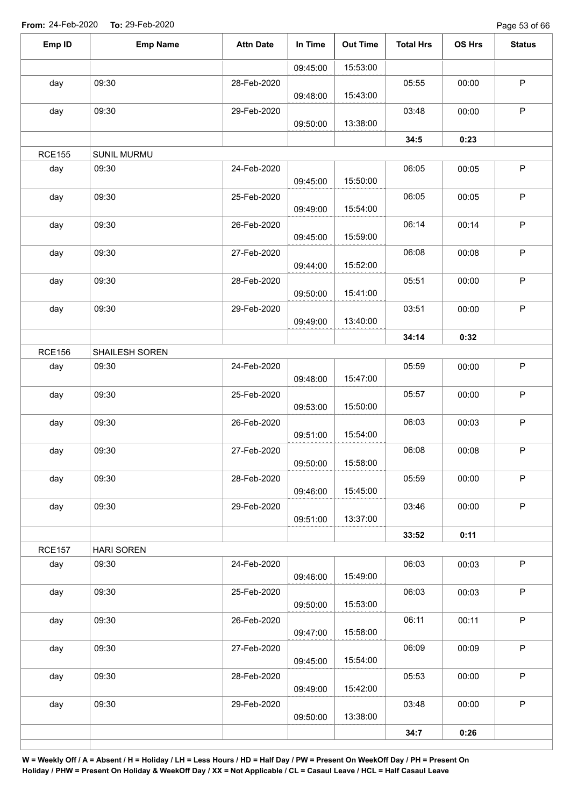Page 53 of 66

| Emp ID        | <b>Emp Name</b>    | <b>Attn Date</b> | In Time  | <b>Out Time</b> | <b>Total Hrs</b> | OS Hrs | <b>Status</b> |
|---------------|--------------------|------------------|----------|-----------------|------------------|--------|---------------|
|               |                    |                  | 09:45:00 | 15:53:00        |                  |        |               |
| day           | 09:30              | 28-Feb-2020      | 09:48:00 | 15:43:00        | 05:55            | 00:00  | $\mathsf P$   |
| day           | 09:30              | 29-Feb-2020      | 09:50:00 | 13:38:00        | 03:48            | 00:00  | $\mathsf P$   |
|               |                    |                  |          |                 | 34:5             | 0:23   |               |
| <b>RCE155</b> | <b>SUNIL MURMU</b> |                  |          |                 |                  |        |               |
| day           | 09:30              | 24-Feb-2020      | 09:45:00 | 15:50:00        | 06:05            | 00:05  | $\sf P$       |
| day           | 09:30              | 25-Feb-2020      | 09:49:00 | 15:54:00        | 06:05            | 00:05  | $\mathsf P$   |
| day           | 09:30              | 26-Feb-2020      | 09:45:00 | 15:59:00        | 06:14            | 00:14  | $\mathsf P$   |
| day           | 09:30              | 27-Feb-2020      | 09:44:00 | 15:52:00        | 06:08            | 00:08  | $\sf P$       |
| day           | 09:30              | 28-Feb-2020      | 09:50:00 | 15:41:00        | 05:51            | 00:00  | P             |
| day           | 09:30              | 29-Feb-2020      | 09:49:00 | 13:40:00        | 03:51            | 00:00  | $\mathsf P$   |
|               |                    |                  |          |                 | 34:14            | 0:32   |               |
| <b>RCE156</b> | SHAILESH SOREN     |                  |          |                 |                  |        |               |
| day           | 09:30              | 24-Feb-2020      | 09:48:00 | 15:47:00        | 05:59            | 00:00  | $\mathsf P$   |
| day           | 09:30              | 25-Feb-2020      | 09:53:00 | 15:50:00        | 05:57            | 00:00  | $\sf P$       |
| day           | 09:30              | 26-Feb-2020      | 09:51:00 | 15:54:00        | 06:03            | 00:03  | $\mathsf P$   |
| day           | 09:30              | 27-Feb-2020      | 09:50:00 | 15:58:00        | 06:08            | 00:08  | P             |
| day           | 09:30              | 28-Feb-2020      | 09:46:00 | 15:45:00        | 05:59            | 00:00  | $\mathsf P$   |
| day           | 09:30              | 29-Feb-2020      | 09:51:00 | 13:37:00        | 03:46            | 00:00  | $\mathsf P$   |
|               |                    |                  |          |                 | 33:52            | 0:11   |               |
| <b>RCE157</b> | <b>HARI SOREN</b>  |                  |          |                 |                  |        |               |
| day           | 09:30              | 24-Feb-2020      | 09:46:00 | 15:49:00        | 06:03            | 00:03  | $\mathsf P$   |
| day           | 09:30              | 25-Feb-2020      | 09:50:00 | 15:53:00        | 06:03            | 00:03  | $\sf P$       |
| day           | 09:30              | 26-Feb-2020      | 09:47:00 | 15:58:00        | 06:11            | 00:11  | $\sf P$       |
| day           | 09:30              | 27-Feb-2020      | 09:45:00 | 15:54:00        | 06:09            | 00:09  | $\sf P$       |
| day           | 09:30              | 28-Feb-2020      | 09:49:00 | 15:42:00        | 05:53            | 00:00  | $\sf P$       |
| day           | 09:30              | 29-Feb-2020      | 09:50:00 | 13:38:00        | 03:48            | 00:00  | $\mathsf P$   |
|               |                    |                  |          |                 | 34:7             | 0:26   |               |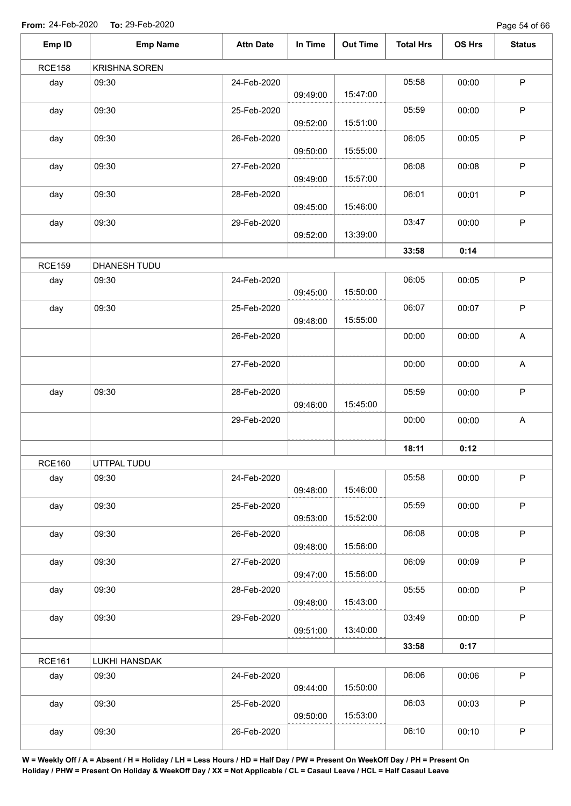Page 54 of 66

| Emp ID        | <b>Emp Name</b>      | <b>Attn Date</b> | In Time  | <b>Out Time</b> | <b>Total Hrs</b> | OS Hrs | <b>Status</b>             |
|---------------|----------------------|------------------|----------|-----------------|------------------|--------|---------------------------|
| <b>RCE158</b> | <b>KRISHNA SOREN</b> |                  |          |                 |                  |        |                           |
| day           | 09:30                | 24-Feb-2020      | 09:49:00 | 15:47:00        | 05:58            | 00:00  | $\sf P$                   |
| day           | 09:30                | 25-Feb-2020      | 09:52:00 | 15:51:00        | 05:59            | 00:00  | $\sf P$                   |
| day           | 09:30                | 26-Feb-2020      | 09:50:00 | 15:55:00        | 06:05            | 00:05  | $\mathsf P$               |
| day           | 09:30                | 27-Feb-2020      | 09:49:00 | 15:57:00        | 06:08            | 00:08  | $\mathsf P$               |
| day           | 09:30                | 28-Feb-2020      | 09:45:00 | 15:46:00        | 06:01            | 00:01  | $\mathsf P$               |
| day           | 09:30                | 29-Feb-2020      | 09:52:00 | 13:39:00        | 03:47            | 00:00  | $\mathsf P$               |
|               |                      |                  |          |                 | 33:58            | 0:14   |                           |
| <b>RCE159</b> | DHANESH TUDU         |                  |          |                 |                  |        |                           |
| day           | 09:30                | 24-Feb-2020      | 09:45:00 | 15:50:00        | 06:05            | 00:05  | $\sf P$                   |
| day           | 09:30                | 25-Feb-2020      | 09:48:00 | 15:55:00        | 06:07            | 00:07  | $\mathsf P$               |
|               |                      | 26-Feb-2020      |          |                 | 00:00            | 00:00  | $\boldsymbol{\mathsf{A}}$ |
|               |                      | 27-Feb-2020      |          |                 | 00:00            | 00:00  | A                         |
| day           | 09:30                | 28-Feb-2020      | 09:46:00 | 15:45:00        | 05:59            | 00:00  | $\sf P$                   |
|               |                      | 29-Feb-2020      |          |                 | 00:00            | 00:00  | $\boldsymbol{\mathsf{A}}$ |
|               |                      |                  |          |                 | 18:11            | 0:12   |                           |
| <b>RCE160</b> | UTTPAL TUDU          |                  |          |                 |                  |        |                           |
| day           | 09:30                | 24-Feb-2020      | 09:48:00 | 15:46:00        | 05:58            | 00:00  | $\mathsf P$               |
| day           | 09:30                | 25-Feb-2020      | 09:53:00 | 15:52:00        | 05:59            | 00:00  | $\sf P$                   |
| day           | 09:30                | 26-Feb-2020      | 09:48:00 | 15:56:00        | 06:08            | 00:08  | $\mathsf P$               |
| day           | 09:30                | 27-Feb-2020      | 09:47:00 | 15:56:00        | 06:09            | 00:09  | $\sf P$                   |
| day           | 09:30                | 28-Feb-2020      | 09:48:00 | 15:43:00        | 05:55            | 00:00  | $\mathsf P$               |
| day           | 09:30                | 29-Feb-2020      | 09:51:00 | 13:40:00        | 03:49            | 00:00  | $\sf P$                   |
|               |                      |                  |          |                 | 33:58            | 0:17   |                           |
| <b>RCE161</b> | LUKHI HANSDAK        |                  |          |                 |                  |        |                           |
| day           | 09:30                | 24-Feb-2020      | 09:44:00 | 15:50:00        | 06:06            | 00:06  | $\sf P$                   |
| day           | 09:30                | 25-Feb-2020      | 09:50:00 | 15:53:00        | 06:03            | 00:03  | $\mathsf P$               |
| day           | 09:30                | 26-Feb-2020      |          |                 | 06:10            | 00:10  | $\sf P$                   |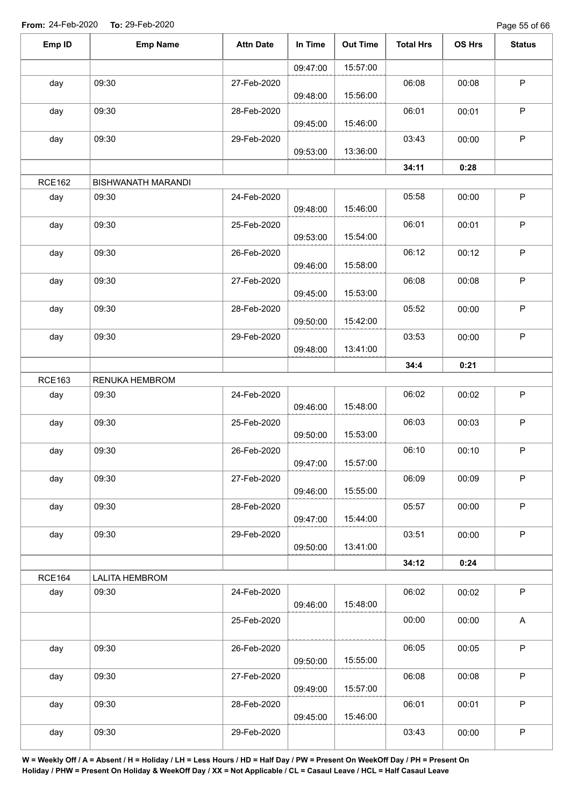Page 55 of 66

| Emp ID        | <b>Emp Name</b>           | <b>Attn Date</b> | In Time  | <b>Out Time</b> | <b>Total Hrs</b> | OS Hrs | <b>Status</b> |
|---------------|---------------------------|------------------|----------|-----------------|------------------|--------|---------------|
|               |                           |                  | 09:47:00 | 15:57:00        |                  |        |               |
| day           | 09:30                     | 27-Feb-2020      |          |                 | 06:08            | 00:08  | $\mathsf P$   |
|               |                           |                  | 09:48:00 | 15:56:00        |                  |        |               |
| day           | 09:30                     | 28-Feb-2020      |          |                 | 06:01            | 00:01  | $\mathsf P$   |
|               |                           |                  | 09:45:00 | 15:46:00        |                  |        |               |
| day           | 09:30                     | 29-Feb-2020      |          |                 | 03:43            | 00:00  | $\sf P$       |
|               |                           |                  | 09:53:00 | 13:36:00        |                  |        |               |
| <b>RCE162</b> | <b>BISHWANATH MARANDI</b> |                  |          |                 | 34:11            | 0:28   |               |
| day           | 09:30                     | 24-Feb-2020      |          |                 | 05:58            | 00:00  | $\sf P$       |
|               |                           |                  | 09:48:00 | 15:46:00        |                  |        |               |
| day           | 09:30                     | 25-Feb-2020      |          |                 | 06:01            | 00:01  | $\mathsf P$   |
|               |                           |                  | 09:53:00 | 15:54:00        |                  |        |               |
| day           | 09:30                     | 26-Feb-2020      |          |                 | 06:12            | 00:12  | $\sf P$       |
|               |                           |                  | 09:46:00 | 15:58:00        |                  |        |               |
| day           | 09:30                     | 27-Feb-2020      |          |                 | 06:08            | 00:08  | $\mathsf P$   |
|               |                           |                  | 09:45:00 | 15:53:00        |                  |        |               |
| day           | 09:30                     | 28-Feb-2020      |          | 15:42:00        | 05:52            | 00:00  | $\sf P$       |
|               |                           |                  | 09:50:00 |                 |                  |        | $\mathsf P$   |
| day           | 09:30                     | 29-Feb-2020      | 09:48:00 | 13:41:00        | 03:53            | 00:00  |               |
|               |                           |                  |          |                 | 34:4             | 0:21   |               |
| <b>RCE163</b> | RENUKA HEMBROM            |                  |          |                 |                  |        |               |
| day           | 09:30                     | 24-Feb-2020      |          |                 | 06:02            | 00:02  | $\mathsf P$   |
|               |                           |                  | 09:46:00 | 15:48:00        |                  |        |               |
| day           | 09:30                     | 25-Feb-2020      |          |                 | 06:03            | 00:03  | $\mathsf P$   |
|               |                           |                  | 09:50:00 | 15:53:00        |                  |        |               |
| day           | 09:30                     | 26-Feb-2020      |          |                 | 06:10            | 00:10  | $\mathsf P$   |
|               |                           |                  | 09:47:00 | 15:57:00        |                  |        |               |
| day           | 09:30                     | 27-Feb-2020      |          | 15:55:00        | 06:09            | 00:09  | $\mathsf P$   |
|               |                           |                  | 09:46:00 |                 |                  |        |               |
| day           | 09:30                     | 28-Feb-2020      | 09:47:00 | 15:44:00        | 05:57            | 00:00  | $\mathsf P$   |
| day           | 09:30                     | 29-Feb-2020      |          |                 | 03:51            | 00:00  | $\sf P$       |
|               |                           |                  | 09:50:00 | 13:41:00        |                  |        |               |
|               |                           |                  |          |                 | 34:12            | 0:24   |               |
| <b>RCE164</b> | <b>LALITA HEMBROM</b>     |                  |          |                 |                  |        |               |
| day           | 09:30                     | 24-Feb-2020      |          |                 | 06:02            | 00:02  | $\sf P$       |
|               |                           |                  | 09:46:00 | 15:48:00        |                  |        |               |
|               |                           | 25-Feb-2020      |          |                 | 00:00            | 00:00  | A             |
|               |                           |                  |          |                 |                  |        |               |
| day           | 09:30                     | 26-Feb-2020      |          | 15:55:00        | 06:05            | 00:05  | $\sf P$       |
|               |                           |                  | 09:50:00 |                 | 06:08            |        | $\mathsf P$   |
| day           | 09:30                     | 27-Feb-2020      | 09:49:00 | 15:57:00        |                  | 00:08  |               |
| day           | 09:30                     | 28-Feb-2020      |          |                 | 06:01            | 00:01  | $\sf P$       |
|               |                           |                  | 09:45:00 | 15:46:00        |                  |        |               |
| day           | 09:30                     | 29-Feb-2020      |          |                 | 03:43            | 00:00  | $\sf P$       |
|               |                           |                  |          |                 |                  |        |               |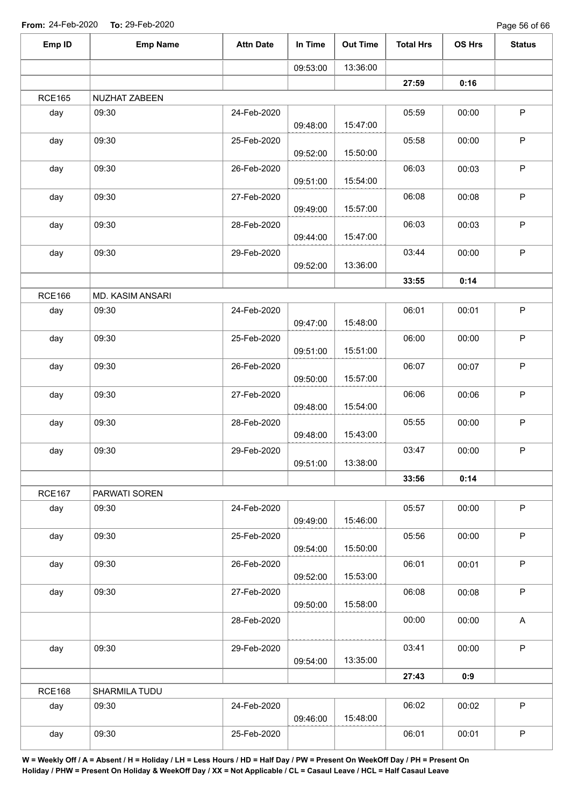| Emp ID        | <b>Emp Name</b>  | <b>Attn Date</b> | In Time  | <b>Out Time</b> | <b>Total Hrs</b> | OS Hrs | <b>Status</b> |
|---------------|------------------|------------------|----------|-----------------|------------------|--------|---------------|
|               |                  |                  | 09:53:00 | 13:36:00        |                  |        |               |
|               |                  |                  |          |                 | 27:59            | 0:16   |               |
| <b>RCE165</b> | NUZHAT ZABEEN    |                  |          |                 |                  |        |               |
| day           | 09:30            | 24-Feb-2020      | 09:48:00 | 15:47:00        | 05:59            | 00:00  | $\sf P$       |
| day           | 09:30            | 25-Feb-2020      | 09:52:00 | 15:50:00        | 05:58            | 00:00  | $\mathsf P$   |
| day           | 09:30            | 26-Feb-2020      | 09:51:00 | 15:54:00        | 06:03            | 00:03  | $\mathsf P$   |
| day           | 09:30            | 27-Feb-2020      | 09:49:00 | 15:57:00        | 06:08            | 00:08  | $\sf P$       |
| day           | 09:30            | 28-Feb-2020      | 09:44:00 | 15:47:00        | 06:03            | 00:03  | $\mathsf P$   |
| day           | 09:30            | 29-Feb-2020      | 09:52:00 | 13:36:00        | 03:44            | 00:00  | $\mathsf P$   |
|               |                  |                  |          |                 | 33:55            | 0:14   |               |
| <b>RCE166</b> | MD. KASIM ANSARI |                  |          |                 |                  |        |               |
| day           | 09:30            | 24-Feb-2020      | 09:47:00 | 15:48:00        | 06:01            | 00:01  | $\mathsf P$   |
| day           | 09:30            | 25-Feb-2020      | 09:51:00 | 15:51:00        | 06:00            | 00:00  | $\mathsf P$   |
| day           | 09:30            | 26-Feb-2020      | 09:50:00 | 15:57:00        | 06:07            | 00:07  | $\mathsf P$   |
| day           | 09:30            | 27-Feb-2020      | 09:48:00 | 15:54:00        | 06:06            | 00:06  | $\mathsf P$   |
| day           | 09:30            | 28-Feb-2020      | 09:48:00 | 15:43:00        | 05:55            | 00:00  | $\mathsf P$   |
| day           | 09:30            | 29-Feb-2020      | 09:51:00 | 13:38:00        | 03:47            | 00:00  | $\sf P$       |
|               |                  |                  |          |                 | 33:56            | 0:14   |               |
| <b>RCE167</b> | PARWATI SOREN    |                  |          |                 |                  |        |               |
| day           | 09:30            | 24-Feb-2020      | 09:49:00 | 15:46:00        | 05:57            | 00:00  | $\mathsf{P}$  |
| day           | 09:30            | 25-Feb-2020      | 09:54:00 | 15:50:00        | 05:56            | 00:00  | P             |
| day           | 09:30            | 26-Feb-2020      | 09:52:00 | 15:53:00        | 06:01            | 00:01  | P             |
| day           | 09:30            | 27-Feb-2020      | 09:50:00 | 15:58:00        | 06:08            | 00:08  | P             |
|               |                  | 28-Feb-2020      |          |                 | 00:00            | 00:00  | $\mathsf A$   |
| day           | 09:30            | 29-Feb-2020      | 09:54:00 | 13:35:00        | 03:41            | 00:00  | $\mathsf{P}$  |
|               |                  |                  |          |                 | 27:43            | 0:9    |               |
| <b>RCE168</b> | SHARMILA TUDU    |                  |          |                 |                  |        |               |
| day           | 09:30            | 24-Feb-2020      | 09:46:00 | 15:48:00        | 06:02            | 00:02  | P             |
| day           | 09:30            | 25-Feb-2020      |          |                 | 06:01            | 00:01  | $\mathsf P$   |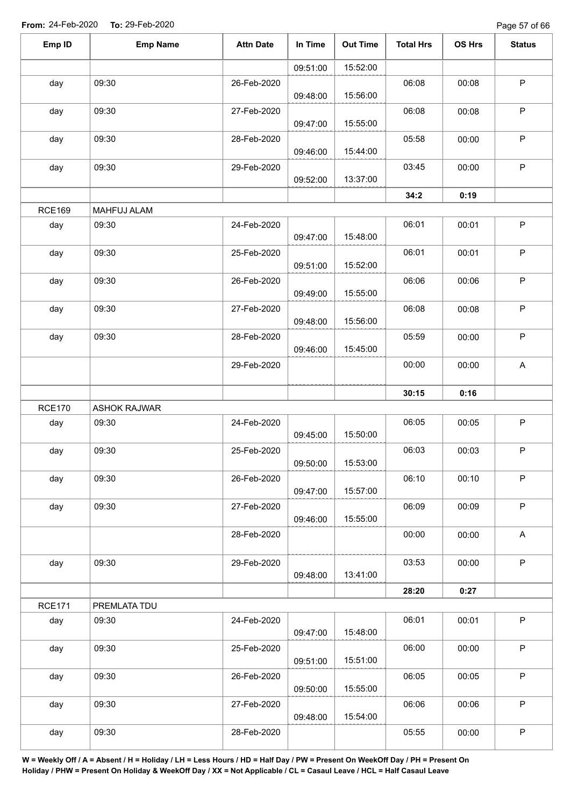Page 57 of 66

| Emp ID        | <b>Emp Name</b>     | <b>Attn Date</b> | In Time  | <b>Out Time</b> | <b>Total Hrs</b> | <b>OS Hrs</b> | <b>Status</b>             |
|---------------|---------------------|------------------|----------|-----------------|------------------|---------------|---------------------------|
|               |                     |                  | 09:51:00 | 15:52:00        |                  |               |                           |
| day           | 09:30               | 26-Feb-2020      | 09:48:00 | 15:56:00        | 06:08            | 00:08         | $\mathsf P$               |
| day           | 09:30               | 27-Feb-2020      | 09:47:00 | 15:55:00        | 06:08            | 00:08         | $\mathsf P$               |
| day           | 09:30               | 28-Feb-2020      | 09:46:00 | 15:44:00        | 05:58            | 00:00         | $\sf P$                   |
| day           | 09:30               | 29-Feb-2020      |          |                 | 03:45            | 00:00         | $\mathsf P$               |
|               |                     |                  | 09:52:00 | 13:37:00        | 34:2             | 0:19          |                           |
| <b>RCE169</b> | MAHFUJ ALAM         |                  |          |                 |                  |               |                           |
| day           | 09:30               | 24-Feb-2020      | 09:47:00 | 15:48:00        | 06:01            | 00:01         | $\sf P$                   |
| day           | 09:30               | 25-Feb-2020      | 09:51:00 | 15:52:00        | 06:01            | 00:01         | P                         |
| day           | 09:30               | 26-Feb-2020      | 09:49:00 | 15:55:00        | 06:06            | 00:06         | $\sf P$                   |
| day           | 09:30               | 27-Feb-2020      |          | 15:56:00        | 06:08            | 00:08         | $\sf P$                   |
| day           | 09:30               | 28-Feb-2020      | 09:48:00 | 15:45:00        | 05:59            | 00:00         | $\sf P$                   |
|               |                     | 29-Feb-2020      | 09:46:00 |                 | 00:00            | 00:00         | $\boldsymbol{\mathsf{A}}$ |
|               |                     |                  |          |                 | 30:15            | 0:16          |                           |
| <b>RCE170</b> | <b>ASHOK RAJWAR</b> |                  |          |                 |                  |               |                           |
| day           | 09:30               | 24-Feb-2020      | 09:45:00 | 15:50:00        | 06:05            | 00:05         | $\mathsf P$               |
| day           | 09:30               | 25-Feb-2020      | 09:50:00 | 15:53:00        | 06:03            | 00:03         | $\sf P$                   |
| day           | 09:30               | 26-Feb-2020      | 09:47:00 | 15:57:00        | 06:10            | 00:10         | $\mathsf P$               |
| day           | 09:30               | 27-Feb-2020      | 09:46:00 | 15:55:00        | 06:09            | 00:09         | $\mathsf P$               |
|               |                     | 28-Feb-2020      |          |                 | 00:00            | 00:00         | $\mathsf{A}$              |
| day           | 09:30               | 29-Feb-2020      |          |                 | 03:53            | 00:00         | P                         |
|               |                     |                  | 09:48:00 | 13:41:00        | 28:20            | 0:27          |                           |
| <b>RCE171</b> | PREMLATA TDU        |                  |          |                 |                  |               |                           |
| day           | 09:30               | 24-Feb-2020      | 09:47:00 | 15:48:00        | 06:01            | 00:01         | $\mathsf P$               |
| day           | 09:30               | 25-Feb-2020      | 09:51:00 | 15:51:00        | 06:00            | 00:00         | $\mathsf P$               |
| day           | 09:30               | 26-Feb-2020      | 09:50:00 | 15:55:00        | 06:05            | 00:05         | $\mathsf P$               |
| day           | 09:30               | 27-Feb-2020      |          |                 | 06:06            | 00:06         | $\mathsf P$               |
| day           | 09:30               | 28-Feb-2020      | 09:48:00 | 15:54:00        | 05:55            | 00:00         | $\sf P$                   |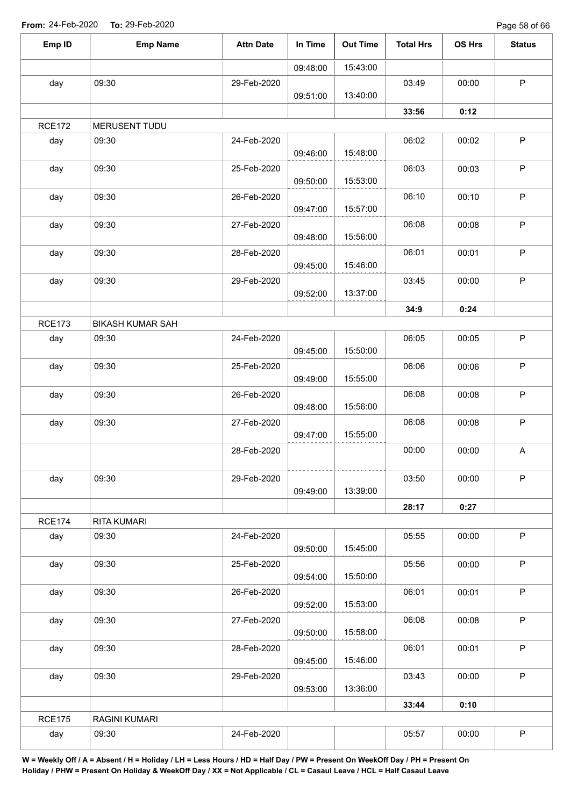Page 58 of 66

|               | <b>Emp Name</b>         | <b>Attn Date</b> | In Time  | <b>Out Time</b> | <b>Total Hrs</b> | OS Hrs | <b>Status</b>             |
|---------------|-------------------------|------------------|----------|-----------------|------------------|--------|---------------------------|
|               |                         |                  | 09:48:00 | 15:43:00        |                  |        |                           |
| day           | 09:30                   | 29-Feb-2020      |          |                 | 03:49            | 00:00  | $\mathsf P$               |
|               |                         |                  | 09:51:00 | 13:40:00        |                  |        |                           |
|               |                         |                  |          |                 | 33:56            | 0:12   |                           |
| <b>RCE172</b> | MERUSENT TUDU           |                  |          |                 |                  |        |                           |
| day           | 09:30                   | 24-Feb-2020      | 09:46:00 | 15:48:00        | 06:02            | 00:02  | $\mathsf P$               |
| day           | 09:30                   | 25-Feb-2020      | 09:50:00 | 15:53:00        | 06:03            | 00:03  | P                         |
| day           | 09:30                   | 26-Feb-2020      | 09:47:00 | 15:57:00        | 06:10            | 00:10  | $\mathsf P$               |
| day           | 09:30                   | 27-Feb-2020      | 09:48:00 | 15:56:00        | 06:08            | 00:08  | $\mathsf P$               |
| day           | 09:30                   | 28-Feb-2020      | 09:45:00 | 15:46:00        | 06:01            | 00:01  | $\sf P$                   |
| day           | 09:30                   | 29-Feb-2020      |          |                 | 03:45            | 00:00  | $\mathsf P$               |
|               |                         |                  | 09:52:00 | 13:37:00        |                  |        |                           |
|               |                         |                  |          |                 | 34:9             | 0:24   |                           |
| <b>RCE173</b> | <b>BIKASH KUMAR SAH</b> |                  |          |                 |                  |        |                           |
| day           | 09:30                   | 24-Feb-2020      | 09:45:00 | 15:50:00        | 06:05            | 00:05  | $\mathsf P$               |
| day           | 09:30                   | 25-Feb-2020      | 09:49:00 | 15:55:00        | 06:06            | 00:06  | P                         |
| day           | 09:30                   | 26-Feb-2020      | 09:48:00 | 15:56:00        | 06:08            | 00:08  | $\sf P$                   |
| day           | 09:30                   | 27-Feb-2020      | 09:47:00 | 15:55:00        | 06:08            | 00:08  | $\mathsf P$               |
|               |                         | 28-Feb-2020      |          |                 | 00:00            | 00:00  | $\boldsymbol{\mathsf{A}}$ |
| day           | 09:30                   | 29-Feb-2020      | 09:49:00 | 13:39:00        | 03:50            | 00:00  | $\mathsf P$               |
|               |                         |                  |          |                 | 28:17            | 0:27   |                           |
| <b>RCE174</b> | <b>RITA KUMARI</b>      |                  |          |                 |                  |        |                           |
| day           | 09:30                   | 24-Feb-2020      | 09:50:00 | 15:45:00        | 05:55            | 00:00  | $\mathsf P$               |
| day           | 09:30                   | 25-Feb-2020      | 09:54:00 | 15:50:00        | 05:56            | 00:00  | $\mathsf P$               |
| day           | 09:30                   | 26-Feb-2020      | 09:52:00 | 15:53:00        | 06:01            | 00:01  | $\sf P$                   |
| day           | 09:30                   | 27-Feb-2020      |          | 15:58:00        | 06:08            | 00:08  | $\sf P$                   |
| day           | 09:30                   | 28-Feb-2020      | 09:50:00 |                 | 06:01            | 00:01  | P                         |
| day           | 09:30                   | 29-Feb-2020      | 09:45:00 | 15:46:00        | 03:43            | 00:00  | $\mathsf P$               |
|               |                         |                  | 09:53:00 | 13:36:00        |                  |        |                           |
|               |                         |                  |          |                 |                  |        |                           |
| <b>RCE175</b> | RAGINI KUMARI           |                  |          |                 | 33:44            | 0:10   |                           |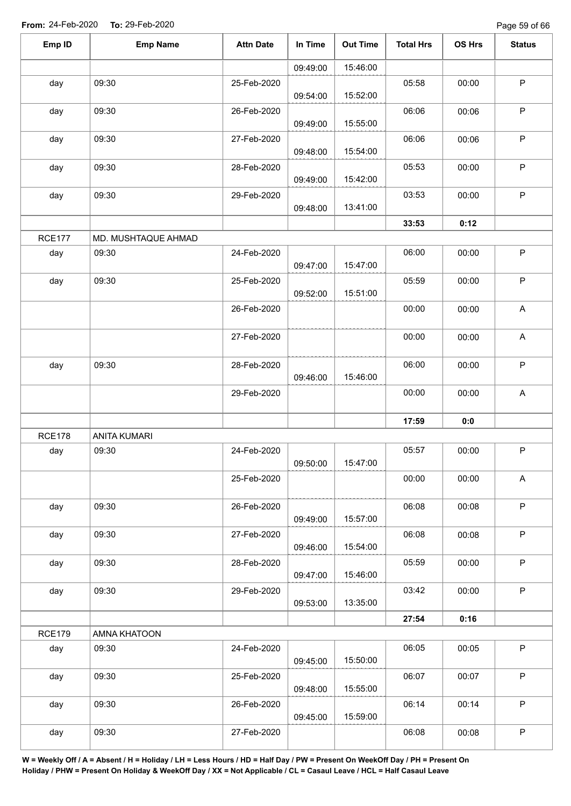Page 59 of 66

| Emp ID        | <b>Emp Name</b>     | <b>Attn Date</b> | In Time  | <b>Out Time</b> | <b>Total Hrs</b> | OS Hrs | <b>Status</b>             |
|---------------|---------------------|------------------|----------|-----------------|------------------|--------|---------------------------|
|               |                     |                  | 09:49:00 | 15:46:00        |                  |        |                           |
| day           | 09:30               | 25-Feb-2020      | 09:54:00 | 15:52:00        | 05:58            | 00:00  | $\sf P$                   |
| day           | 09:30               | 26-Feb-2020      | 09:49:00 | 15:55:00        | 06:06            | 00:06  | $\sf P$                   |
| day           | 09:30               | 27-Feb-2020      | 09:48:00 | 15:54:00        | 06:06            | 00:06  | $\mathsf P$               |
| day           | 09:30               | 28-Feb-2020      | 09:49:00 | 15:42:00        | 05:53            | 00:00  | $\sf P$                   |
| day           | 09:30               | 29-Feb-2020      | 09:48:00 | 13:41:00        | 03:53            | 00:00  | $\sf P$                   |
|               |                     |                  |          |                 | 33:53            | 0:12   |                           |
| <b>RCE177</b> | MD. MUSHTAQUE AHMAD |                  |          |                 |                  |        |                           |
| day           | 09:30               | 24-Feb-2020      | 09:47:00 | 15:47:00        | 06:00            | 00:00  | $\mathsf P$               |
| day           | 09:30               | 25-Feb-2020      | 09:52:00 | 15:51:00        | 05:59            | 00:00  | $\mathsf P$               |
|               |                     | 26-Feb-2020      |          |                 | 00:00            | 00:00  | A                         |
|               |                     | 27-Feb-2020      |          |                 | 00:00            | 00:00  | A                         |
| day           | 09:30               | 28-Feb-2020      | 09:46:00 | 15:46:00        | 06:00            | 00:00  | $\mathsf P$               |
|               |                     | 29-Feb-2020      |          |                 | 00:00            | 00:00  | $\boldsymbol{\mathsf{A}}$ |
|               |                     |                  |          |                 | 17:59            | 0:0    |                           |
| <b>RCE178</b> | <b>ANITA KUMARI</b> |                  |          |                 |                  |        |                           |
| day           | 09:30               | 24-Feb-2020      | 09:50:00 | 15:47:00        | 05:57            | 00:00  | $\mathsf P$               |
|               |                     | 25-Feb-2020      |          |                 | 00:00            | 00:00  | $\boldsymbol{\mathsf{A}}$ |
| day           | 09:30               | 26-Feb-2020      | 09:49:00 | 15:57:00        | 06:08            | 00:08  | $\mathsf P$               |
| day           | 09:30               | 27-Feb-2020      | 09:46:00 | 15:54:00        | 06:08            | 00:08  | $\mathsf P$               |
| day           | 09:30               | 28-Feb-2020      | 09:47:00 | 15:46:00        | 05:59            | 00:00  | $\mathsf{P}$              |
| day           | 09:30               | 29-Feb-2020      | 09:53:00 | 13:35:00        | 03:42            | 00:00  | $\sf P$                   |
|               |                     |                  |          |                 | 27:54            | 0:16   |                           |
| <b>RCE179</b> | AMNA KHATOON        |                  |          |                 |                  |        |                           |
| day           | 09:30               | 24-Feb-2020      | 09:45:00 | 15:50:00        | 06:05            | 00:05  | $\mathsf P$               |
| day           | 09:30               | 25-Feb-2020      | 09:48:00 | 15:55:00        | 06:07            | 00:07  | $\mathsf P$               |
| day           | 09:30               | 26-Feb-2020      | 09:45:00 | 15:59:00        | 06:14            | 00:14  | $\sf P$                   |
| day           | 09:30               | 27-Feb-2020      |          |                 | 06:08            | 00:08  | $\sf P$                   |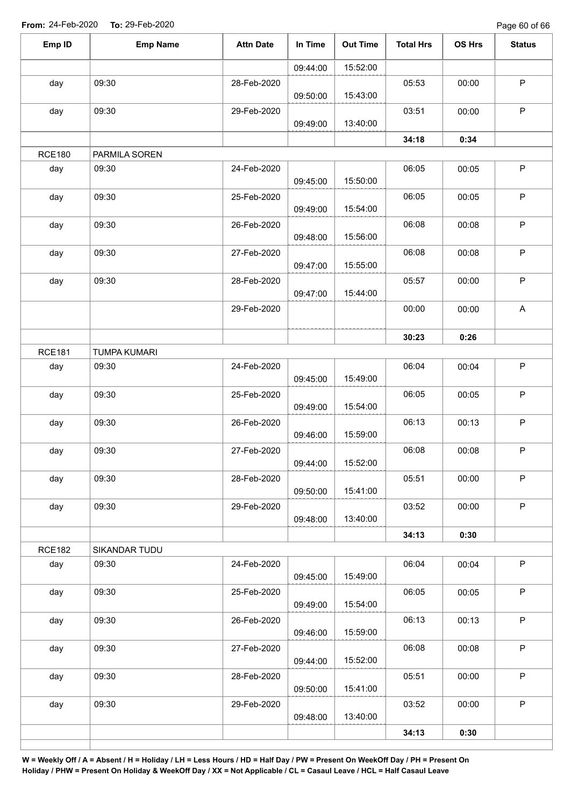Page 60 of 66

| Emp ID        | <b>Emp Name</b>     | <b>Attn Date</b> | In Time  | <b>Out Time</b> | <b>Total Hrs</b> | OS Hrs | <b>Status</b>             |
|---------------|---------------------|------------------|----------|-----------------|------------------|--------|---------------------------|
|               |                     |                  | 09:44:00 | 15:52:00        |                  |        |                           |
| day           | 09:30               | 28-Feb-2020      |          |                 | 05:53            | 00:00  | $\sf P$                   |
|               |                     |                  | 09:50:00 | 15:43:00        |                  |        |                           |
| day           | 09:30               | 29-Feb-2020      |          |                 | 03:51            | 00:00  | $\mathsf P$               |
|               |                     |                  | 09:49:00 | 13:40:00        |                  |        |                           |
|               |                     |                  |          |                 | 34:18            | 0:34   |                           |
| <b>RCE180</b> | PARMILA SOREN       |                  |          |                 |                  |        |                           |
| day           | 09:30               | 24-Feb-2020      | 09:45:00 | 15:50:00        | 06:05            | 00:05  | $\sf P$                   |
| day           | 09:30               | 25-Feb-2020      |          |                 | 06:05            | 00:05  | $\mathsf P$               |
|               |                     |                  | 09:49:00 | 15:54:00        |                  |        |                           |
| day           | 09:30               | 26-Feb-2020      |          |                 | 06:08            | 00:08  | $\sf P$                   |
|               |                     |                  | 09:48:00 | 15:56:00        |                  |        |                           |
| day           | 09:30               | 27-Feb-2020      |          |                 | 06:08            | 00:08  | $\sf P$                   |
|               |                     |                  | 09:47:00 | 15:55:00        |                  |        |                           |
| day           | 09:30               | 28-Feb-2020      | 09:47:00 | 15:44:00        | 05:57            | 00:00  | $\sf P$                   |
|               |                     | 29-Feb-2020      |          |                 | 00:00            | 00:00  | $\boldsymbol{\mathsf{A}}$ |
|               |                     |                  |          |                 |                  |        |                           |
|               |                     |                  |          |                 | 30:23            | 0:26   |                           |
| <b>RCE181</b> | <b>TUMPA KUMARI</b> |                  |          |                 |                  |        |                           |
| day           | 09:30               | 24-Feb-2020      |          |                 | 06:04            | 00:04  | $\sf P$                   |
|               |                     |                  | 09:45:00 | 15:49:00        |                  |        |                           |
| day           | 09:30               | 25-Feb-2020      |          |                 | 06:05            | 00:05  | $\mathsf P$               |
|               |                     |                  | 09:49:00 | 15:54:00        |                  |        |                           |
| day           | 09:30               | 26-Feb-2020      | 09:46:00 | 15:59:00        | 06:13            | 00:13  | $\mathsf P$               |
| day           | 09:30               | 27-Feb-2020      |          |                 | 06:08            | 00:08  | $\mathsf P$               |
|               |                     |                  | 09:44:00 | 15:52:00        |                  |        |                           |
| day           | 09:30               | 28-Feb-2020      |          |                 | 05:51            | 00:00  | $\mathsf P$               |
|               |                     |                  | 09:50:00 | 15:41:00        |                  |        |                           |
| day           | 09:30               | 29-Feb-2020      |          |                 | 03:52            | 00:00  | P                         |
|               |                     |                  | 09:48:00 | 13:40:00        |                  |        |                           |
|               |                     |                  |          |                 | 34:13            | 0:30   |                           |
| <b>RCE182</b> | SIKANDAR TUDU       |                  |          |                 |                  |        |                           |
| day           | 09:30               | 24-Feb-2020      | 09:45:00 | 15:49:00        | 06:04            | 00:04  | P                         |
| day           | 09:30               | 25-Feb-2020      |          |                 | 06:05            | 00:05  | $\sf P$                   |
|               |                     |                  | 09:49:00 | 15:54:00        |                  |        |                           |
| day           | 09:30               | 26-Feb-2020      |          |                 | 06:13            | 00:13  | $\mathsf P$               |
|               |                     |                  | 09:46:00 | 15:59:00        |                  |        |                           |
| day           | 09:30               | 27-Feb-2020      |          |                 | 06:08            | 00:08  | $\sf P$                   |
|               |                     |                  | 09:44:00 | 15:52:00        |                  |        |                           |
| day           | 09:30               | 28-Feb-2020      | 09:50:00 | 15:41:00        | 05:51            | 00:00  | $\mathsf P$               |
| day           | 09:30               | 29-Feb-2020      |          |                 | 03:52            | 00:00  | $\mathsf P$               |
|               |                     |                  | 09:48:00 | 13:40:00        |                  |        |                           |
|               |                     |                  |          |                 | 34:13            | 0:30   |                           |
|               |                     |                  |          |                 |                  |        |                           |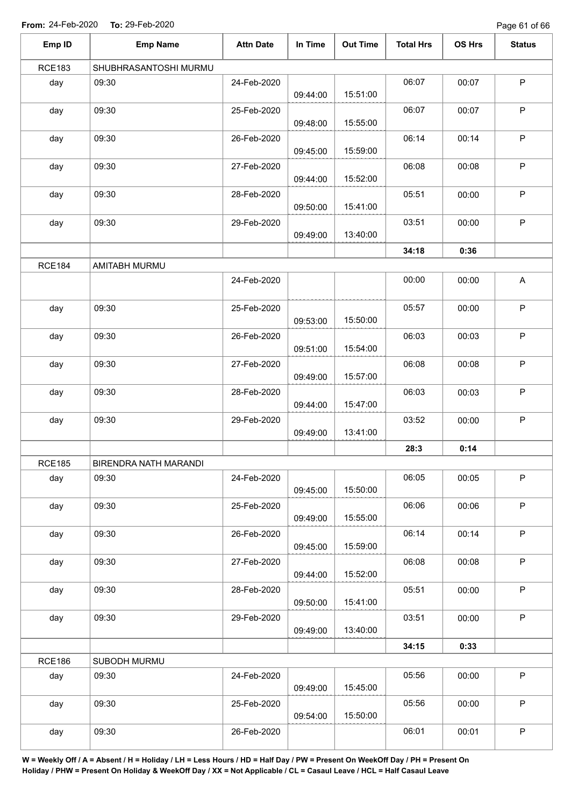Page 61 of 66

| Emp ID        | <b>Emp Name</b>       | <b>Attn Date</b>                                                                                                                                                                                                                                                                                                                                                             | In Time     | <b>Out Time</b> | <b>Total Hrs</b> | OS Hrs | <b>Status</b> |
|---------------|-----------------------|------------------------------------------------------------------------------------------------------------------------------------------------------------------------------------------------------------------------------------------------------------------------------------------------------------------------------------------------------------------------------|-------------|-----------------|------------------|--------|---------------|
| <b>RCE183</b> | SHUBHRASANTOSHI MURMU |                                                                                                                                                                                                                                                                                                                                                                              |             |                 |                  |        |               |
| day           | 09:30                 | 24-Feb-2020                                                                                                                                                                                                                                                                                                                                                                  | 09:44:00    | 15:51:00        | 06:07            | 00:07  | $\sf P$       |
| day           | 09:30                 | 25-Feb-2020                                                                                                                                                                                                                                                                                                                                                                  | 09:48:00    | 15:55:00        | 06:07            | 00:07  | $\mathsf P$   |
| day           | 09:30                 | 26-Feb-2020                                                                                                                                                                                                                                                                                                                                                                  | 09:45:00    | 15:59:00        | 06:14            | 00:14  | $\mathsf P$   |
| day           | 09:30                 | 27-Feb-2020                                                                                                                                                                                                                                                                                                                                                                  | 09:44:00    | 15:52:00        | 06:08            | 00:08  | $\mathsf P$   |
| day           | 09:30                 | 28-Feb-2020                                                                                                                                                                                                                                                                                                                                                                  | 09:50:00    | 15:41:00        | 05:51            | 00:00  | $\mathsf P$   |
| day           | 09:30                 | 03:51<br>00:00<br>29-Feb-2020<br>13:40:00<br>09:49:00<br>34:18<br>0:36<br>24-Feb-2020<br>00:00<br>00:00<br>25-Feb-2020<br>05:57<br>00:00<br>15:50:00<br>09:53:00<br>06:03<br>26-Feb-2020<br>00:03<br>15:54:00<br>09:51:00<br>06:08<br>27-Feb-2020<br>00:08<br>15:57:00<br>09:49:00<br>06:03<br>28-Feb-2020<br>00:03<br>15:47:00<br>09:44:00<br>29-Feb-2020<br>03:52<br>00:00 | $\mathsf P$ |                 |                  |        |               |
|               |                       |                                                                                                                                                                                                                                                                                                                                                                              |             |                 |                  |        |               |
| <b>RCE184</b> | AMITABH MURMU         |                                                                                                                                                                                                                                                                                                                                                                              |             |                 |                  |        |               |
|               |                       |                                                                                                                                                                                                                                                                                                                                                                              |             |                 |                  |        | A             |
| day           | 09:30                 |                                                                                                                                                                                                                                                                                                                                                                              |             |                 |                  |        | $\mathsf P$   |
| day           | 09:30                 |                                                                                                                                                                                                                                                                                                                                                                              |             |                 |                  |        | $\sf P$       |
| day           | 09:30                 |                                                                                                                                                                                                                                                                                                                                                                              |             |                 |                  |        | $\mathsf P$   |
| day           | 09:30                 |                                                                                                                                                                                                                                                                                                                                                                              |             |                 |                  |        | $\sf P$       |
| day           | 09:30                 |                                                                                                                                                                                                                                                                                                                                                                              | 09:49:00    | 13:41:00        |                  |        | $\mathsf P$   |
|               |                       |                                                                                                                                                                                                                                                                                                                                                                              |             |                 | 28:3             | 0:14   |               |
| <b>RCE185</b> | BIRENDRA NATH MARANDI |                                                                                                                                                                                                                                                                                                                                                                              |             |                 |                  |        |               |
| day           | 09:30                 | 24-Feb-2020                                                                                                                                                                                                                                                                                                                                                                  | 09:45:00    | 15:50:00        | 06:05            | 00:05  | $\mathsf P$   |
| day           | 09:30                 | 25-Feb-2020                                                                                                                                                                                                                                                                                                                                                                  | 09:49:00    | 15:55:00        | 06:06            | 00:06  | P             |
| day           | 09:30                 | 26-Feb-2020                                                                                                                                                                                                                                                                                                                                                                  | 09:45:00    | 15:59:00        | 06:14            | 00:14  | $\mathsf P$   |
| day           | 09:30                 | 27-Feb-2020                                                                                                                                                                                                                                                                                                                                                                  | 09:44:00    | 15:52:00        | 06:08            | 00:08  | $\mathsf P$   |
| day           | 09:30                 | 28-Feb-2020                                                                                                                                                                                                                                                                                                                                                                  | 09:50:00    | 15:41:00        | 05:51            | 00:00  | $\mathsf P$   |
| day           | 09:30                 | 29-Feb-2020                                                                                                                                                                                                                                                                                                                                                                  | 09:49:00    | 13:40:00        | 03:51            | 00:00  | $\mathsf{P}$  |
|               |                       |                                                                                                                                                                                                                                                                                                                                                                              |             |                 | 34:15            | 0:33   |               |
| <b>RCE186</b> | SUBODH MURMU          |                                                                                                                                                                                                                                                                                                                                                                              |             |                 |                  |        |               |
| day           | 09:30                 | 24-Feb-2020                                                                                                                                                                                                                                                                                                                                                                  | 09:49:00    | 15:45:00        | 05:56            | 00:00  | $\mathsf{P}$  |
| day           | 09:30                 | 25-Feb-2020                                                                                                                                                                                                                                                                                                                                                                  | 09:54:00    | 15:50:00        | 05:56            | 00:00  | $\mathsf P$   |
| day           | 09:30                 | 26-Feb-2020                                                                                                                                                                                                                                                                                                                                                                  |             |                 | 06:01            | 00:01  | $\sf P$       |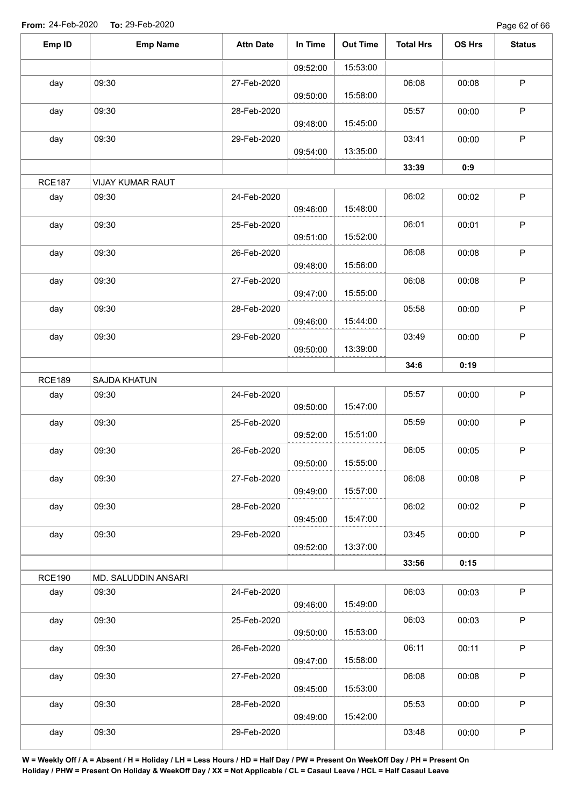Page 62 of 66

| Emp ID        | <b>Emp Name</b>                                                                                                                                                                                                                                                                                                                                                                                                                                                                                                                                                                                                   | <b>Attn Date</b> | In Time  | <b>Out Time</b> | <b>Total Hrs</b> | OS Hrs | <b>Status</b> |
|---------------|-------------------------------------------------------------------------------------------------------------------------------------------------------------------------------------------------------------------------------------------------------------------------------------------------------------------------------------------------------------------------------------------------------------------------------------------------------------------------------------------------------------------------------------------------------------------------------------------------------------------|------------------|----------|-----------------|------------------|--------|---------------|
|               |                                                                                                                                                                                                                                                                                                                                                                                                                                                                                                                                                                                                                   |                  | 09:52:00 | 15:53:00        |                  |        |               |
| day           | 09:30                                                                                                                                                                                                                                                                                                                                                                                                                                                                                                                                                                                                             | 27-Feb-2020      |          | 15:58:00        | 06:08            | 00:08  | P             |
| day           | 09:30                                                                                                                                                                                                                                                                                                                                                                                                                                                                                                                                                                                                             | 28-Feb-2020      |          | 15:45:00        | 05:57            | 00:00  | P             |
| day           | 09:30                                                                                                                                                                                                                                                                                                                                                                                                                                                                                                                                                                                                             | 29-Feb-2020      |          |                 | 03:41            | 00:00  | $\sf P$       |
|               |                                                                                                                                                                                                                                                                                                                                                                                                                                                                                                                                                                                                                   |                  |          |                 |                  | 0:9    |               |
| <b>RCE187</b> |                                                                                                                                                                                                                                                                                                                                                                                                                                                                                                                                                                                                                   |                  |          |                 |                  |        |               |
| day           | 09:30                                                                                                                                                                                                                                                                                                                                                                                                                                                                                                                                                                                                             | 24-Feb-2020      |          | 15:48:00        | 06:02            | 00:02  | $\sf P$       |
| day           | 09:30                                                                                                                                                                                                                                                                                                                                                                                                                                                                                                                                                                                                             | 25-Feb-2020      |          |                 | 06:01            | 00:01  | P             |
| day           | 09:30                                                                                                                                                                                                                                                                                                                                                                                                                                                                                                                                                                                                             | 26-Feb-2020      |          |                 | 06:08            | 00:08  | $\mathsf P$   |
| day           | 09:30                                                                                                                                                                                                                                                                                                                                                                                                                                                                                                                                                                                                             | 27-Feb-2020      |          |                 | 06:08            | 00:08  | P             |
| day           | 09:30                                                                                                                                                                                                                                                                                                                                                                                                                                                                                                                                                                                                             | 28-Feb-2020      |          |                 | 05:58            | 00:00  | P             |
| day           | 09:30                                                                                                                                                                                                                                                                                                                                                                                                                                                                                                                                                                                                             | 29-Feb-2020      |          |                 | 03:49            | 00:00  | P             |
|               | VIJAY KUMAR RAUT<br>09:46:00<br>15:52:00<br>09:51:00<br>15:56:00<br>09:48:00<br>15:55:00<br>09:47:00<br>15:44:00<br>09:46:00<br>13:39:00<br>09:50:00<br>34:6<br>0:19<br>SAJDA KHATUN<br>24-Feb-2020<br>05:57<br>00:00<br>09:30<br>15:47:00<br>09:50:00<br>09:30<br>05:59<br>25-Feb-2020<br>00:00<br>15:51:00<br>09:52:00<br>09:30<br>26-Feb-2020<br>06:05<br>00:05<br>15:55:00<br>09:50:00<br>06:08<br>09:30<br>27-Feb-2020<br>00:08<br>15:57:00<br>09:49:00<br>06:02<br>09:30<br>00:02<br>28-Feb-2020<br>15:47:00<br>09:45:00<br>03:45<br>09:30<br>00:00<br>29-Feb-2020<br>13:37:00<br>09:52:00<br>33:56<br>0:15 |                  |          |                 |                  |        |               |
| <b>RCE189</b> |                                                                                                                                                                                                                                                                                                                                                                                                                                                                                                                                                                                                                   |                  |          |                 |                  |        |               |
| day           |                                                                                                                                                                                                                                                                                                                                                                                                                                                                                                                                                                                                                   |                  |          |                 |                  |        | P             |
| day           |                                                                                                                                                                                                                                                                                                                                                                                                                                                                                                                                                                                                                   |                  |          |                 |                  |        | P             |
| day           |                                                                                                                                                                                                                                                                                                                                                                                                                                                                                                                                                                                                                   |                  |          |                 |                  |        | P             |
| day           |                                                                                                                                                                                                                                                                                                                                                                                                                                                                                                                                                                                                                   |                  |          |                 |                  |        | P             |
| day           |                                                                                                                                                                                                                                                                                                                                                                                                                                                                                                                                                                                                                   |                  |          |                 |                  |        | $\mathsf P$   |
| day           |                                                                                                                                                                                                                                                                                                                                                                                                                                                                                                                                                                                                                   |                  |          |                 |                  |        | $\sf P$       |
|               | 09:50:00<br>09:48:00<br>13:35:00<br>09:54:00<br>33:39<br>MD. SALUDDIN ANSARI<br>06:03<br>09:30<br>24-Feb-2020<br>15:49:00<br>09:46:00<br>06:03<br>09:30<br>25-Feb-2020<br>15:53:00<br>09:50:00<br>06:11<br>09:30<br>26-Feb-2020<br>15:58:00<br>09:47:00<br>09:30<br>06:08<br>27-Feb-2020<br>15:53:00<br>09:45:00<br>05:53<br>09:30<br>28-Feb-2020<br>15:42:00<br>09:49:00<br>03:48<br>09:30<br>29-Feb-2020                                                                                                                                                                                                        |                  |          |                 |                  |        |               |
| <b>RCE190</b> |                                                                                                                                                                                                                                                                                                                                                                                                                                                                                                                                                                                                                   |                  |          |                 |                  |        |               |
| day           |                                                                                                                                                                                                                                                                                                                                                                                                                                                                                                                                                                                                                   |                  |          |                 |                  | 00:03  | $\sf P$       |
| day           |                                                                                                                                                                                                                                                                                                                                                                                                                                                                                                                                                                                                                   |                  |          |                 |                  | 00:03  | P             |
| day           |                                                                                                                                                                                                                                                                                                                                                                                                                                                                                                                                                                                                                   |                  |          |                 |                  | 00:11  | $\sf P$       |
| day           |                                                                                                                                                                                                                                                                                                                                                                                                                                                                                                                                                                                                                   |                  |          |                 |                  | 00:08  | P             |
| day           |                                                                                                                                                                                                                                                                                                                                                                                                                                                                                                                                                                                                                   |                  |          |                 |                  | 00:00  | P             |
| day           |                                                                                                                                                                                                                                                                                                                                                                                                                                                                                                                                                                                                                   |                  |          |                 |                  | 00:00  | $\sf P$       |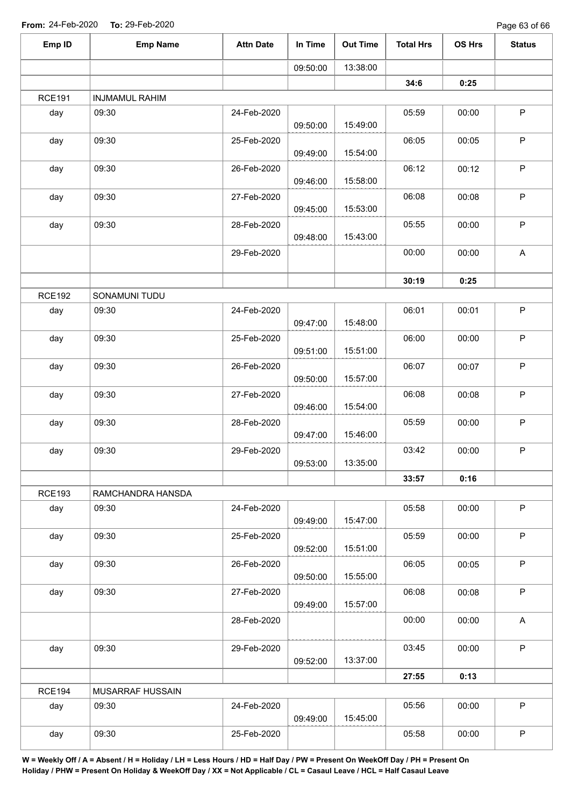| Emp ID        | <b>Emp Name</b>       | <b>Attn Date</b> | In Time  | <b>Out Time</b> | <b>Total Hrs</b> | OS Hrs | <b>Status</b>             |
|---------------|-----------------------|------------------|----------|-----------------|------------------|--------|---------------------------|
|               |                       |                  | 09:50:00 | 13:38:00        |                  |        |                           |
|               |                       |                  |          |                 | 34:6             | 0:25   |                           |
| <b>RCE191</b> | <b>INJMAMUL RAHIM</b> |                  |          |                 |                  |        |                           |
| day           | 09:30                 | 24-Feb-2020      | 09:50:00 | 15:49:00        | 05:59            | 00:00  | $\sf P$                   |
| day           | 09:30                 | 25-Feb-2020      | 09:49:00 | 15:54:00        | 06:05            | 00:05  | $\mathsf P$               |
| day           | 09:30                 | 26-Feb-2020      | 09:46:00 | 15:58:00        | 06:12            | 00:12  | $\mathsf P$               |
| day           | 09:30                 | 27-Feb-2020      | 09:45:00 | 15:53:00        | 06:08            | 00:08  | $\sf P$                   |
| day           | 09:30                 | 28-Feb-2020      | 09:48:00 | 15:43:00        | 05:55            | 00:00  | $\sf P$                   |
|               |                       | 29-Feb-2020      |          |                 | 00:00            | 00:00  | $\boldsymbol{\mathsf{A}}$ |
|               |                       |                  |          |                 | 30:19            | 0:25   |                           |
| <b>RCE192</b> | SONAMUNI TUDU         |                  |          |                 |                  |        |                           |
| day           | 09:30                 | 24-Feb-2020      | 09:47:00 | 15:48:00        | 06:01            | 00:01  | $\mathsf P$               |
| day           | 09:30                 | 25-Feb-2020      | 09:51:00 | 15:51:00        | 06:00            | 00:00  | $\sf P$                   |
| day           | 09:30                 | 26-Feb-2020      | 09:50:00 | 15:57:00        | 06:07            | 00:07  | $\mathsf P$               |
| day           | 09:30                 | 27-Feb-2020      | 09:46:00 | 15:54:00        | 06:08            | 00:08  | $\mathsf P$               |
| day           | 09:30                 | 28-Feb-2020      | 09:47:00 | 15:46:00        | 05:59            | 00:00  | $\mathsf P$               |
| day           | 09:30                 | 29-Feb-2020      | 09:53:00 | 13:35:00        | 03:42            | 00:00  | $\sf P$                   |
|               |                       |                  |          |                 | 33:57            | 0:16   |                           |
| <b>RCE193</b> | RAMCHANDRA HANSDA     |                  |          |                 |                  |        |                           |
| day           | 09:30                 | 24-Feb-2020      | 09:49:00 | 15:47:00        | 05:58            | 00:00  | $\mathsf P$               |
| day           | 09:30                 | 25-Feb-2020      | 09:52:00 | 15:51:00        | 05:59            | 00:00  | P                         |
| day           | 09:30                 | 26-Feb-2020      | 09:50:00 | 15:55:00        | 06:05            | 00:05  | P                         |
| day           | 09:30                 | 27-Feb-2020      | 09:49:00 | 15:57:00        | 06:08            | 00:08  | $\mathsf P$               |
|               |                       | 28-Feb-2020      |          |                 | 00:00            | 00:00  | A                         |
| day           | 09:30                 | 29-Feb-2020      | 09:52:00 | 13:37:00        | 03:45            | 00:00  | $\mathsf P$               |
|               |                       |                  |          |                 | 27:55            | 0:13   |                           |
| <b>RCE194</b> | MUSARRAF HUSSAIN      |                  |          |                 |                  |        |                           |
| day           | 09:30                 | 24-Feb-2020      | 09:49:00 | 15:45:00        | 05:56            | 00:00  | $\mathsf P$               |
| day           | 09:30                 | 25-Feb-2020      |          |                 | 05:58            | 00:00  | $\sf P$                   |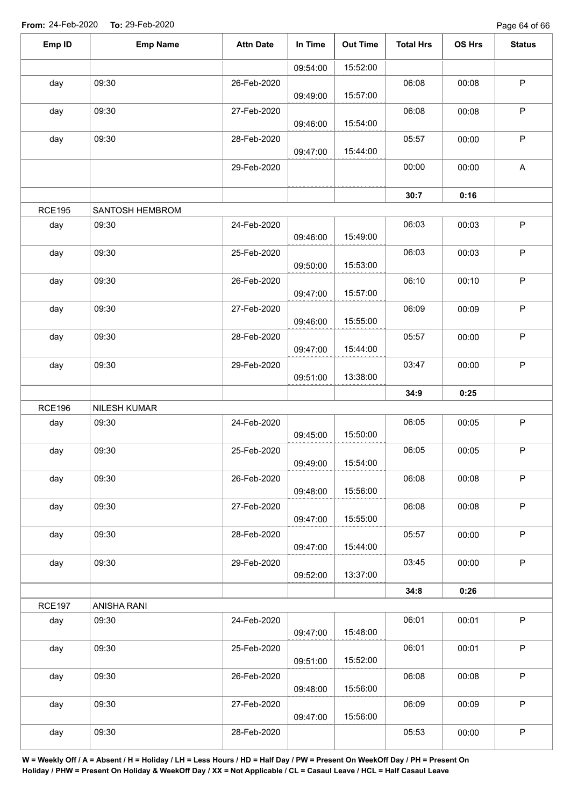| Emp ID        | <b>Emp Name</b> | <b>Attn Date</b> | In Time  | <b>Out Time</b> | <b>Total Hrs</b> | OS Hrs                                                                                                          | <b>Status</b>             |
|---------------|-----------------|------------------|----------|-----------------|------------------|-----------------------------------------------------------------------------------------------------------------|---------------------------|
|               |                 |                  | 09:54:00 | 15:52:00        |                  |                                                                                                                 |                           |
| day           | 09:30           | 26-Feb-2020      | 09:49:00 | 15:57:00        | 06:08            | 00:08                                                                                                           | $\mathsf P$               |
| day           | 09:30           | 27-Feb-2020      | 09:46:00 | 15:54:00        | 06:08            | 00:08                                                                                                           | $\sf P$                   |
| day           | 09:30           | 28-Feb-2020      | 09:47:00 | 15:44:00        | 05:57            | 00:00                                                                                                           | $\sf P$                   |
|               |                 | 29-Feb-2020      |          |                 | 00:00            | 00:00                                                                                                           | $\boldsymbol{\mathsf{A}}$ |
|               |                 |                  |          |                 | 30:7             | 0:16                                                                                                            |                           |
| <b>RCE195</b> | SANTOSH HEMBROM |                  |          |                 |                  |                                                                                                                 |                           |
| day           | 09:30           | 24-Feb-2020      | 09:46:00 | 15:49:00        | 06:03            | 00:03                                                                                                           | $\sf P$                   |
| day           | 09:30           | 25-Feb-2020      | 09:50:00 | 15:53:00        | 06:03            | 00:03                                                                                                           | $\mathsf P$               |
| day           | 09:30           | 26-Feb-2020      | 09:47:00 | 15:57:00        | 06:10            | 00:10                                                                                                           | $\sf P$                   |
| day           | 09:30           | 27-Feb-2020      | 09:46:00 | 15:55:00        | 06:09            | 00:09                                                                                                           | $\sf P$                   |
| day           | 09:30           | 28-Feb-2020      | 09:47:00 | 15:44:00        | 05:57            | 00:00                                                                                                           | $\sf P$                   |
| day           | 09:30           | 29-Feb-2020      | 09:51:00 | 13:38:00        | 03:47            | 00:00                                                                                                           | $\sf P$                   |
|               |                 |                  |          |                 | 34:9             | 0:25<br>00:05<br>00:05<br>00:08<br>00:08<br>00:00<br>00:00<br>0:26<br>00:01<br>00:01<br>00:08<br>00:09<br>00:00 |                           |
| <b>RCE196</b> | NILESH KUMAR    |                  |          |                 |                  |                                                                                                                 |                           |
| day           | 09:30           | 24-Feb-2020      | 09:45:00 | 15:50:00        | 06:05            |                                                                                                                 | $\sf P$                   |
| day           | 09:30           | 25-Feb-2020      | 09:49:00 | 15:54:00        | 06:05            |                                                                                                                 | ${\sf P}$                 |
| day           | 09:30           | 26-Feb-2020      | 09:48:00 | 15:56:00        | 06:08            |                                                                                                                 | P                         |
| day           | 09:30           | 27-Feb-2020      | 09:47:00 | 15:55:00        | 06:08            |                                                                                                                 | $\mathsf P$               |
| day           | 09:30           | 28-Feb-2020      | 09:47:00 | 15:44:00        | 05:57            |                                                                                                                 | $\mathsf P$               |
| day           | 09:30           | 29-Feb-2020      | 09:52:00 | 13:37:00        | 03:45            |                                                                                                                 | $\sf P$                   |
|               |                 |                  |          |                 | 34:8             |                                                                                                                 |                           |
| <b>RCE197</b> | ANISHA RANI     |                  |          |                 |                  |                                                                                                                 |                           |
| day           | 09:30           | 24-Feb-2020      | 09:47:00 | 15:48:00        | 06:01            |                                                                                                                 | $\sf P$                   |
| day           | 09:30           | 25-Feb-2020      | 09:51:00 | 15:52:00        | 06:01            |                                                                                                                 | $\mathsf P$               |
| day           | 09:30           | 26-Feb-2020      | 09:48:00 | 15:56:00        | 06:08            |                                                                                                                 | $\mathsf P$               |
| day           | 09:30           | 27-Feb-2020      | 09:47:00 | 15:56:00        | 06:09            |                                                                                                                 | P                         |
| day           | 09:30           | 28-Feb-2020      |          |                 | 05:53            |                                                                                                                 | $\mathsf P$               |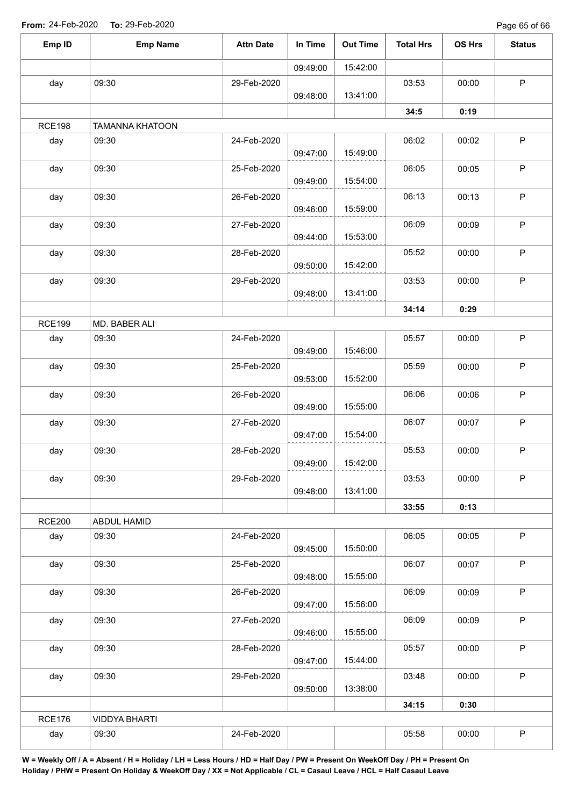Page 65 of 66

| Emp ID        | <b>Emp Name</b>        | <b>Attn Date</b> | In Time  | <b>Out Time</b> | <b>Total Hrs</b> | OS Hrs                                                                                                                                    | <b>Status</b> |
|---------------|------------------------|------------------|----------|-----------------|------------------|-------------------------------------------------------------------------------------------------------------------------------------------|---------------|
|               |                        |                  | 09:49:00 | 15:42:00        |                  |                                                                                                                                           |               |
| day           | 09:30                  | 29-Feb-2020      | 09:48:00 | 13:41:00        | 03:53            | 00:00                                                                                                                                     | $\mathsf P$   |
|               |                        |                  |          |                 | 34:5             | 0:19                                                                                                                                      |               |
| <b>RCE198</b> | <b>TAMANNA KHATOON</b> |                  |          |                 |                  |                                                                                                                                           |               |
| day           | 09:30                  | 24-Feb-2020      | 09:47:00 | 15:49:00        | 06:02            | 00:02                                                                                                                                     | $\mathsf P$   |
| day           | 09:30                  | 25-Feb-2020      | 09:49:00 | 15:54:00        | 06:05            | 00:05                                                                                                                                     | $\mathsf P$   |
| day           | 09:30                  | 26-Feb-2020      | 09:46:00 | 15:59:00        | 06:13            | 00:13                                                                                                                                     | $\sf P$       |
| day           | 09:30                  | 27-Feb-2020      | 09:44:00 | 15:53:00        | 06:09            | 00:09                                                                                                                                     | $\mathsf P$   |
| day           | 09:30                  | 28-Feb-2020      | 09:50:00 | 15:42:00        | 05:52            | 00:00                                                                                                                                     | $\sf P$       |
| day           | 09:30                  | 29-Feb-2020      | 09:48:00 | 13:41:00        | 03:53            | 00:00                                                                                                                                     | P             |
|               |                        |                  |          |                 | 34:14            | 0:29<br>00:00<br>00:00<br>00:06<br>00:07<br>00:00<br>00:00<br>0:13<br>00:05<br>00:07<br>00:09<br>00:09<br>00:00<br>00:00<br>0:30<br>00:00 |               |
| <b>RCE199</b> | MD. BABER ALI          |                  |          |                 |                  |                                                                                                                                           |               |
| day           | 09:30                  | 24-Feb-2020      | 09:49:00 | 15:46:00        | 05:57            |                                                                                                                                           | P             |
| day           | 09:30                  | 25-Feb-2020      | 09:53:00 | 15:52:00        | 05:59            |                                                                                                                                           | $\mathsf P$   |
| day           | 09:30                  | 26-Feb-2020      | 09:49:00 | 15:55:00        | 06:06            |                                                                                                                                           | $\mathsf P$   |
| day           | 09:30                  | 27-Feb-2020      | 09:47:00 | 15:54:00        | 06:07            |                                                                                                                                           | $\mathsf P$   |
| day           | 09:30                  | 28-Feb-2020      | 09:49:00 | 15:42:00        | 05:53            |                                                                                                                                           | $\mathsf P$   |
| day           | 09:30                  | 29-Feb-2020      | 09:48:00 | 13:41:00        | 03:53            |                                                                                                                                           | $\mathsf{P}$  |
|               |                        |                  |          |                 | 33:55            |                                                                                                                                           |               |
| <b>RCE200</b> | ABDUL HAMID            |                  |          |                 |                  |                                                                                                                                           |               |
| day           | 09:30                  | 24-Feb-2020      | 09:45:00 | 15:50:00        | 06:05            |                                                                                                                                           | $\sf P$       |
| day           | 09:30                  | 25-Feb-2020      | 09:48:00 | 15:55:00        | 06:07            |                                                                                                                                           | $\mathsf P$   |
| day           | 09:30                  | 26-Feb-2020      | 09:47:00 | 15:56:00        | 06:09            |                                                                                                                                           | $\sf P$       |
| day           | 09:30                  | 27-Feb-2020      | 09:46:00 | 15:55:00        | 06:09            |                                                                                                                                           | P             |
| day           | 09:30                  | 28-Feb-2020      | 09:47:00 | 15:44:00        | 05:57            |                                                                                                                                           | $\mathsf P$   |
| day           | 09:30                  | 29-Feb-2020      | 09:50:00 | 13:38:00        | 03:48            |                                                                                                                                           | P             |
|               |                        |                  |          |                 | 34:15            |                                                                                                                                           |               |
| <b>RCE176</b> | <b>VIDDYA BHARTI</b>   |                  |          |                 |                  |                                                                                                                                           |               |
| day           | 09:30                  | 24-Feb-2020      |          |                 | 05:58            |                                                                                                                                           | $\mathsf P$   |